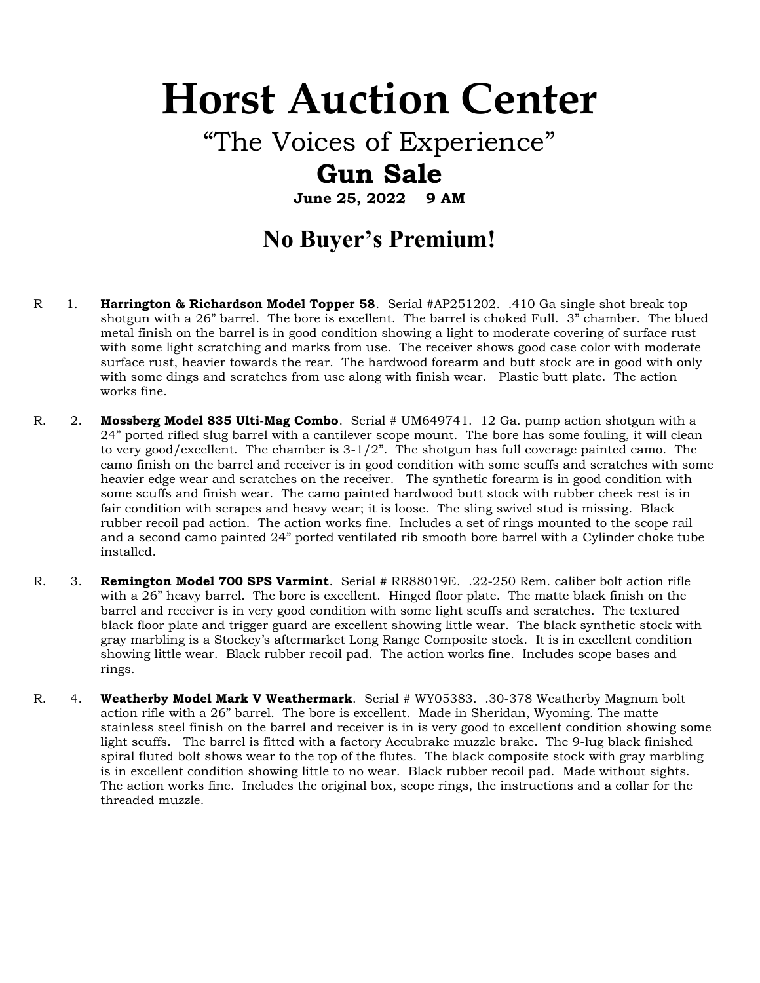# Horst Auction Center

"The Voices of Experience"

## Gun Sale

June 25, 2022 9 AM

## No Buyer's Premium!

- R 1. **Harrington & Richardson Model Topper 58.** Serial #AP251202. .410 Ga single shot break top shotgun with a 26" barrel. The bore is excellent. The barrel is choked Full. 3" chamber. The blued metal finish on the barrel is in good condition showing a light to moderate covering of surface rust with some light scratching and marks from use. The receiver shows good case color with moderate surface rust, heavier towards the rear. The hardwood forearm and butt stock are in good with only with some dings and scratches from use along with finish wear. Plastic butt plate. The action works fine.
- R. 2. Mossberg Model 835 Ulti-Mag Combo. Serial # UM649741. 12 Ga. pump action shotgun with a 24" ported rifled slug barrel with a cantilever scope mount. The bore has some fouling, it will clean to very good/excellent. The chamber is 3-1/2". The shotgun has full coverage painted camo. The camo finish on the barrel and receiver is in good condition with some scuffs and scratches with some heavier edge wear and scratches on the receiver. The synthetic forearm is in good condition with some scuffs and finish wear. The camo painted hardwood butt stock with rubber cheek rest is in fair condition with scrapes and heavy wear; it is loose. The sling swivel stud is missing. Black rubber recoil pad action. The action works fine. Includes a set of rings mounted to the scope rail and a second camo painted 24" ported ventilated rib smooth bore barrel with a Cylinder choke tube installed.
- R. 3. **Remington Model 700 SPS Varmint**. Serial # RR88019E. .22-250 Rem. caliber bolt action rifle with a 26" heavy barrel. The bore is excellent. Hinged floor plate. The matte black finish on the barrel and receiver is in very good condition with some light scuffs and scratches. The textured black floor plate and trigger guard are excellent showing little wear. The black synthetic stock with gray marbling is a Stockey's aftermarket Long Range Composite stock. It is in excellent condition showing little wear. Black rubber recoil pad. The action works fine. Includes scope bases and rings.
- R. 4. Weatherby Model Mark V Weathermark. Serial # WY05383. .30-378 Weatherby Magnum bolt action rifle with a 26" barrel. The bore is excellent. Made in Sheridan, Wyoming. The matte stainless steel finish on the barrel and receiver is in is very good to excellent condition showing some light scuffs. The barrel is fitted with a factory Accubrake muzzle brake. The 9-lug black finished spiral fluted bolt shows wear to the top of the flutes. The black composite stock with gray marbling is in excellent condition showing little to no wear. Black rubber recoil pad. Made without sights. The action works fine. Includes the original box, scope rings, the instructions and a collar for the threaded muzzle.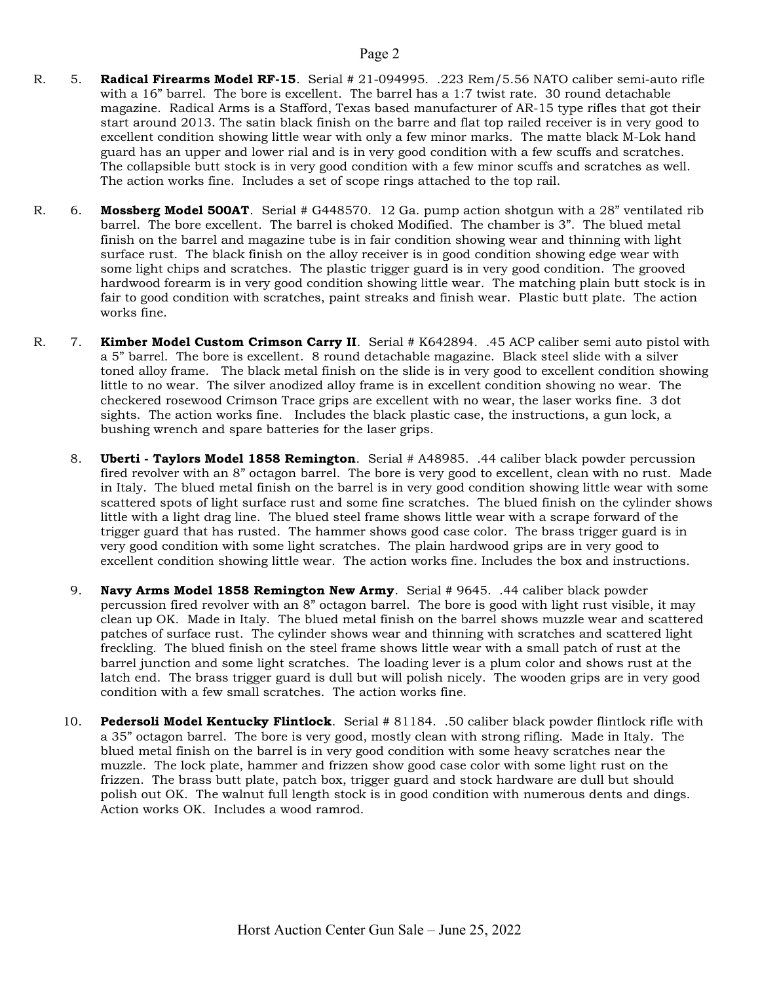- R. 5. Radical Firearms Model RF-15. Serial # 21-094995. .223 Rem/5.56 NATO caliber semi-auto rifle with a 16" barrel. The bore is excellent. The barrel has a 1:7 twist rate. 30 round detachable magazine. Radical Arms is a Stafford, Texas based manufacturer of AR-15 type rifles that got their start around 2013. The satin black finish on the barre and flat top railed receiver is in very good to excellent condition showing little wear with only a few minor marks. The matte black M-Lok hand guard has an upper and lower rial and is in very good condition with a few scuffs and scratches. The collapsible butt stock is in very good condition with a few minor scuffs and scratches as well. The action works fine. Includes a set of scope rings attached to the top rail.
- R. 6. Mossberg Model 500AT. Serial # G448570. 12 Ga. pump action shotgun with a 28" ventilated rib barrel. The bore excellent. The barrel is choked Modified. The chamber is 3". The blued metal finish on the barrel and magazine tube is in fair condition showing wear and thinning with light surface rust. The black finish on the alloy receiver is in good condition showing edge wear with some light chips and scratches. The plastic trigger guard is in very good condition. The grooved hardwood forearm is in very good condition showing little wear. The matching plain butt stock is in fair to good condition with scratches, paint streaks and finish wear. Plastic butt plate. The action works fine.
- R. 7. Kimber Model Custom Crimson Carry II. Serial # K642894. .45 ACP caliber semi auto pistol with a 5" barrel. The bore is excellent. 8 round detachable magazine. Black steel slide with a silver toned alloy frame. The black metal finish on the slide is in very good to excellent condition showing little to no wear. The silver anodized alloy frame is in excellent condition showing no wear. The checkered rosewood Crimson Trace grips are excellent with no wear, the laser works fine. 3 dot sights. The action works fine. Includes the black plastic case, the instructions, a gun lock, a bushing wrench and spare batteries for the laser grips.
	- 8. **Uberti Taylors Model 1858 Remington**. Serial # A48985. .44 caliber black powder percussion fired revolver with an 8" octagon barrel. The bore is very good to excellent, clean with no rust. Made in Italy. The blued metal finish on the barrel is in very good condition showing little wear with some scattered spots of light surface rust and some fine scratches. The blued finish on the cylinder shows little with a light drag line. The blued steel frame shows little wear with a scrape forward of the trigger guard that has rusted. The hammer shows good case color. The brass trigger guard is in very good condition with some light scratches. The plain hardwood grips are in very good to excellent condition showing little wear. The action works fine. Includes the box and instructions.
	- 9. Navy Arms Model 1858 Remington New Army. Serial # 9645. .44 caliber black powder percussion fired revolver with an 8" octagon barrel. The bore is good with light rust visible, it may clean up OK. Made in Italy. The blued metal finish on the barrel shows muzzle wear and scattered patches of surface rust. The cylinder shows wear and thinning with scratches and scattered light freckling. The blued finish on the steel frame shows little wear with a small patch of rust at the barrel junction and some light scratches. The loading lever is a plum color and shows rust at the latch end. The brass trigger guard is dull but will polish nicely. The wooden grips are in very good condition with a few small scratches. The action works fine.
	- 10. Pedersoli Model Kentucky Flintlock. Serial # 81184. .50 caliber black powder flintlock rifle with a 35" octagon barrel. The bore is very good, mostly clean with strong rifling. Made in Italy. The blued metal finish on the barrel is in very good condition with some heavy scratches near the muzzle. The lock plate, hammer and frizzen show good case color with some light rust on the frizzen. The brass butt plate, patch box, trigger guard and stock hardware are dull but should polish out OK. The walnut full length stock is in good condition with numerous dents and dings. Action works OK. Includes a wood ramrod.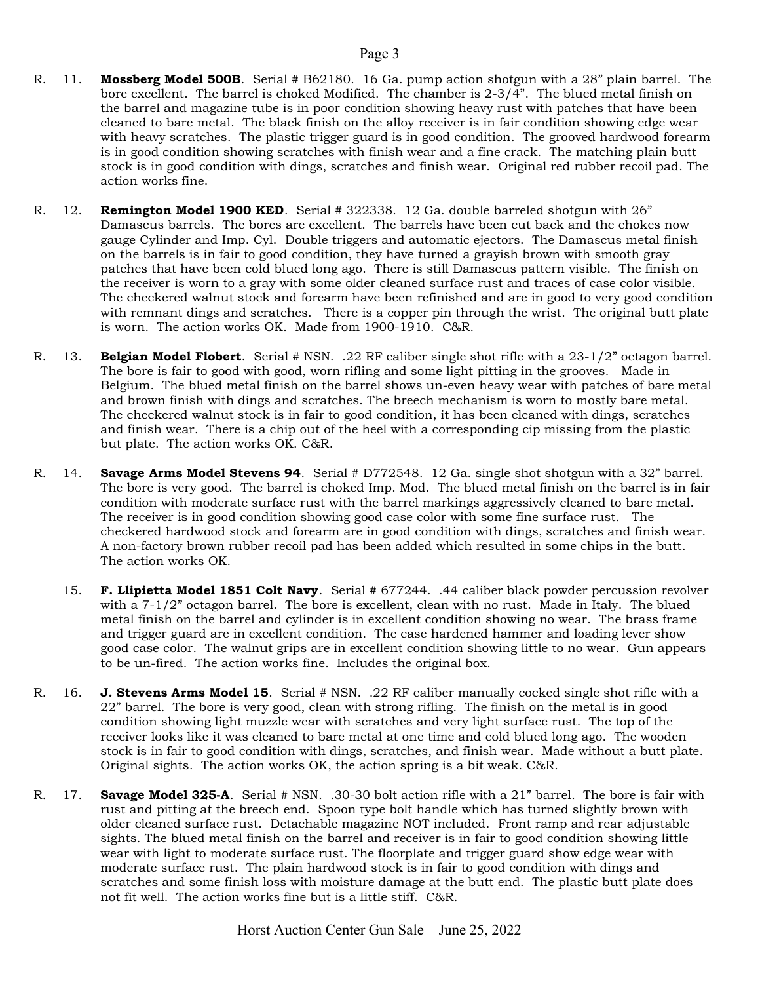- R. 11. Mossberg Model 500B. Serial # B62180. 16 Ga. pump action shotgun with a 28" plain barrel. The bore excellent. The barrel is choked Modified. The chamber is 2-3/4". The blued metal finish on the barrel and magazine tube is in poor condition showing heavy rust with patches that have been cleaned to bare metal. The black finish on the alloy receiver is in fair condition showing edge wear with heavy scratches. The plastic trigger guard is in good condition. The grooved hardwood forearm is in good condition showing scratches with finish wear and a fine crack. The matching plain butt stock is in good condition with dings, scratches and finish wear. Original red rubber recoil pad. The action works fine.
- R. 12. **Remington Model 1900 KED**. Serial # 322338. 12 Ga. double barreled shotgun with 26" Damascus barrels. The bores are excellent. The barrels have been cut back and the chokes now gauge Cylinder and Imp. Cyl. Double triggers and automatic ejectors. The Damascus metal finish on the barrels is in fair to good condition, they have turned a grayish brown with smooth gray patches that have been cold blued long ago. There is still Damascus pattern visible. The finish on the receiver is worn to a gray with some older cleaned surface rust and traces of case color visible. The checkered walnut stock and forearm have been refinished and are in good to very good condition with remnant dings and scratches. There is a copper pin through the wrist. The original butt plate is worn. The action works OK. Made from 1900-1910. C&R.
- R. 13. Belgian Model Flobert. Serial # NSN. .22 RF caliber single shot rifle with a 23-1/2" octagon barrel. The bore is fair to good with good, worn rifling and some light pitting in the grooves. Made in Belgium. The blued metal finish on the barrel shows un-even heavy wear with patches of bare metal and brown finish with dings and scratches. The breech mechanism is worn to mostly bare metal. The checkered walnut stock is in fair to good condition, it has been cleaned with dings, scratches and finish wear. There is a chip out of the heel with a corresponding cip missing from the plastic but plate. The action works OK. C&R.
- R. 14. Savage Arms Model Stevens 94. Serial # D772548. 12 Ga. single shot shotgun with a 32" barrel. The bore is very good. The barrel is choked Imp. Mod. The blued metal finish on the barrel is in fair condition with moderate surface rust with the barrel markings aggressively cleaned to bare metal. The receiver is in good condition showing good case color with some fine surface rust. The checkered hardwood stock and forearm are in good condition with dings, scratches and finish wear. A non-factory brown rubber recoil pad has been added which resulted in some chips in the butt. The action works OK.
	- 15. F. Llipietta Model 1851 Colt Navy. Serial # 677244. .44 caliber black powder percussion revolver with a 7-1/2" octagon barrel. The bore is excellent, clean with no rust. Made in Italy. The blued metal finish on the barrel and cylinder is in excellent condition showing no wear. The brass frame and trigger guard are in excellent condition. The case hardened hammer and loading lever show good case color. The walnut grips are in excellent condition showing little to no wear. Gun appears to be un-fired. The action works fine. Includes the original box.
- R. 16. **J. Stevens Arms Model 15.** Serial # NSN. .22 RF caliber manually cocked single shot rifle with a 22" barrel. The bore is very good, clean with strong rifling. The finish on the metal is in good condition showing light muzzle wear with scratches and very light surface rust. The top of the receiver looks like it was cleaned to bare metal at one time and cold blued long ago. The wooden stock is in fair to good condition with dings, scratches, and finish wear. Made without a butt plate. Original sights. The action works OK, the action spring is a bit weak. C&R.
- R. 17. Savage Model 325-A. Serial # NSN. .30-30 bolt action rifle with a 21" barrel. The bore is fair with rust and pitting at the breech end. Spoon type bolt handle which has turned slightly brown with older cleaned surface rust. Detachable magazine NOT included. Front ramp and rear adjustable sights. The blued metal finish on the barrel and receiver is in fair to good condition showing little wear with light to moderate surface rust. The floorplate and trigger guard show edge wear with moderate surface rust. The plain hardwood stock is in fair to good condition with dings and scratches and some finish loss with moisture damage at the butt end. The plastic butt plate does not fit well. The action works fine but is a little stiff. C&R.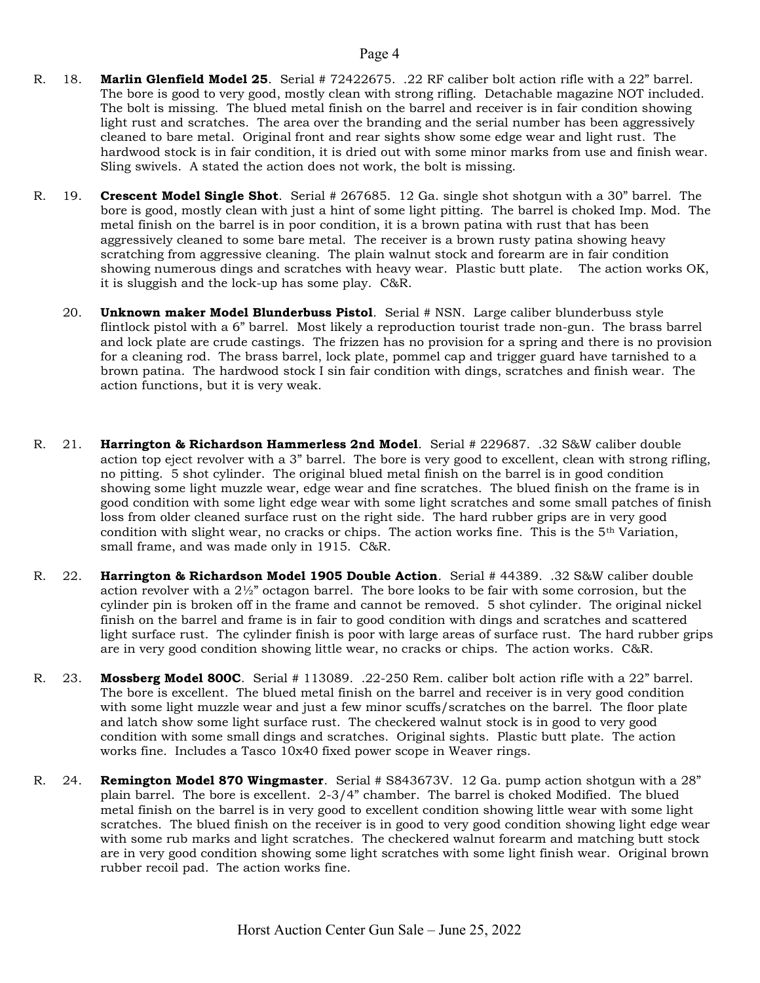- R. 18. Marlin Glenfield Model 25. Serial # 72422675. .22 RF caliber bolt action rifle with a 22" barrel. The bore is good to very good, mostly clean with strong rifling. Detachable magazine NOT included. The bolt is missing. The blued metal finish on the barrel and receiver is in fair condition showing light rust and scratches. The area over the branding and the serial number has been aggressively cleaned to bare metal. Original front and rear sights show some edge wear and light rust. The hardwood stock is in fair condition, it is dried out with some minor marks from use and finish wear. Sling swivels. A stated the action does not work, the bolt is missing.
- R. 19. Crescent Model Single Shot. Serial # 267685. 12 Ga. single shot shotgun with a 30" barrel. The bore is good, mostly clean with just a hint of some light pitting. The barrel is choked Imp. Mod. The metal finish on the barrel is in poor condition, it is a brown patina with rust that has been aggressively cleaned to some bare metal. The receiver is a brown rusty patina showing heavy scratching from aggressive cleaning. The plain walnut stock and forearm are in fair condition showing numerous dings and scratches with heavy wear. Plastic butt plate. The action works OK, it is sluggish and the lock-up has some play. C&R.
	- 20. Unknown maker Model Blunderbuss Pistol. Serial # NSN. Large caliber blunderbuss style flintlock pistol with a 6" barrel. Most likely a reproduction tourist trade non-gun. The brass barrel and lock plate are crude castings. The frizzen has no provision for a spring and there is no provision for a cleaning rod. The brass barrel, lock plate, pommel cap and trigger guard have tarnished to a brown patina. The hardwood stock I sin fair condition with dings, scratches and finish wear. The action functions, but it is very weak.
- R. 21. Harrington & Richardson Hammerless 2nd Model. Serial # 229687. .32 S&W caliber double action top eject revolver with a 3" barrel. The bore is very good to excellent, clean with strong rifling, no pitting. 5 shot cylinder. The original blued metal finish on the barrel is in good condition showing some light muzzle wear, edge wear and fine scratches. The blued finish on the frame is in good condition with some light edge wear with some light scratches and some small patches of finish loss from older cleaned surface rust on the right side. The hard rubber grips are in very good condition with slight wear, no cracks or chips. The action works fine. This is the 5th Variation, small frame, and was made only in 1915. C&R.
- R. 22. Harrington & Richardson Model 1905 Double Action. Serial # 44389. .32 S&W caliber double action revolver with a 2½" octagon barrel. The bore looks to be fair with some corrosion, but the cylinder pin is broken off in the frame and cannot be removed. 5 shot cylinder. The original nickel finish on the barrel and frame is in fair to good condition with dings and scratches and scattered light surface rust. The cylinder finish is poor with large areas of surface rust. The hard rubber grips are in very good condition showing little wear, no cracks or chips. The action works. C&R.
- R. 23. Mossberg Model 800C. Serial # 113089. .22-250 Rem. caliber bolt action rifle with a 22" barrel. The bore is excellent. The blued metal finish on the barrel and receiver is in very good condition with some light muzzle wear and just a few minor scuffs/scratches on the barrel. The floor plate and latch show some light surface rust. The checkered walnut stock is in good to very good condition with some small dings and scratches. Original sights. Plastic butt plate. The action works fine. Includes a Tasco 10x40 fixed power scope in Weaver rings.
- R. 24. **Remington Model 870 Wingmaster**. Serial # S843673V. 12 Ga. pump action shotgun with a 28" plain barrel. The bore is excellent. 2-3/4" chamber. The barrel is choked Modified. The blued metal finish on the barrel is in very good to excellent condition showing little wear with some light scratches. The blued finish on the receiver is in good to very good condition showing light edge wear with some rub marks and light scratches. The checkered walnut forearm and matching butt stock are in very good condition showing some light scratches with some light finish wear. Original brown rubber recoil pad. The action works fine.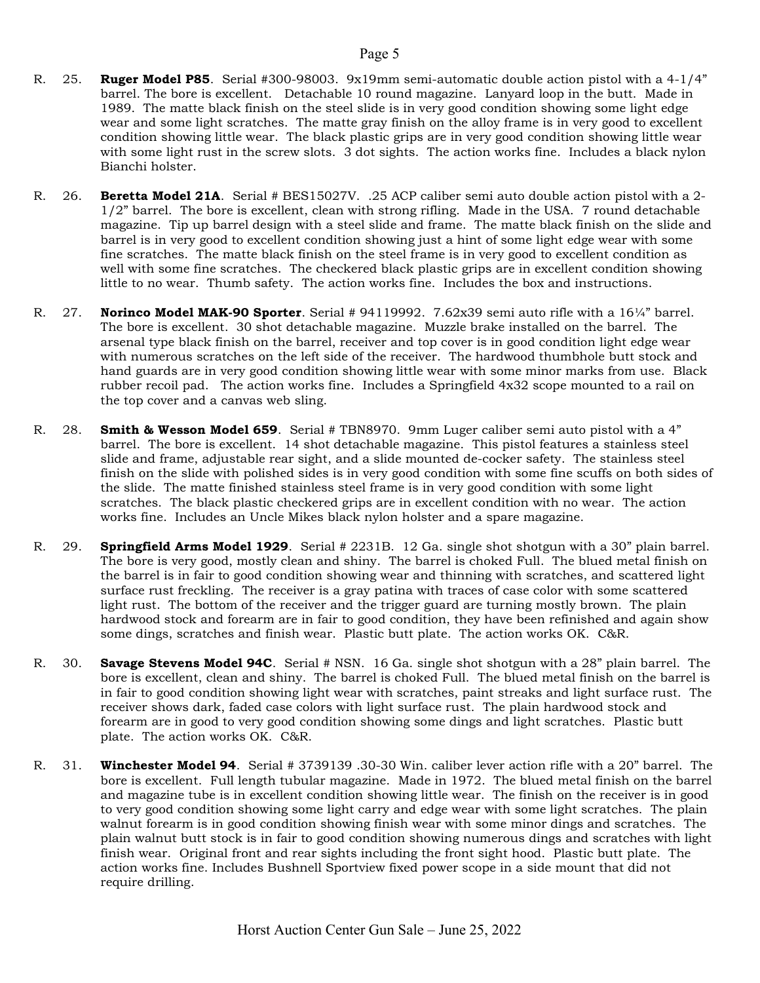- R. 25. **Ruger Model P85.** Serial #300-98003. 9x19mm semi-automatic double action pistol with a 4-1/4" barrel. The bore is excellent. Detachable 10 round magazine. Lanyard loop in the butt. Made in 1989. The matte black finish on the steel slide is in very good condition showing some light edge wear and some light scratches. The matte gray finish on the alloy frame is in very good to excellent condition showing little wear. The black plastic grips are in very good condition showing little wear with some light rust in the screw slots. 3 dot sights. The action works fine. Includes a black nylon Bianchi holster.
- R. 26. **Beretta Model 21A**. Serial # BES15027V. .25 ACP caliber semi auto double action pistol with a 2-1/2" barrel. The bore is excellent, clean with strong rifling. Made in the USA. 7 round detachable magazine. Tip up barrel design with a steel slide and frame. The matte black finish on the slide and barrel is in very good to excellent condition showing just a hint of some light edge wear with some fine scratches. The matte black finish on the steel frame is in very good to excellent condition as well with some fine scratches. The checkered black plastic grips are in excellent condition showing little to no wear. Thumb safety. The action works fine. Includes the box and instructions.
- R. 27. Norinco Model MAK-90 Sporter. Serial # 94119992. 7.62x39 semi auto rifle with a  $16\frac{1}{4}$ " barrel. The bore is excellent. 30 shot detachable magazine. Muzzle brake installed on the barrel. The arsenal type black finish on the barrel, receiver and top cover is in good condition light edge wear with numerous scratches on the left side of the receiver. The hardwood thumbhole butt stock and hand guards are in very good condition showing little wear with some minor marks from use. Black rubber recoil pad. The action works fine. Includes a Springfield 4x32 scope mounted to a rail on the top cover and a canvas web sling.
- R. 28. **Smith & Wesson Model 659**. Serial # TBN8970. 9mm Luger caliber semi auto pistol with a 4" barrel. The bore is excellent. 14 shot detachable magazine. This pistol features a stainless steel slide and frame, adjustable rear sight, and a slide mounted de-cocker safety. The stainless steel finish on the slide with polished sides is in very good condition with some fine scuffs on both sides of the slide. The matte finished stainless steel frame is in very good condition with some light scratches. The black plastic checkered grips are in excellent condition with no wear. The action works fine. Includes an Uncle Mikes black nylon holster and a spare magazine.
- R. 29. Springfield Arms Model 1929. Serial # 2231B. 12 Ga. single shot shotgun with a 30" plain barrel. The bore is very good, mostly clean and shiny. The barrel is choked Full. The blued metal finish on the barrel is in fair to good condition showing wear and thinning with scratches, and scattered light surface rust freckling. The receiver is a gray patina with traces of case color with some scattered light rust. The bottom of the receiver and the trigger guard are turning mostly brown. The plain hardwood stock and forearm are in fair to good condition, they have been refinished and again show some dings, scratches and finish wear. Plastic butt plate. The action works OK. C&R.
- R. 30. **Savage Stevens Model 94C.** Serial # NSN. 16 Ga. single shot shotgun with a 28" plain barrel. The bore is excellent, clean and shiny. The barrel is choked Full. The blued metal finish on the barrel is in fair to good condition showing light wear with scratches, paint streaks and light surface rust. The receiver shows dark, faded case colors with light surface rust. The plain hardwood stock and forearm are in good to very good condition showing some dings and light scratches. Plastic butt plate. The action works OK. C&R.
- R. 31. Winchester Model 94. Serial # 3739139 .30-30 Win. caliber lever action rifle with a 20" barrel. The bore is excellent. Full length tubular magazine. Made in 1972. The blued metal finish on the barrel and magazine tube is in excellent condition showing little wear. The finish on the receiver is in good to very good condition showing some light carry and edge wear with some light scratches. The plain walnut forearm is in good condition showing finish wear with some minor dings and scratches. The plain walnut butt stock is in fair to good condition showing numerous dings and scratches with light finish wear. Original front and rear sights including the front sight hood. Plastic butt plate. The action works fine. Includes Bushnell Sportview fixed power scope in a side mount that did not require drilling.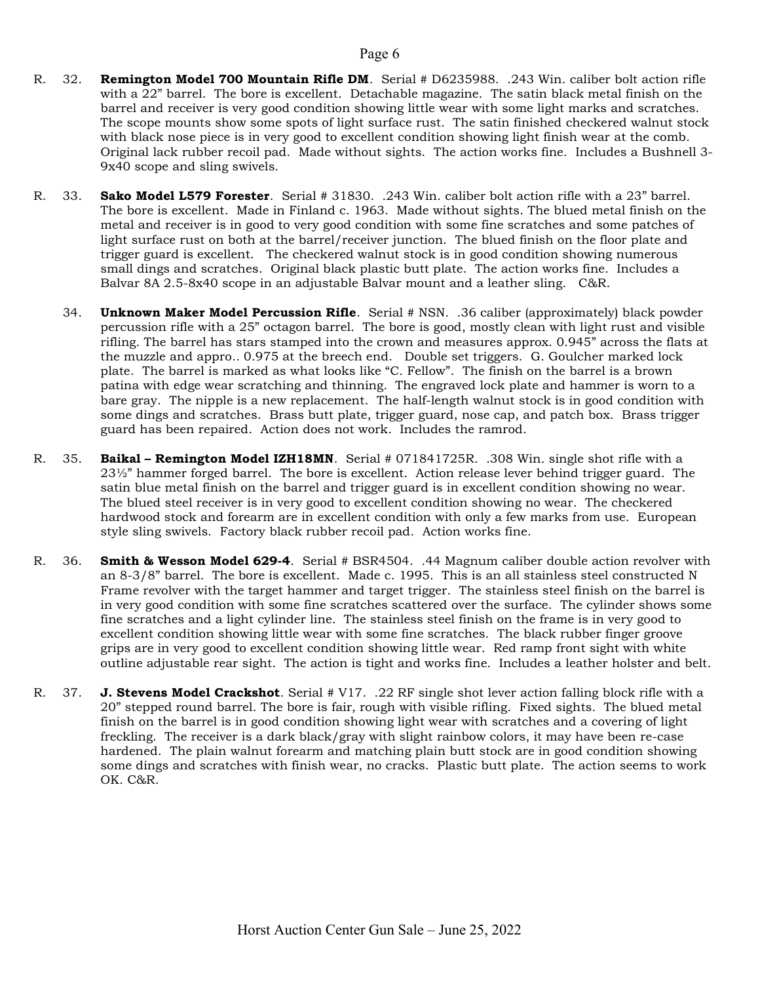- R. 32. **Remington Model 700 Mountain Rifle DM**. Serial # D6235988. .243 Win. caliber bolt action rifle with a 22" barrel. The bore is excellent. Detachable magazine. The satin black metal finish on the barrel and receiver is very good condition showing little wear with some light marks and scratches. The scope mounts show some spots of light surface rust. The satin finished checkered walnut stock with black nose piece is in very good to excellent condition showing light finish wear at the comb. Original lack rubber recoil pad. Made without sights. The action works fine. Includes a Bushnell 3- 9x40 scope and sling swivels.
- R. 33. Sako Model L579 Forester. Serial # 31830. .243 Win. caliber bolt action rifle with a 23" barrel. The bore is excellent. Made in Finland c. 1963. Made without sights. The blued metal finish on the metal and receiver is in good to very good condition with some fine scratches and some patches of light surface rust on both at the barrel/receiver junction. The blued finish on the floor plate and trigger guard is excellent. The checkered walnut stock is in good condition showing numerous small dings and scratches. Original black plastic butt plate. The action works fine. Includes a Balvar 8A 2.5-8x40 scope in an adjustable Balvar mount and a leather sling. C&R.
	- 34. **Unknown Maker Model Percussion Rifle**. Serial # NSN. .36 caliber (approximately) black powder percussion rifle with a 25" octagon barrel. The bore is good, mostly clean with light rust and visible rifling. The barrel has stars stamped into the crown and measures approx. 0.945" across the flats at the muzzle and appro.. 0.975 at the breech end. Double set triggers. G. Goulcher marked lock plate. The barrel is marked as what looks like "C. Fellow". The finish on the barrel is a brown patina with edge wear scratching and thinning. The engraved lock plate and hammer is worn to a bare gray. The nipple is a new replacement. The half-length walnut stock is in good condition with some dings and scratches. Brass butt plate, trigger guard, nose cap, and patch box. Brass trigger guard has been repaired. Action does not work. Includes the ramrod.
- R. 35. **Baikal Remington Model IZH18MN**. Serial # 071841725R. .308 Win. single shot rifle with a  $23\frac{1}{2}$ " hammer forged barrel. The bore is excellent. Action release lever behind trigger guard. The satin blue metal finish on the barrel and trigger guard is in excellent condition showing no wear. The blued steel receiver is in very good to excellent condition showing no wear. The checkered hardwood stock and forearm are in excellent condition with only a few marks from use. European style sling swivels. Factory black rubber recoil pad. Action works fine.
- R. 36. Smith & Wesson Model 629-4. Serial # BSR4504. .44 Magnum caliber double action revolver with an 8-3/8" barrel. The bore is excellent. Made c. 1995. This is an all stainless steel constructed N Frame revolver with the target hammer and target trigger. The stainless steel finish on the barrel is in very good condition with some fine scratches scattered over the surface. The cylinder shows some fine scratches and a light cylinder line. The stainless steel finish on the frame is in very good to excellent condition showing little wear with some fine scratches. The black rubber finger groove grips are in very good to excellent condition showing little wear. Red ramp front sight with white outline adjustable rear sight. The action is tight and works fine. Includes a leather holster and belt.
- R. 37. **J. Stevens Model Crackshot**. Serial # V17. .22 RF single shot lever action falling block rifle with a 20" stepped round barrel. The bore is fair, rough with visible rifling. Fixed sights. The blued metal finish on the barrel is in good condition showing light wear with scratches and a covering of light freckling. The receiver is a dark black/gray with slight rainbow colors, it may have been re-case hardened. The plain walnut forearm and matching plain butt stock are in good condition showing some dings and scratches with finish wear, no cracks. Plastic butt plate. The action seems to work OK. C&R.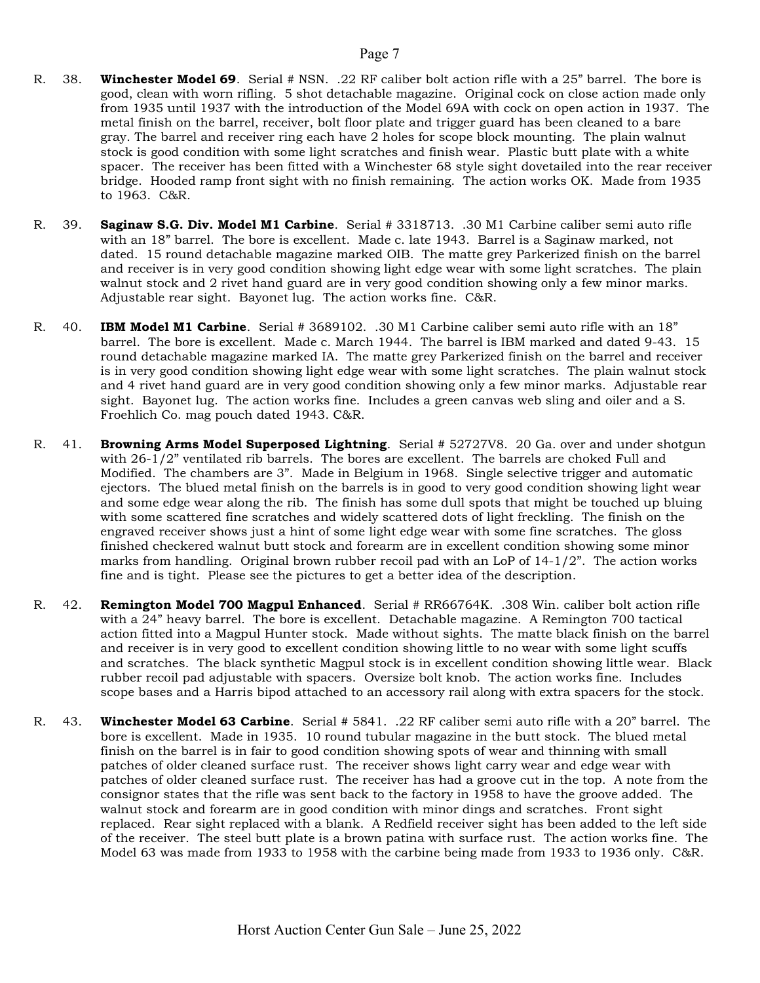- R. 38. Winchester Model 69. Serial # NSN. .22 RF caliber bolt action rifle with a 25" barrel. The bore is good, clean with worn rifling. 5 shot detachable magazine. Original cock on close action made only from 1935 until 1937 with the introduction of the Model 69A with cock on open action in 1937. The metal finish on the barrel, receiver, bolt floor plate and trigger guard has been cleaned to a bare gray. The barrel and receiver ring each have 2 holes for scope block mounting. The plain walnut stock is good condition with some light scratches and finish wear. Plastic butt plate with a white spacer. The receiver has been fitted with a Winchester 68 style sight dovetailed into the rear receiver bridge. Hooded ramp front sight with no finish remaining. The action works OK. Made from 1935 to 1963. C&R.
- R. 39. Saginaw S.G. Div. Model M1 Carbine. Serial # 3318713. .30 M1 Carbine caliber semi auto rifle with an 18" barrel. The bore is excellent. Made c. late 1943. Barrel is a Saginaw marked, not dated. 15 round detachable magazine marked OIB. The matte grey Parkerized finish on the barrel and receiver is in very good condition showing light edge wear with some light scratches. The plain walnut stock and 2 rivet hand guard are in very good condition showing only a few minor marks. Adjustable rear sight. Bayonet lug. The action works fine. C&R.
- R. 40. **IBM Model M1 Carbine**. Serial # 3689102. .30 M1 Carbine caliber semi auto rifle with an 18" barrel. The bore is excellent. Made c. March 1944. The barrel is IBM marked and dated 9-43. 15 round detachable magazine marked IA. The matte grey Parkerized finish on the barrel and receiver is in very good condition showing light edge wear with some light scratches. The plain walnut stock and 4 rivet hand guard are in very good condition showing only a few minor marks. Adjustable rear sight. Bayonet lug. The action works fine. Includes a green canvas web sling and oiler and a S. Froehlich Co. mag pouch dated 1943. C&R.
- R. 41. **Browning Arms Model Superposed Lightning**. Serial #52727V8. 20 Ga. over and under shotgun with 26-1/2" ventilated rib barrels. The bores are excellent. The barrels are choked Full and Modified. The chambers are 3". Made in Belgium in 1968. Single selective trigger and automatic ejectors. The blued metal finish on the barrels is in good to very good condition showing light wear and some edge wear along the rib. The finish has some dull spots that might be touched up bluing with some scattered fine scratches and widely scattered dots of light freckling. The finish on the engraved receiver shows just a hint of some light edge wear with some fine scratches. The gloss finished checkered walnut butt stock and forearm are in excellent condition showing some minor marks from handling. Original brown rubber recoil pad with an LoP of  $14-1/2$ ". The action works fine and is tight. Please see the pictures to get a better idea of the description.
- R. 42. **Remington Model 700 Magpul Enhanced**. Serial # RR66764K. .308 Win. caliber bolt action rifle with a 24" heavy barrel. The bore is excellent. Detachable magazine. A Remington 700 tactical action fitted into a Magpul Hunter stock. Made without sights. The matte black finish on the barrel and receiver is in very good to excellent condition showing little to no wear with some light scuffs and scratches. The black synthetic Magpul stock is in excellent condition showing little wear. Black rubber recoil pad adjustable with spacers. Oversize bolt knob. The action works fine. Includes scope bases and a Harris bipod attached to an accessory rail along with extra spacers for the stock.
- R. 43. Winchester Model 63 Carbine. Serial # 5841. .22 RF caliber semi auto rifle with a 20" barrel. The bore is excellent. Made in 1935. 10 round tubular magazine in the butt stock. The blued metal finish on the barrel is in fair to good condition showing spots of wear and thinning with small patches of older cleaned surface rust. The receiver shows light carry wear and edge wear with patches of older cleaned surface rust. The receiver has had a groove cut in the top. A note from the consignor states that the rifle was sent back to the factory in 1958 to have the groove added. The walnut stock and forearm are in good condition with minor dings and scratches. Front sight replaced. Rear sight replaced with a blank. A Redfield receiver sight has been added to the left side of the receiver. The steel butt plate is a brown patina with surface rust. The action works fine. The Model 63 was made from 1933 to 1958 with the carbine being made from 1933 to 1936 only. C&R.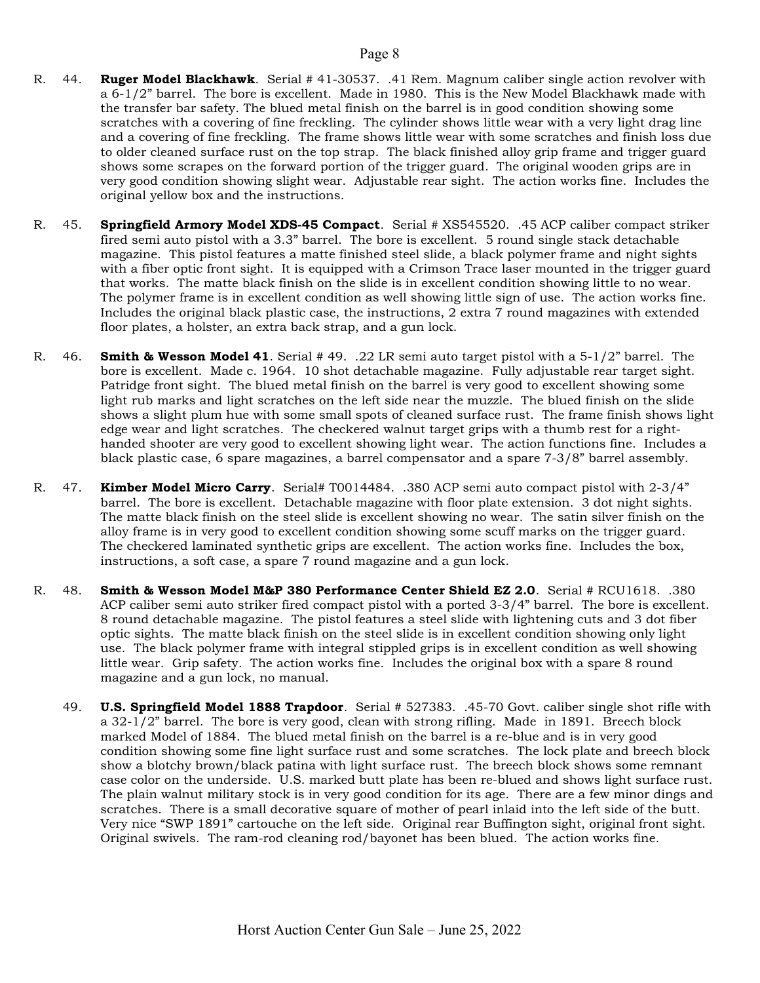- R. 44. Ruger Model Blackhawk. Serial # 41-30537. .41 Rem. Magnum caliber single action revolver with a 6-1/2" barrel. The bore is excellent. Made in 1980. This is the New Model Blackhawk made with the transfer bar safety. The blued metal finish on the barrel is in good condition showing some scratches with a covering of fine freckling. The cylinder shows little wear with a very light drag line and a covering of fine freckling. The frame shows little wear with some scratches and finish loss due to older cleaned surface rust on the top strap. The black finished alloy grip frame and trigger guard shows some scrapes on the forward portion of the trigger guard. The original wooden grips are in very good condition showing slight wear. Adjustable rear sight. The action works fine. Includes the original yellow box and the instructions.
- R. 45. Springfield Armory Model XDS-45 Compact. Serial # XS545520. .45 ACP caliber compact striker fired semi auto pistol with a 3.3" barrel. The bore is excellent. 5 round single stack detachable magazine. This pistol features a matte finished steel slide, a black polymer frame and night sights with a fiber optic front sight. It is equipped with a Crimson Trace laser mounted in the trigger guard that works. The matte black finish on the slide is in excellent condition showing little to no wear. The polymer frame is in excellent condition as well showing little sign of use. The action works fine. Includes the original black plastic case, the instructions, 2 extra 7 round magazines with extended floor plates, a holster, an extra back strap, and a gun lock.
- R. 46. **Smith & Wesson Model 41.** Serial # 49. .22 LR semi auto target pistol with a 5-1/2" barrel. The bore is excellent. Made c. 1964. 10 shot detachable magazine. Fully adjustable rear target sight. Patridge front sight. The blued metal finish on the barrel is very good to excellent showing some light rub marks and light scratches on the left side near the muzzle. The blued finish on the slide shows a slight plum hue with some small spots of cleaned surface rust. The frame finish shows light edge wear and light scratches. The checkered walnut target grips with a thumb rest for a righthanded shooter are very good to excellent showing light wear. The action functions fine. Includes a black plastic case, 6 spare magazines, a barrel compensator and a spare 7-3/8" barrel assembly.
- R. 47. **Kimber Model Micro Carry**. Serial# T0014484. .380 ACP semi auto compact pistol with 2-3/4" barrel. The bore is excellent. Detachable magazine with floor plate extension. 3 dot night sights. The matte black finish on the steel slide is excellent showing no wear. The satin silver finish on the alloy frame is in very good to excellent condition showing some scuff marks on the trigger guard. The checkered laminated synthetic grips are excellent. The action works fine. Includes the box, instructions, a soft case, a spare 7 round magazine and a gun lock.
- R. 48. Smith & Wesson Model M&P 380 Performance Center Shield EZ 2.0. Serial # RCU1618. .380 ACP caliber semi auto striker fired compact pistol with a ported 3-3/4" barrel. The bore is excellent. 8 round detachable magazine. The pistol features a steel slide with lightening cuts and 3 dot fiber optic sights. The matte black finish on the steel slide is in excellent condition showing only light use. The black polymer frame with integral stippled grips is in excellent condition as well showing little wear. Grip safety. The action works fine. Includes the original box with a spare 8 round magazine and a gun lock, no manual.
	- 49. **U.S. Springfield Model 1888 Trapdoor**. Serial # 527383. .45-70 Govt. caliber single shot rifle with a 32-1/2" barrel. The bore is very good, clean with strong rifling. Made in 1891. Breech block marked Model of 1884. The blued metal finish on the barrel is a re-blue and is in very good condition showing some fine light surface rust and some scratches. The lock plate and breech block show a blotchy brown/black patina with light surface rust. The breech block shows some remnant case color on the underside. U.S. marked butt plate has been re-blued and shows light surface rust. The plain walnut military stock is in very good condition for its age. There are a few minor dings and scratches. There is a small decorative square of mother of pearl inlaid into the left side of the butt. Very nice "SWP 1891" cartouche on the left side. Original rear Buffington sight, original front sight. Original swivels. The ram-rod cleaning rod/bayonet has been blued. The action works fine.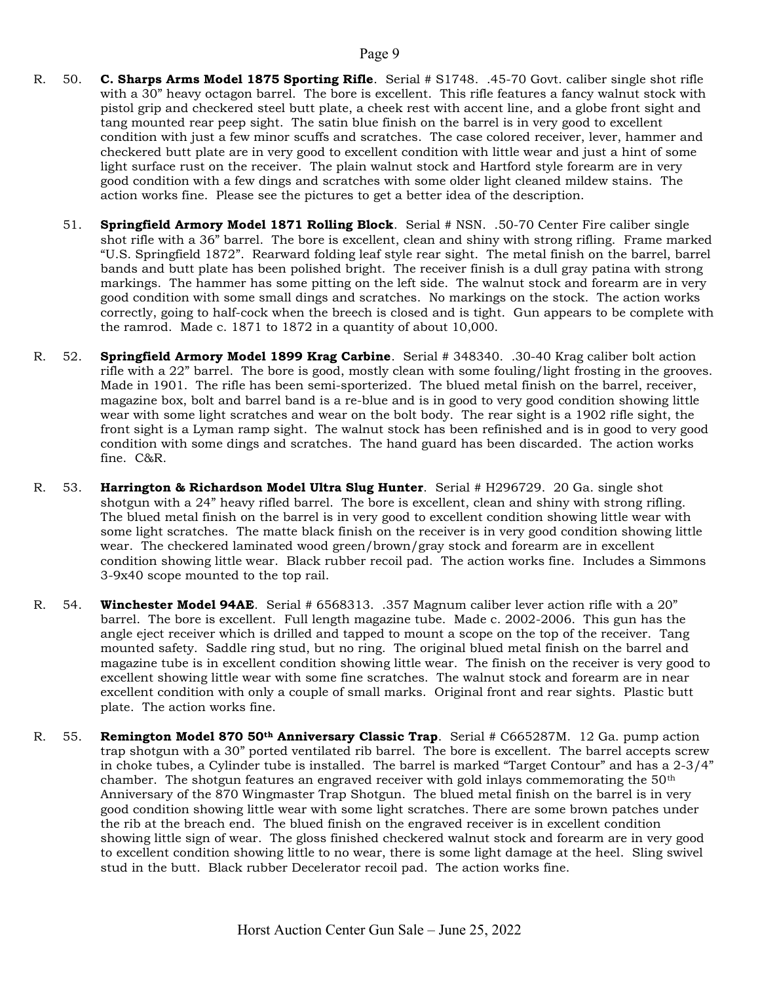- R. 50. C. Sharps Arms Model 1875 Sporting Rifle. Serial # S1748. .45-70 Govt. caliber single shot rifle with a 30" heavy octagon barrel. The bore is excellent. This rifle features a fancy walnut stock with pistol grip and checkered steel butt plate, a cheek rest with accent line, and a globe front sight and tang mounted rear peep sight. The satin blue finish on the barrel is in very good to excellent condition with just a few minor scuffs and scratches. The case colored receiver, lever, hammer and checkered butt plate are in very good to excellent condition with little wear and just a hint of some light surface rust on the receiver. The plain walnut stock and Hartford style forearm are in very good condition with a few dings and scratches with some older light cleaned mildew stains. The action works fine. Please see the pictures to get a better idea of the description.
	- 51. **Springfield Armory Model 1871 Rolling Block**. Serial # NSN. .50-70 Center Fire caliber single shot rifle with a 36" barrel. The bore is excellent, clean and shiny with strong rifling. Frame marked "U.S. Springfield 1872". Rearward folding leaf style rear sight. The metal finish on the barrel, barrel bands and butt plate has been polished bright. The receiver finish is a dull gray patina with strong markings. The hammer has some pitting on the left side. The walnut stock and forearm are in very good condition with some small dings and scratches. No markings on the stock. The action works correctly, going to half-cock when the breech is closed and is tight. Gun appears to be complete with the ramrod. Made c. 1871 to 1872 in a quantity of about 10,000.
- R. 52. Springfield Armory Model 1899 Krag Carbine. Serial # 348340. .30-40 Krag caliber bolt action rifle with a 22" barrel. The bore is good, mostly clean with some fouling/light frosting in the grooves. Made in 1901. The rifle has been semi-sporterized. The blued metal finish on the barrel, receiver, magazine box, bolt and barrel band is a re-blue and is in good to very good condition showing little wear with some light scratches and wear on the bolt body. The rear sight is a 1902 rifle sight, the front sight is a Lyman ramp sight. The walnut stock has been refinished and is in good to very good condition with some dings and scratches. The hand guard has been discarded. The action works fine. C&R.
- R. 53. Harrington & Richardson Model Ultra Slug Hunter. Serial # H296729. 20 Ga. single shot shotgun with a 24" heavy rifled barrel. The bore is excellent, clean and shiny with strong rifling. The blued metal finish on the barrel is in very good to excellent condition showing little wear with some light scratches. The matte black finish on the receiver is in very good condition showing little wear. The checkered laminated wood green/brown/gray stock and forearm are in excellent condition showing little wear. Black rubber recoil pad. The action works fine. Includes a Simmons 3-9x40 scope mounted to the top rail.
- R. 54. Winchester Model 94AE. Serial # 6568313. .357 Magnum caliber lever action rifle with a 20" barrel. The bore is excellent. Full length magazine tube. Made c. 2002-2006. This gun has the angle eject receiver which is drilled and tapped to mount a scope on the top of the receiver. Tang mounted safety. Saddle ring stud, but no ring. The original blued metal finish on the barrel and magazine tube is in excellent condition showing little wear. The finish on the receiver is very good to excellent showing little wear with some fine scratches. The walnut stock and forearm are in near excellent condition with only a couple of small marks. Original front and rear sights. Plastic butt plate. The action works fine.
- R. 55. **Remington Model 870 50th Anniversary Classic Trap**. Serial # C665287M. 12 Ga. pump action trap shotgun with a 30" ported ventilated rib barrel. The bore is excellent. The barrel accepts screw in choke tubes, a Cylinder tube is installed. The barrel is marked "Target Contour" and has a  $2-3/4$ " chamber. The shotgun features an engraved receiver with gold inlays commemorating the  $50<sup>th</sup>$ Anniversary of the 870 Wingmaster Trap Shotgun. The blued metal finish on the barrel is in very good condition showing little wear with some light scratches. There are some brown patches under the rib at the breach end. The blued finish on the engraved receiver is in excellent condition showing little sign of wear. The gloss finished checkered walnut stock and forearm are in very good to excellent condition showing little to no wear, there is some light damage at the heel. Sling swivel stud in the butt. Black rubber Decelerator recoil pad. The action works fine.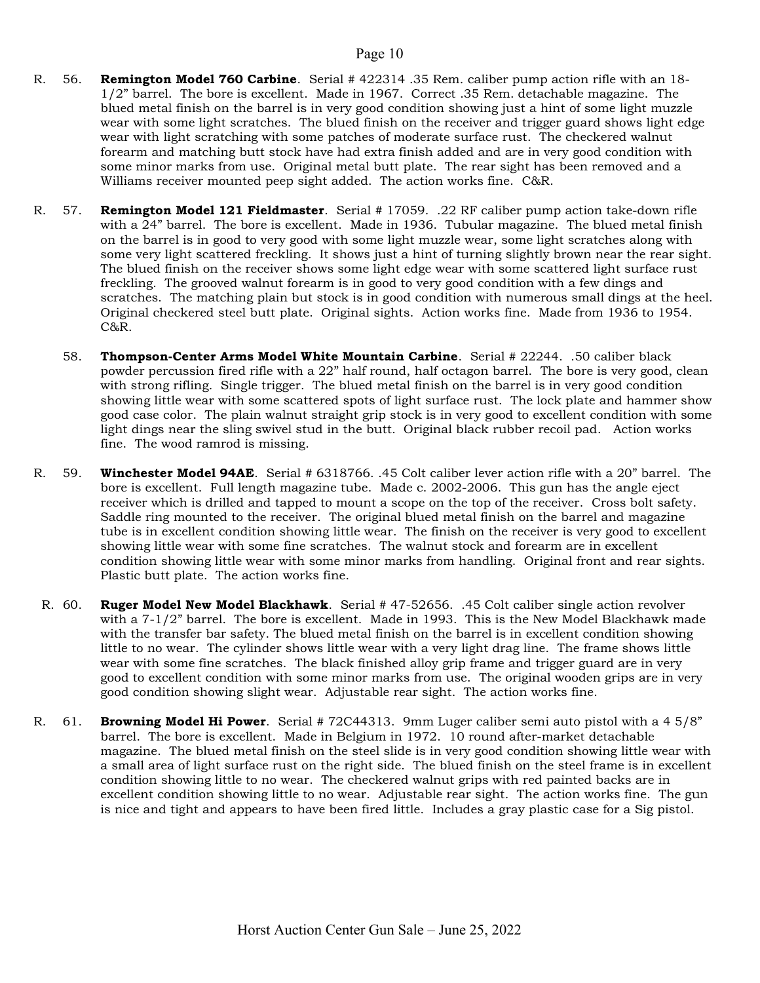- R. 56. **Remington Model 760 Carbine**. Serial # 422314 .35 Rem. caliber pump action rifle with an 18-1/2" barrel. The bore is excellent. Made in 1967. Correct .35 Rem. detachable magazine. The blued metal finish on the barrel is in very good condition showing just a hint of some light muzzle wear with some light scratches. The blued finish on the receiver and trigger guard shows light edge wear with light scratching with some patches of moderate surface rust. The checkered walnut forearm and matching butt stock have had extra finish added and are in very good condition with some minor marks from use. Original metal butt plate. The rear sight has been removed and a Williams receiver mounted peep sight added. The action works fine. C&R.
- R. 57. **Remington Model 121 Fieldmaster**. Serial # 17059. .22 RF caliber pump action take-down rifle with a 24" barrel. The bore is excellent. Made in 1936. Tubular magazine. The blued metal finish on the barrel is in good to very good with some light muzzle wear, some light scratches along with some very light scattered freckling. It shows just a hint of turning slightly brown near the rear sight. The blued finish on the receiver shows some light edge wear with some scattered light surface rust freckling. The grooved walnut forearm is in good to very good condition with a few dings and scratches. The matching plain but stock is in good condition with numerous small dings at the heel. Original checkered steel butt plate. Original sights. Action works fine. Made from 1936 to 1954. C&R.
	- 58. Thompson-Center Arms Model White Mountain Carbine. Serial # 22244. .50 caliber black powder percussion fired rifle with a 22" half round, half octagon barrel. The bore is very good, clean with strong rifling. Single trigger. The blued metal finish on the barrel is in very good condition showing little wear with some scattered spots of light surface rust. The lock plate and hammer show good case color. The plain walnut straight grip stock is in very good to excellent condition with some light dings near the sling swivel stud in the butt. Original black rubber recoil pad. Action works fine. The wood ramrod is missing.
- R. 59. Winchester Model 94AE. Serial # 6318766. .45 Colt caliber lever action rifle with a 20" barrel. The bore is excellent. Full length magazine tube. Made c. 2002-2006. This gun has the angle eject receiver which is drilled and tapped to mount a scope on the top of the receiver. Cross bolt safety. Saddle ring mounted to the receiver. The original blued metal finish on the barrel and magazine tube is in excellent condition showing little wear. The finish on the receiver is very good to excellent showing little wear with some fine scratches. The walnut stock and forearm are in excellent condition showing little wear with some minor marks from handling. Original front and rear sights. Plastic butt plate. The action works fine.
- R. 60. Ruger Model New Model Blackhawk. Serial # 47-52656. .45 Colt caliber single action revolver with a 7-1/2" barrel. The bore is excellent. Made in 1993. This is the New Model Blackhawk made with the transfer bar safety. The blued metal finish on the barrel is in excellent condition showing little to no wear. The cylinder shows little wear with a very light drag line. The frame shows little wear with some fine scratches. The black finished alloy grip frame and trigger guard are in very good to excellent condition with some minor marks from use. The original wooden grips are in very good condition showing slight wear. Adjustable rear sight. The action works fine.
- R. 61. **Browning Model Hi Power**. Serial # 72C44313. 9mm Luger caliber semi auto pistol with a 4  $5/8$ " barrel. The bore is excellent. Made in Belgium in 1972. 10 round after-market detachable magazine. The blued metal finish on the steel slide is in very good condition showing little wear with a small area of light surface rust on the right side. The blued finish on the steel frame is in excellent condition showing little to no wear. The checkered walnut grips with red painted backs are in excellent condition showing little to no wear. Adjustable rear sight. The action works fine. The gun is nice and tight and appears to have been fired little. Includes a gray plastic case for a Sig pistol.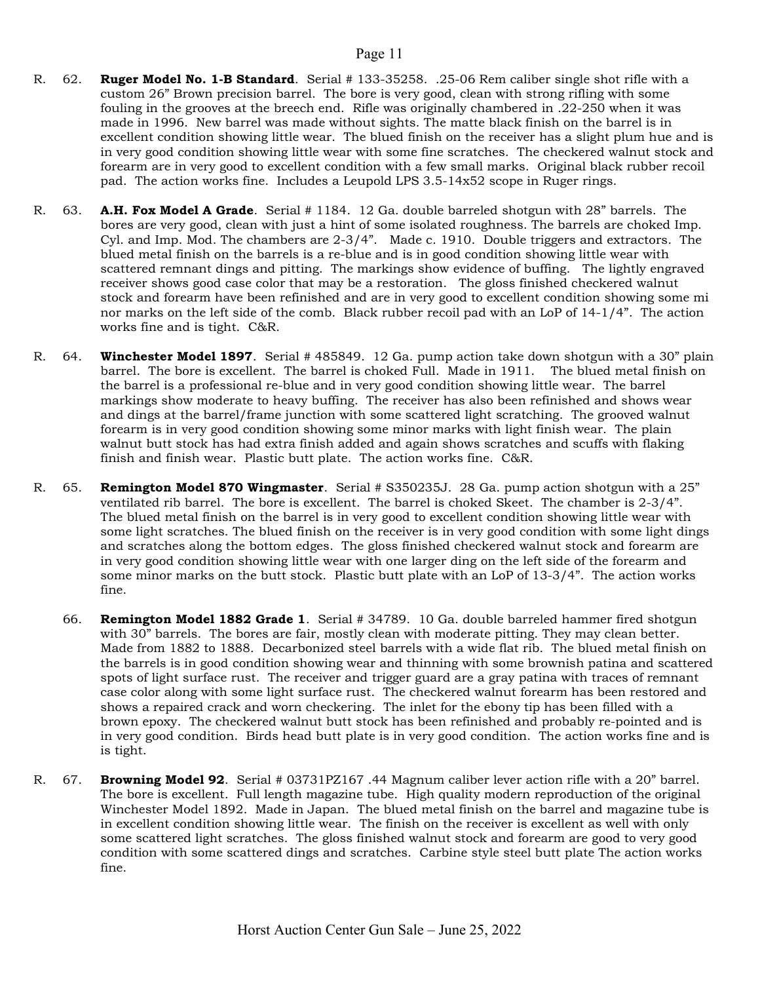- R. 62. **Ruger Model No. 1-B Standard**. Serial # 133-35258. .25-06 Rem caliber single shot rifle with a custom 26" Brown precision barrel. The bore is very good, clean with strong rifling with some fouling in the grooves at the breech end. Rifle was originally chambered in .22-250 when it was made in 1996. New barrel was made without sights. The matte black finish on the barrel is in excellent condition showing little wear. The blued finish on the receiver has a slight plum hue and is in very good condition showing little wear with some fine scratches. The checkered walnut stock and forearm are in very good to excellent condition with a few small marks. Original black rubber recoil pad. The action works fine. Includes a Leupold LPS 3.5-14x52 scope in Ruger rings.
- R. 63. **A.H. Fox Model A Grade**. Serial # 1184. 12 Ga. double barreled shotgun with 28" barrels. The bores are very good, clean with just a hint of some isolated roughness. The barrels are choked Imp. Cyl. and Imp. Mod. The chambers are 2-3/4". Made c. 1910. Double triggers and extractors. The blued metal finish on the barrels is a re-blue and is in good condition showing little wear with scattered remnant dings and pitting. The markings show evidence of buffing. The lightly engraved receiver shows good case color that may be a restoration. The gloss finished checkered walnut stock and forearm have been refinished and are in very good to excellent condition showing some mi nor marks on the left side of the comb. Black rubber recoil pad with an LoP of 14-1/4". The action works fine and is tight. C&R.
- R. 64. **Winchester Model 1897**. Serial # 485849. 12 Ga. pump action take down shotgun with a 30" plain barrel. The bore is excellent. The barrel is choked Full. Made in 1911. The blued metal finish on the barrel is a professional re-blue and in very good condition showing little wear. The barrel markings show moderate to heavy buffing. The receiver has also been refinished and shows wear and dings at the barrel/frame junction with some scattered light scratching. The grooved walnut forearm is in very good condition showing some minor marks with light finish wear. The plain walnut butt stock has had extra finish added and again shows scratches and scuffs with flaking finish and finish wear. Plastic butt plate. The action works fine. C&R.
- R. 65. **Remington Model 870 Wingmaster**. Serial # S350235J. 28 Ga. pump action shotgun with a 25" ventilated rib barrel. The bore is excellent. The barrel is choked Skeet. The chamber is 2-3/4". The blued metal finish on the barrel is in very good to excellent condition showing little wear with some light scratches. The blued finish on the receiver is in very good condition with some light dings and scratches along the bottom edges. The gloss finished checkered walnut stock and forearm are in very good condition showing little wear with one larger ding on the left side of the forearm and some minor marks on the butt stock. Plastic butt plate with an LoP of 13-3/4". The action works fine.
	- 66. **Remington Model 1882 Grade 1**. Serial # 34789. 10 Ga. double barreled hammer fired shotgun with 30" barrels. The bores are fair, mostly clean with moderate pitting. They may clean better. Made from 1882 to 1888. Decarbonized steel barrels with a wide flat rib. The blued metal finish on the barrels is in good condition showing wear and thinning with some brownish patina and scattered spots of light surface rust. The receiver and trigger guard are a gray patina with traces of remnant case color along with some light surface rust. The checkered walnut forearm has been restored and shows a repaired crack and worn checkering. The inlet for the ebony tip has been filled with a brown epoxy. The checkered walnut butt stock has been refinished and probably re-pointed and is in very good condition. Birds head butt plate is in very good condition. The action works fine and is is tight.
- R. 67. Browning Model 92. Serial # 03731PZ167 .44 Magnum caliber lever action rifle with a 20" barrel. The bore is excellent. Full length magazine tube. High quality modern reproduction of the original Winchester Model 1892. Made in Japan. The blued metal finish on the barrel and magazine tube is in excellent condition showing little wear. The finish on the receiver is excellent as well with only some scattered light scratches. The gloss finished walnut stock and forearm are good to very good condition with some scattered dings and scratches. Carbine style steel butt plate The action works fine.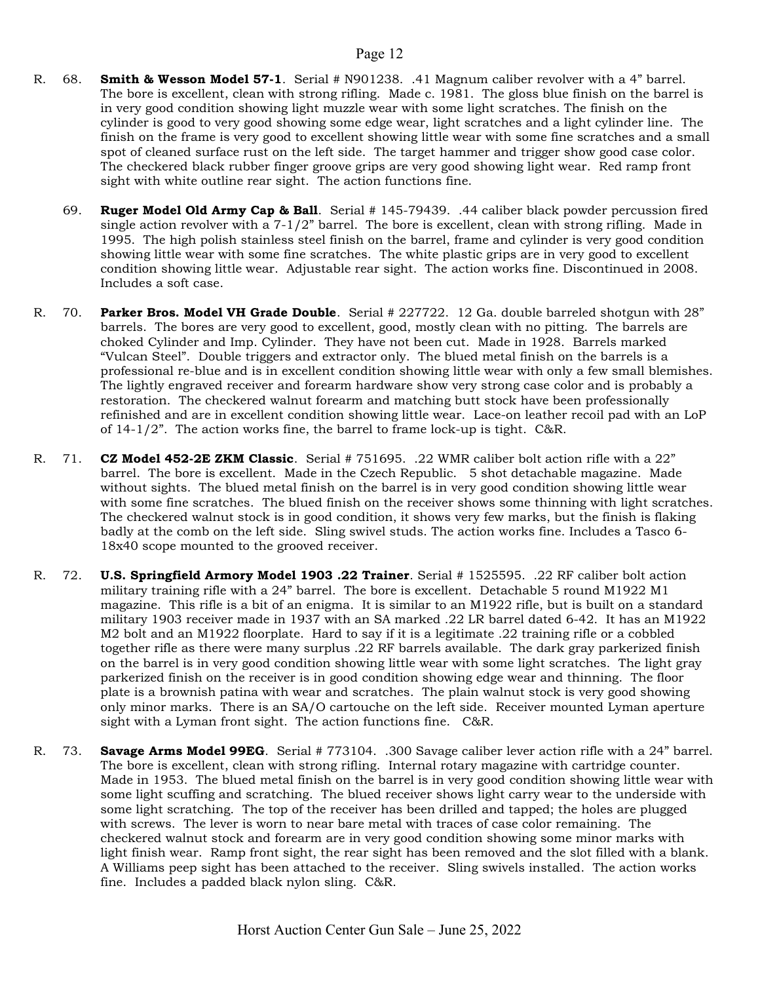- R. 68. **Smith & Wesson Model 57-1**. Serial # N901238. .41 Magnum caliber revolver with a 4" barrel. The bore is excellent, clean with strong rifling. Made c. 1981. The gloss blue finish on the barrel is in very good condition showing light muzzle wear with some light scratches. The finish on the cylinder is good to very good showing some edge wear, light scratches and a light cylinder line. The finish on the frame is very good to excellent showing little wear with some fine scratches and a small spot of cleaned surface rust on the left side. The target hammer and trigger show good case color. The checkered black rubber finger groove grips are very good showing light wear. Red ramp front sight with white outline rear sight. The action functions fine.
	- 69. Ruger Model Old Army Cap & Ball. Serial # 145-79439. .44 caliber black powder percussion fired single action revolver with a  $7-1/2$ " barrel. The bore is excellent, clean with strong rifling. Made in 1995. The high polish stainless steel finish on the barrel, frame and cylinder is very good condition showing little wear with some fine scratches. The white plastic grips are in very good to excellent condition showing little wear. Adjustable rear sight. The action works fine. Discontinued in 2008. Includes a soft case.
- R. 70. Parker Bros. Model VH Grade Double. Serial # 227722. 12 Ga. double barreled shotgun with 28" barrels. The bores are very good to excellent, good, mostly clean with no pitting. The barrels are choked Cylinder and Imp. Cylinder. They have not been cut. Made in 1928. Barrels marked "Vulcan Steel". Double triggers and extractor only. The blued metal finish on the barrels is a professional re-blue and is in excellent condition showing little wear with only a few small blemishes. The lightly engraved receiver and forearm hardware show very strong case color and is probably a restoration. The checkered walnut forearm and matching butt stock have been professionally refinished and are in excellent condition showing little wear. Lace-on leather recoil pad with an LoP of  $14-1/2$ ". The action works fine, the barrel to frame lock-up is tight. C&R.
- R. 71. **CZ Model 452-2E ZKM Classic**. Serial # 751695. .22 WMR caliber bolt action rifle with a 22" barrel. The bore is excellent. Made in the Czech Republic. 5 shot detachable magazine. Made without sights. The blued metal finish on the barrel is in very good condition showing little wear with some fine scratches. The blued finish on the receiver shows some thinning with light scratches. The checkered walnut stock is in good condition, it shows very few marks, but the finish is flaking badly at the comb on the left side. Sling swivel studs. The action works fine. Includes a Tasco 6- 18x40 scope mounted to the grooved receiver.
- R. 72. U.S. Springfield Armory Model 1903 .22 Trainer. Serial # 1525595. .22 RF caliber bolt action military training rifle with a 24" barrel. The bore is excellent. Detachable 5 round M1922 M1 magazine. This rifle is a bit of an enigma. It is similar to an M1922 rifle, but is built on a standard military 1903 receiver made in 1937 with an SA marked .22 LR barrel dated 6-42. It has an M1922 M2 bolt and an M1922 floorplate. Hard to say if it is a legitimate .22 training rifle or a cobbled together rifle as there were many surplus .22 RF barrels available. The dark gray parkerized finish on the barrel is in very good condition showing little wear with some light scratches. The light gray parkerized finish on the receiver is in good condition showing edge wear and thinning. The floor plate is a brownish patina with wear and scratches. The plain walnut stock is very good showing only minor marks. There is an SA/O cartouche on the left side. Receiver mounted Lyman aperture sight with a Lyman front sight. The action functions fine. C&R.
- R. 73. Savage Arms Model 99EG. Serial # 773104. .300 Savage caliber lever action rifle with a 24" barrel. The bore is excellent, clean with strong rifling. Internal rotary magazine with cartridge counter. Made in 1953. The blued metal finish on the barrel is in very good condition showing little wear with some light scuffing and scratching. The blued receiver shows light carry wear to the underside with some light scratching. The top of the receiver has been drilled and tapped; the holes are plugged with screws. The lever is worn to near bare metal with traces of case color remaining. The checkered walnut stock and forearm are in very good condition showing some minor marks with light finish wear. Ramp front sight, the rear sight has been removed and the slot filled with a blank. A Williams peep sight has been attached to the receiver. Sling swivels installed. The action works fine. Includes a padded black nylon sling. C&R.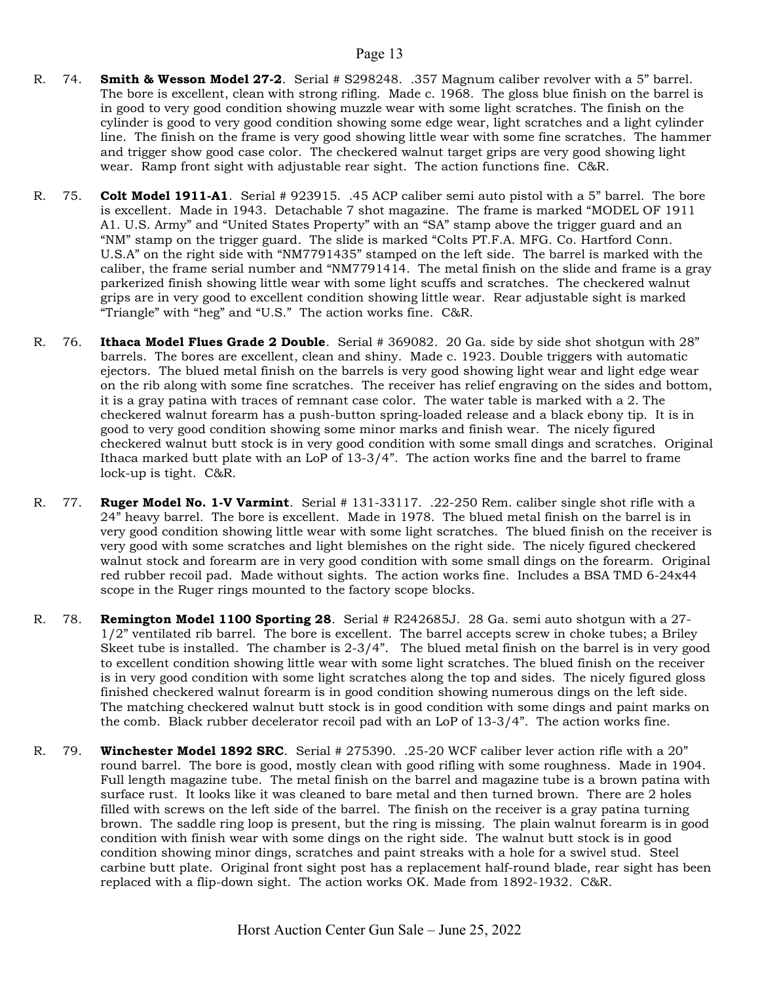- R. 74. **Smith & Wesson Model 27-2**. Serial # S298248. .357 Magnum caliber revolver with a 5" barrel. The bore is excellent, clean with strong rifling. Made c. 1968. The gloss blue finish on the barrel is in good to very good condition showing muzzle wear with some light scratches. The finish on the cylinder is good to very good condition showing some edge wear, light scratches and a light cylinder line. The finish on the frame is very good showing little wear with some fine scratches. The hammer and trigger show good case color. The checkered walnut target grips are very good showing light wear. Ramp front sight with adjustable rear sight. The action functions fine. C&R.
- R. 75. Colt Model 1911-A1. Serial # 923915. .45 ACP caliber semi auto pistol with a 5" barrel. The bore is excellent. Made in 1943. Detachable 7 shot magazine. The frame is marked "MODEL OF 1911 A1. U.S. Army" and "United States Property" with an "SA" stamp above the trigger guard and an "NM" stamp on the trigger guard. The slide is marked "Colts PT.F.A. MFG. Co. Hartford Conn. U.S.A" on the right side with "NM7791435" stamped on the left side. The barrel is marked with the caliber, the frame serial number and "NM7791414. The metal finish on the slide and frame is a gray parkerized finish showing little wear with some light scuffs and scratches. The checkered walnut grips are in very good to excellent condition showing little wear. Rear adjustable sight is marked "Triangle" with "heg" and "U.S." The action works fine. C&R.
- R. 76. Ithaca Model Flues Grade 2 Double. Serial # 369082. 20 Ga. side by side shot shotgun with 28" barrels. The bores are excellent, clean and shiny. Made c. 1923. Double triggers with automatic ejectors. The blued metal finish on the barrels is very good showing light wear and light edge wear on the rib along with some fine scratches. The receiver has relief engraving on the sides and bottom, it is a gray patina with traces of remnant case color. The water table is marked with a 2. The checkered walnut forearm has a push-button spring-loaded release and a black ebony tip. It is in good to very good condition showing some minor marks and finish wear. The nicely figured checkered walnut butt stock is in very good condition with some small dings and scratches. Original Ithaca marked butt plate with an LoP of  $13-3/4$ ". The action works fine and the barrel to frame lock-up is tight. C&R.
- R. 77. Ruger Model No. 1-V Varmint. Serial # 131-33117. .22-250 Rem. caliber single shot rifle with a 24" heavy barrel. The bore is excellent. Made in 1978. The blued metal finish on the barrel is in very good condition showing little wear with some light scratches. The blued finish on the receiver is very good with some scratches and light blemishes on the right side. The nicely figured checkered walnut stock and forearm are in very good condition with some small dings on the forearm. Original red rubber recoil pad. Made without sights. The action works fine. Includes a BSA TMD 6-24x44 scope in the Ruger rings mounted to the factory scope blocks.
- R. 78. **Remington Model 1100 Sporting 28**. Serial # R242685J. 28 Ga. semi auto shotgun with a 27-1/2" ventilated rib barrel. The bore is excellent. The barrel accepts screw in choke tubes; a Briley Skeet tube is installed. The chamber is 2-3/4". The blued metal finish on the barrel is in very good to excellent condition showing little wear with some light scratches. The blued finish on the receiver is in very good condition with some light scratches along the top and sides. The nicely figured gloss finished checkered walnut forearm is in good condition showing numerous dings on the left side. The matching checkered walnut butt stock is in good condition with some dings and paint marks on the comb. Black rubber decelerator recoil pad with an LoP of 13-3/4". The action works fine.
- R. 79. Winchester Model 1892 SRC. Serial # 275390. .25-20 WCF caliber lever action rifle with a 20" round barrel. The bore is good, mostly clean with good rifling with some roughness. Made in 1904. Full length magazine tube. The metal finish on the barrel and magazine tube is a brown patina with surface rust. It looks like it was cleaned to bare metal and then turned brown. There are 2 holes filled with screws on the left side of the barrel. The finish on the receiver is a gray patina turning brown. The saddle ring loop is present, but the ring is missing. The plain walnut forearm is in good condition with finish wear with some dings on the right side. The walnut butt stock is in good condition showing minor dings, scratches and paint streaks with a hole for a swivel stud. Steel carbine butt plate. Original front sight post has a replacement half-round blade, rear sight has been replaced with a flip-down sight. The action works OK. Made from 1892-1932. C&R.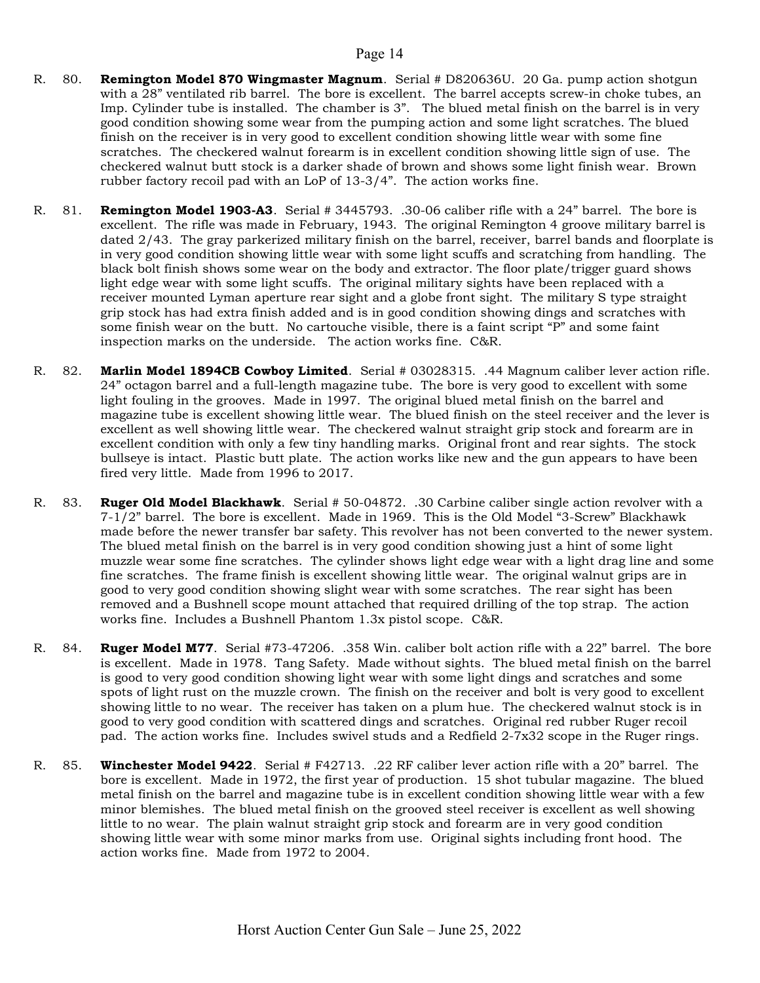- R. 80. **Remington Model 870 Wingmaster Magnum**. Serial # D820636U. 20 Ga. pump action shotgun with a 28" ventilated rib barrel. The bore is excellent. The barrel accepts screw-in choke tubes, an Imp. Cylinder tube is installed. The chamber is 3". The blued metal finish on the barrel is in very good condition showing some wear from the pumping action and some light scratches. The blued finish on the receiver is in very good to excellent condition showing little wear with some fine scratches. The checkered walnut forearm is in excellent condition showing little sign of use. The checkered walnut butt stock is a darker shade of brown and shows some light finish wear. Brown rubber factory recoil pad with an LoP of 13-3/4". The action works fine.
- R. 81. **Remington Model 1903-A3**. Serial # 3445793. .30-06 caliber rifle with a 24" barrel. The bore is excellent. The rifle was made in February, 1943. The original Remington 4 groove military barrel is dated 2/43. The gray parkerized military finish on the barrel, receiver, barrel bands and floorplate is in very good condition showing little wear with some light scuffs and scratching from handling. The black bolt finish shows some wear on the body and extractor. The floor plate/trigger guard shows light edge wear with some light scuffs. The original military sights have been replaced with a receiver mounted Lyman aperture rear sight and a globe front sight. The military S type straight grip stock has had extra finish added and is in good condition showing dings and scratches with some finish wear on the butt. No cartouche visible, there is a faint script "P" and some faint inspection marks on the underside. The action works fine. C&R.
- R. 82. Marlin Model 1894CB Cowboy Limited. Serial # 03028315. .44 Magnum caliber lever action rifle. 24" octagon barrel and a full-length magazine tube. The bore is very good to excellent with some light fouling in the grooves. Made in 1997. The original blued metal finish on the barrel and magazine tube is excellent showing little wear. The blued finish on the steel receiver and the lever is excellent as well showing little wear. The checkered walnut straight grip stock and forearm are in excellent condition with only a few tiny handling marks. Original front and rear sights. The stock bullseye is intact. Plastic butt plate. The action works like new and the gun appears to have been fired very little. Made from 1996 to 2017.
- R. 83. **Ruger Old Model Blackhawk**. Serial # 50-04872. .30 Carbine caliber single action revolver with a 7-1/2" barrel. The bore is excellent. Made in 1969. This is the Old Model "3-Screw" Blackhawk made before the newer transfer bar safety. This revolver has not been converted to the newer system. The blued metal finish on the barrel is in very good condition showing just a hint of some light muzzle wear some fine scratches. The cylinder shows light edge wear with a light drag line and some fine scratches. The frame finish is excellent showing little wear. The original walnut grips are in good to very good condition showing slight wear with some scratches. The rear sight has been removed and a Bushnell scope mount attached that required drilling of the top strap. The action works fine. Includes a Bushnell Phantom 1.3x pistol scope. C&R.
- R. 84. **Ruger Model M77.** Serial #73-47206. .358 Win. caliber bolt action rifle with a 22" barrel. The bore is excellent. Made in 1978. Tang Safety. Made without sights. The blued metal finish on the barrel is good to very good condition showing light wear with some light dings and scratches and some spots of light rust on the muzzle crown. The finish on the receiver and bolt is very good to excellent showing little to no wear. The receiver has taken on a plum hue. The checkered walnut stock is in good to very good condition with scattered dings and scratches. Original red rubber Ruger recoil pad. The action works fine. Includes swivel studs and a Redfield 2-7x32 scope in the Ruger rings.
- R. 85. Winchester Model 9422. Serial # F42713. .22 RF caliber lever action rifle with a 20" barrel. The bore is excellent. Made in 1972, the first year of production. 15 shot tubular magazine. The blued metal finish on the barrel and magazine tube is in excellent condition showing little wear with a few minor blemishes. The blued metal finish on the grooved steel receiver is excellent as well showing little to no wear. The plain walnut straight grip stock and forearm are in very good condition showing little wear with some minor marks from use. Original sights including front hood. The action works fine. Made from 1972 to 2004.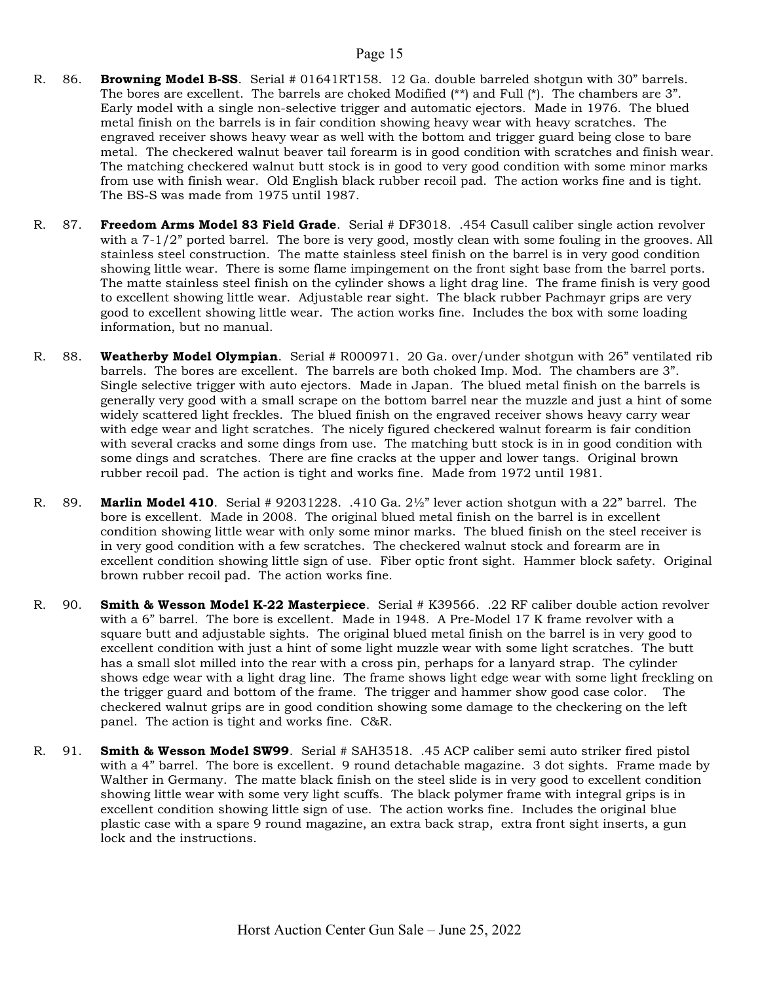- R. 86. Browning Model B-SS. Serial # 01641RT158. 12 Ga. double barreled shotgun with 30" barrels. The bores are excellent. The barrels are choked Modified  $(**)$  and Full  $(*)$ . The chambers are 3". Early model with a single non-selective trigger and automatic ejectors. Made in 1976. The blued metal finish on the barrels is in fair condition showing heavy wear with heavy scratches. The engraved receiver shows heavy wear as well with the bottom and trigger guard being close to bare metal. The checkered walnut beaver tail forearm is in good condition with scratches and finish wear. The matching checkered walnut butt stock is in good to very good condition with some minor marks from use with finish wear. Old English black rubber recoil pad. The action works fine and is tight. The BS-S was made from 1975 until 1987.
- R. 87. Freedom Arms Model 83 Field Grade. Serial # DF3018. .454 Casull caliber single action revolver with a 7-1/2" ported barrel. The bore is very good, mostly clean with some fouling in the grooves. All stainless steel construction. The matte stainless steel finish on the barrel is in very good condition showing little wear. There is some flame impingement on the front sight base from the barrel ports. The matte stainless steel finish on the cylinder shows a light drag line. The frame finish is very good to excellent showing little wear. Adjustable rear sight. The black rubber Pachmayr grips are very good to excellent showing little wear. The action works fine. Includes the box with some loading information, but no manual.
- R. 88. Weatherby Model Olympian. Serial # R000971. 20 Ga. over/under shotgun with 26" ventilated rib barrels. The bores are excellent. The barrels are both choked Imp. Mod. The chambers are 3". Single selective trigger with auto ejectors. Made in Japan. The blued metal finish on the barrels is generally very good with a small scrape on the bottom barrel near the muzzle and just a hint of some widely scattered light freckles. The blued finish on the engraved receiver shows heavy carry wear with edge wear and light scratches. The nicely figured checkered walnut forearm is fair condition with several cracks and some dings from use. The matching butt stock is in in good condition with some dings and scratches. There are fine cracks at the upper and lower tangs. Original brown rubber recoil pad. The action is tight and works fine. Made from 1972 until 1981.
- R. 89. **Marlin Model 410.** Serial #  $92031228$ . .410 Ga.  $2\frac{1}{2}$  lever action shotgun with a 22<sup>"</sup> barrel. The bore is excellent. Made in 2008. The original blued metal finish on the barrel is in excellent condition showing little wear with only some minor marks. The blued finish on the steel receiver is in very good condition with a few scratches. The checkered walnut stock and forearm are in excellent condition showing little sign of use. Fiber optic front sight. Hammer block safety. Original brown rubber recoil pad. The action works fine.
- R. 90. Smith & Wesson Model K-22 Masterpiece. Serial # K39566. .22 RF caliber double action revolver with a 6" barrel. The bore is excellent. Made in 1948. A Pre-Model 17 K frame revolver with a square butt and adjustable sights. The original blued metal finish on the barrel is in very good to excellent condition with just a hint of some light muzzle wear with some light scratches. The butt has a small slot milled into the rear with a cross pin, perhaps for a lanyard strap. The cylinder shows edge wear with a light drag line. The frame shows light edge wear with some light freckling on the trigger guard and bottom of the frame. The trigger and hammer show good case color. The checkered walnut grips are in good condition showing some damage to the checkering on the left panel. The action is tight and works fine. C&R.
- R. 91. Smith & Wesson Model SW99. Serial # SAH3518. .45 ACP caliber semi auto striker fired pistol with a 4" barrel. The bore is excellent. 9 round detachable magazine. 3 dot sights. Frame made by Walther in Germany. The matte black finish on the steel slide is in very good to excellent condition showing little wear with some very light scuffs. The black polymer frame with integral grips is in excellent condition showing little sign of use. The action works fine. Includes the original blue plastic case with a spare 9 round magazine, an extra back strap, extra front sight inserts, a gun lock and the instructions.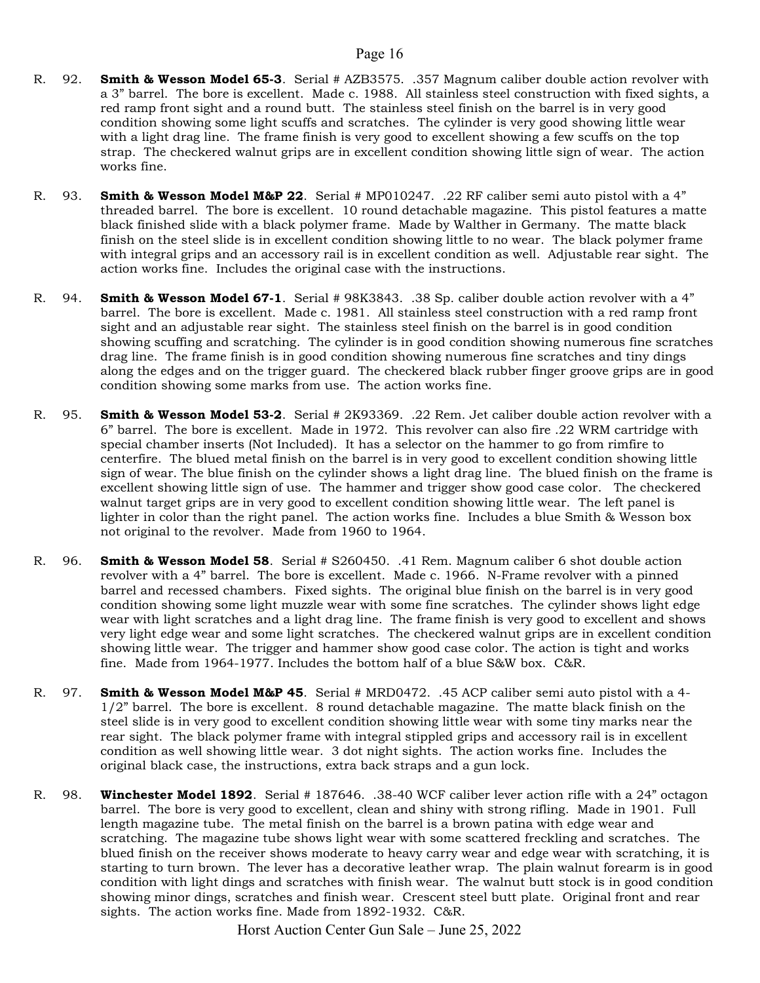- R. 92. Smith & Wesson Model 65-3. Serial # AZB3575. .357 Magnum caliber double action revolver with a 3" barrel. The bore is excellent. Made c. 1988. All stainless steel construction with fixed sights, a red ramp front sight and a round butt. The stainless steel finish on the barrel is in very good condition showing some light scuffs and scratches. The cylinder is very good showing little wear with a light drag line. The frame finish is very good to excellent showing a few scuffs on the top strap. The checkered walnut grips are in excellent condition showing little sign of wear. The action works fine.
- R. 93. **Smith & Wesson Model M&P 22.** Serial # MP010247. .22 RF caliber semi auto pistol with a 4" threaded barrel. The bore is excellent. 10 round detachable magazine. This pistol features a matte black finished slide with a black polymer frame. Made by Walther in Germany. The matte black finish on the steel slide is in excellent condition showing little to no wear. The black polymer frame with integral grips and an accessory rail is in excellent condition as well. Adjustable rear sight. The action works fine. Includes the original case with the instructions.
- R. 94. **Smith & Wesson Model 67-1**. Serial # 98K3843. .38 Sp. caliber double action revolver with a 4" barrel. The bore is excellent. Made c. 1981. All stainless steel construction with a red ramp front sight and an adjustable rear sight. The stainless steel finish on the barrel is in good condition showing scuffing and scratching. The cylinder is in good condition showing numerous fine scratches drag line. The frame finish is in good condition showing numerous fine scratches and tiny dings along the edges and on the trigger guard. The checkered black rubber finger groove grips are in good condition showing some marks from use. The action works fine.
- R. 95. **Smith & Wesson Model 53-2**. Serial # 2K93369. .22 Rem. Jet caliber double action revolver with a 6" barrel. The bore is excellent. Made in 1972. This revolver can also fire .22 WRM cartridge with special chamber inserts (Not Included). It has a selector on the hammer to go from rimfire to centerfire. The blued metal finish on the barrel is in very good to excellent condition showing little sign of wear. The blue finish on the cylinder shows a light drag line. The blued finish on the frame is excellent showing little sign of use. The hammer and trigger show good case color. The checkered walnut target grips are in very good to excellent condition showing little wear. The left panel is lighter in color than the right panel. The action works fine. Includes a blue Smith & Wesson box not original to the revolver. Made from 1960 to 1964.
- R. 96. **Smith & Wesson Model 58**. Serial # S260450. .41 Rem. Magnum caliber 6 shot double action revolver with a 4" barrel. The bore is excellent. Made c. 1966. N-Frame revolver with a pinned barrel and recessed chambers. Fixed sights. The original blue finish on the barrel is in very good condition showing some light muzzle wear with some fine scratches. The cylinder shows light edge wear with light scratches and a light drag line. The frame finish is very good to excellent and shows very light edge wear and some light scratches. The checkered walnut grips are in excellent condition showing little wear. The trigger and hammer show good case color. The action is tight and works fine. Made from 1964-1977. Includes the bottom half of a blue S&W box. C&R.
- R. 97. **Smith & Wesson Model M&P 45**. Serial # MRD0472. .45 ACP caliber semi auto pistol with a 4-1/2" barrel. The bore is excellent. 8 round detachable magazine. The matte black finish on the steel slide is in very good to excellent condition showing little wear with some tiny marks near the rear sight. The black polymer frame with integral stippled grips and accessory rail is in excellent condition as well showing little wear. 3 dot night sights. The action works fine. Includes the original black case, the instructions, extra back straps and a gun lock.
- R. 98. Winchester Model 1892. Serial # 187646. .38-40 WCF caliber lever action rifle with a 24" octagon barrel. The bore is very good to excellent, clean and shiny with strong rifling. Made in 1901. Full length magazine tube. The metal finish on the barrel is a brown patina with edge wear and scratching. The magazine tube shows light wear with some scattered freckling and scratches. The blued finish on the receiver shows moderate to heavy carry wear and edge wear with scratching, it is starting to turn brown. The lever has a decorative leather wrap. The plain walnut forearm is in good condition with light dings and scratches with finish wear. The walnut butt stock is in good condition showing minor dings, scratches and finish wear. Crescent steel butt plate. Original front and rear sights. The action works fine. Made from 1892-1932. C&R.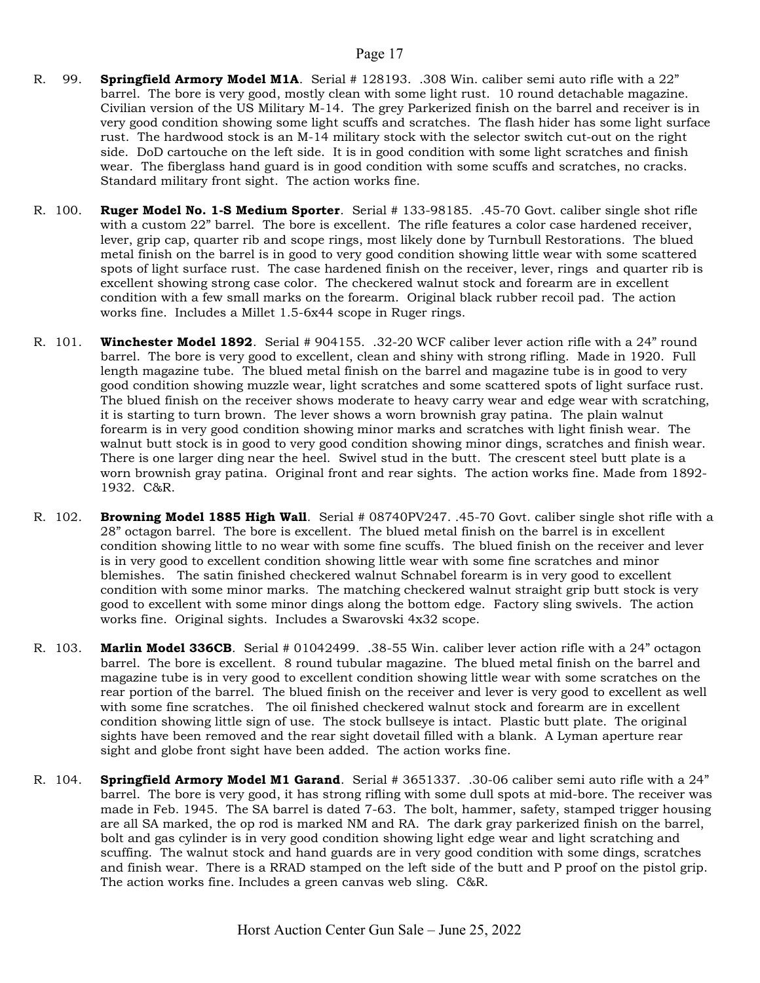- R. 99. **Springfield Armory Model M1A**. Serial # 128193. .308 Win. caliber semi auto rifle with a 22" barrel. The bore is very good, mostly clean with some light rust. 10 round detachable magazine. Civilian version of the US Military M-14. The grey Parkerized finish on the barrel and receiver is in very good condition showing some light scuffs and scratches. The flash hider has some light surface rust. The hardwood stock is an M-14 military stock with the selector switch cut-out on the right side. DoD cartouche on the left side. It is in good condition with some light scratches and finish wear. The fiberglass hand guard is in good condition with some scuffs and scratches, no cracks. Standard military front sight. The action works fine.
- R. 100. Ruger Model No. 1-S Medium Sporter. Serial # 133-98185. .45-70 Govt. caliber single shot rifle with a custom 22" barrel. The bore is excellent. The rifle features a color case hardened receiver, lever, grip cap, quarter rib and scope rings, most likely done by Turnbull Restorations. The blued metal finish on the barrel is in good to very good condition showing little wear with some scattered spots of light surface rust. The case hardened finish on the receiver, lever, rings and quarter rib is excellent showing strong case color. The checkered walnut stock and forearm are in excellent condition with a few small marks on the forearm. Original black rubber recoil pad. The action works fine. Includes a Millet 1.5-6x44 scope in Ruger rings.
- R. 101. Winchester Model 1892. Serial # 904155. .32-20 WCF caliber lever action rifle with a 24" round barrel. The bore is very good to excellent, clean and shiny with strong rifling. Made in 1920. Full length magazine tube. The blued metal finish on the barrel and magazine tube is in good to very good condition showing muzzle wear, light scratches and some scattered spots of light surface rust. The blued finish on the receiver shows moderate to heavy carry wear and edge wear with scratching, it is starting to turn brown. The lever shows a worn brownish gray patina. The plain walnut forearm is in very good condition showing minor marks and scratches with light finish wear. The walnut butt stock is in good to very good condition showing minor dings, scratches and finish wear. There is one larger ding near the heel. Swivel stud in the butt. The crescent steel butt plate is a worn brownish gray patina. Original front and rear sights. The action works fine. Made from 1892- 1932. C&R.
- R. 102. Browning Model 1885 High Wall. Serial # 08740PV247. .45-70 Govt. caliber single shot rifle with a 28" octagon barrel. The bore is excellent. The blued metal finish on the barrel is in excellent condition showing little to no wear with some fine scuffs. The blued finish on the receiver and lever is in very good to excellent condition showing little wear with some fine scratches and minor blemishes. The satin finished checkered walnut Schnabel forearm is in very good to excellent condition with some minor marks. The matching checkered walnut straight grip butt stock is very good to excellent with some minor dings along the bottom edge. Factory sling swivels. The action works fine. Original sights. Includes a Swarovski 4x32 scope.
- R. 103. Marlin Model 336CB. Serial # 01042499. .38-55 Win. caliber lever action rifle with a 24" octagon barrel. The bore is excellent. 8 round tubular magazine. The blued metal finish on the barrel and magazine tube is in very good to excellent condition showing little wear with some scratches on the rear portion of the barrel. The blued finish on the receiver and lever is very good to excellent as well with some fine scratches. The oil finished checkered walnut stock and forearm are in excellent condition showing little sign of use. The stock bullseye is intact. Plastic butt plate. The original sights have been removed and the rear sight dovetail filled with a blank. A Lyman aperture rear sight and globe front sight have been added. The action works fine.
- R. 104. Springfield Armory Model M1 Garand. Serial # 3651337. .30-06 caliber semi auto rifle with a 24" barrel. The bore is very good, it has strong rifling with some dull spots at mid-bore. The receiver was made in Feb. 1945. The SA barrel is dated 7-63. The bolt, hammer, safety, stamped trigger housing are all SA marked, the op rod is marked NM and RA. The dark gray parkerized finish on the barrel, bolt and gas cylinder is in very good condition showing light edge wear and light scratching and scuffing. The walnut stock and hand guards are in very good condition with some dings, scratches and finish wear. There is a RRAD stamped on the left side of the butt and P proof on the pistol grip. The action works fine. Includes a green canvas web sling. C&R.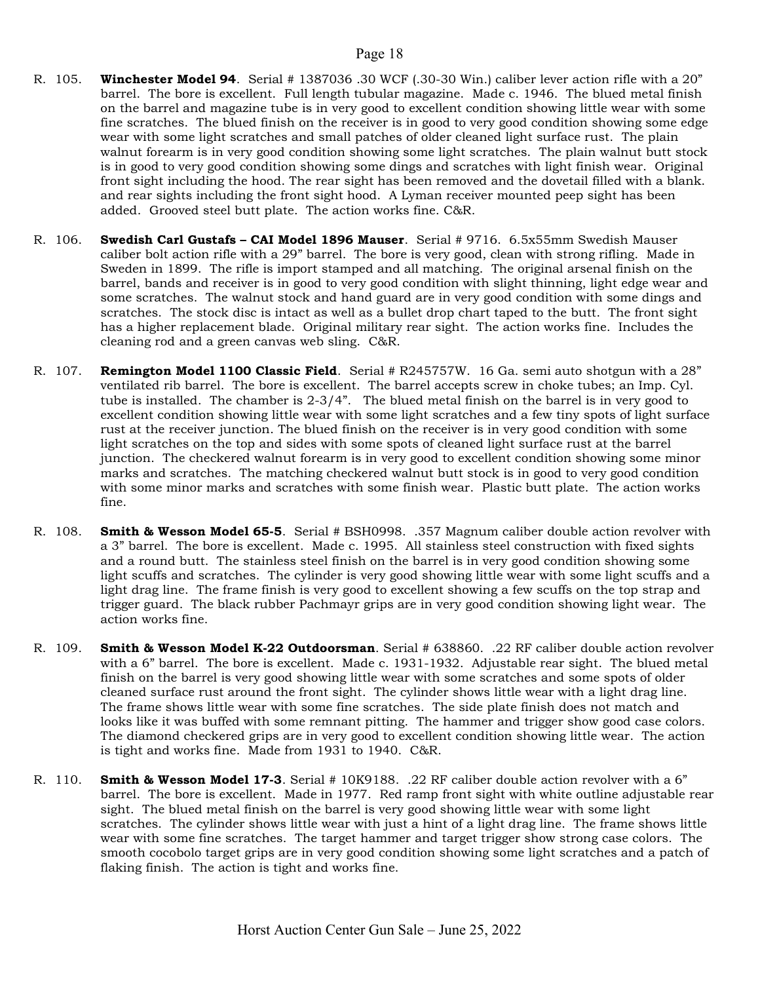- R. 105. Winchester Model 94. Serial # 1387036 .30 WCF (.30-30 Win.) caliber lever action rifle with a 20" barrel. The bore is excellent. Full length tubular magazine. Made c. 1946. The blued metal finish on the barrel and magazine tube is in very good to excellent condition showing little wear with some fine scratches. The blued finish on the receiver is in good to very good condition showing some edge wear with some light scratches and small patches of older cleaned light surface rust. The plain walnut forearm is in very good condition showing some light scratches. The plain walnut butt stock is in good to very good condition showing some dings and scratches with light finish wear. Original front sight including the hood. The rear sight has been removed and the dovetail filled with a blank. and rear sights including the front sight hood. A Lyman receiver mounted peep sight has been added. Grooved steel butt plate. The action works fine. C&R.
- R. 106. Swedish Carl Gustafs CAI Model 1896 Mauser. Serial # 9716. 6.5x55mm Swedish Mauser caliber bolt action rifle with a 29" barrel. The bore is very good, clean with strong rifling. Made in Sweden in 1899. The rifle is import stamped and all matching. The original arsenal finish on the barrel, bands and receiver is in good to very good condition with slight thinning, light edge wear and some scratches. The walnut stock and hand guard are in very good condition with some dings and scratches. The stock disc is intact as well as a bullet drop chart taped to the butt. The front sight has a higher replacement blade. Original military rear sight. The action works fine. Includes the cleaning rod and a green canvas web sling. C&R.
- R. 107. **Remington Model 1100 Classic Field**. Serial # R245757W. 16 Ga. semi auto shotgun with a 28" ventilated rib barrel. The bore is excellent. The barrel accepts screw in choke tubes; an Imp. Cyl. tube is installed. The chamber is 2-3/4". The blued metal finish on the barrel is in very good to excellent condition showing little wear with some light scratches and a few tiny spots of light surface rust at the receiver junction. The blued finish on the receiver is in very good condition with some light scratches on the top and sides with some spots of cleaned light surface rust at the barrel junction. The checkered walnut forearm is in very good to excellent condition showing some minor marks and scratches. The matching checkered walnut butt stock is in good to very good condition with some minor marks and scratches with some finish wear. Plastic butt plate. The action works fine.
- R. 108. Smith & Wesson Model 65-5. Serial # BSH0998. .357 Magnum caliber double action revolver with a 3" barrel. The bore is excellent. Made c. 1995. All stainless steel construction with fixed sights and a round butt. The stainless steel finish on the barrel is in very good condition showing some light scuffs and scratches. The cylinder is very good showing little wear with some light scuffs and a light drag line. The frame finish is very good to excellent showing a few scuffs on the top strap and trigger guard. The black rubber Pachmayr grips are in very good condition showing light wear. The action works fine.
- R. 109. Smith & Wesson Model K-22 Outdoorsman. Serial # 638860. .22 RF caliber double action revolver with a 6" barrel. The bore is excellent. Made c. 1931-1932. Adjustable rear sight. The blued metal finish on the barrel is very good showing little wear with some scratches and some spots of older cleaned surface rust around the front sight. The cylinder shows little wear with a light drag line. The frame shows little wear with some fine scratches. The side plate finish does not match and looks like it was buffed with some remnant pitting. The hammer and trigger show good case colors. The diamond checkered grips are in very good to excellent condition showing little wear. The action is tight and works fine. Made from 1931 to 1940. C&R.
- R. 110. **Smith & Wesson Model 17-3**. Serial # 10K9188. .22 RF caliber double action revolver with a 6" barrel. The bore is excellent. Made in 1977. Red ramp front sight with white outline adjustable rear sight. The blued metal finish on the barrel is very good showing little wear with some light scratches. The cylinder shows little wear with just a hint of a light drag line. The frame shows little wear with some fine scratches. The target hammer and target trigger show strong case colors. The smooth cocobolo target grips are in very good condition showing some light scratches and a patch of flaking finish. The action is tight and works fine.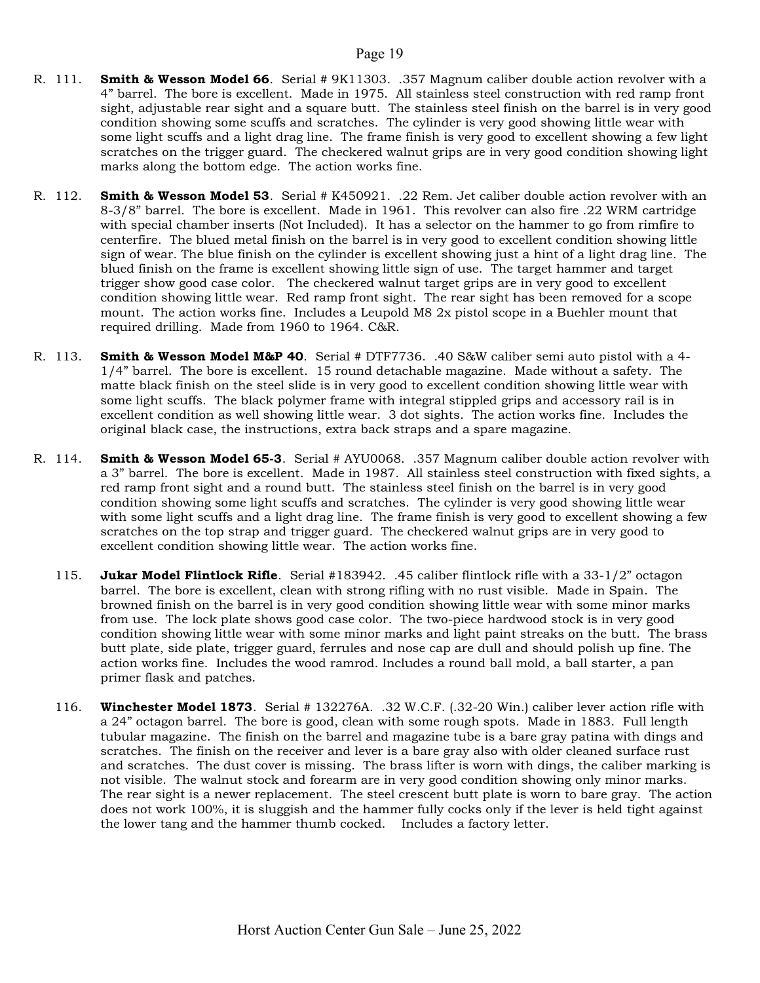- R. 111. Smith & Wesson Model 66. Serial # 9K11303. .357 Magnum caliber double action revolver with a 4" barrel. The bore is excellent. Made in 1975. All stainless steel construction with red ramp front sight, adjustable rear sight and a square butt. The stainless steel finish on the barrel is in very good condition showing some scuffs and scratches. The cylinder is very good showing little wear with some light scuffs and a light drag line. The frame finish is very good to excellent showing a few light scratches on the trigger guard. The checkered walnut grips are in very good condition showing light marks along the bottom edge. The action works fine.
- R. 112. Smith & Wesson Model 53. Serial # K450921. .22 Rem. Jet caliber double action revolver with an 8-3/8" barrel. The bore is excellent. Made in 1961. This revolver can also fire .22 WRM cartridge with special chamber inserts (Not Included). It has a selector on the hammer to go from rimfire to centerfire. The blued metal finish on the barrel is in very good to excellent condition showing little sign of wear. The blue finish on the cylinder is excellent showing just a hint of a light drag line. The blued finish on the frame is excellent showing little sign of use. The target hammer and target trigger show good case color. The checkered walnut target grips are in very good to excellent condition showing little wear. Red ramp front sight. The rear sight has been removed for a scope mount. The action works fine. Includes a Leupold M8 2x pistol scope in a Buehler mount that required drilling. Made from 1960 to 1964. C&R.
- R. 113. **Smith & Wesson Model M&P 40**. Serial # DTF7736. .40 S&W caliber semi auto pistol with a 4-1/4" barrel. The bore is excellent. 15 round detachable magazine. Made without a safety. The matte black finish on the steel slide is in very good to excellent condition showing little wear with some light scuffs. The black polymer frame with integral stippled grips and accessory rail is in excellent condition as well showing little wear. 3 dot sights. The action works fine. Includes the original black case, the instructions, extra back straps and a spare magazine.
- R. 114. **Smith & Wesson Model 65-3**. Serial # AYU0068. .357 Magnum caliber double action revolver with a 3" barrel. The bore is excellent. Made in 1987. All stainless steel construction with fixed sights, a red ramp front sight and a round butt. The stainless steel finish on the barrel is in very good condition showing some light scuffs and scratches. The cylinder is very good showing little wear with some light scuffs and a light drag line. The frame finish is very good to excellent showing a few scratches on the top strap and trigger guard. The checkered walnut grips are in very good to excellent condition showing little wear. The action works fine.
	- 115. **Jukar Model Flintlock Rifle**. Serial #183942. .45 caliber flintlock rifle with a 33-1/2" octagon barrel. The bore is excellent, clean with strong rifling with no rust visible. Made in Spain. The browned finish on the barrel is in very good condition showing little wear with some minor marks from use. The lock plate shows good case color. The two-piece hardwood stock is in very good condition showing little wear with some minor marks and light paint streaks on the butt. The brass butt plate, side plate, trigger guard, ferrules and nose cap are dull and should polish up fine. The action works fine. Includes the wood ramrod. Includes a round ball mold, a ball starter, a pan primer flask and patches.
	- 116. Winchester Model 1873. Serial # 132276A. .32 W.C.F. (.32-20 Win.) caliber lever action rifle with a 24" octagon barrel. The bore is good, clean with some rough spots. Made in 1883. Full length tubular magazine. The finish on the barrel and magazine tube is a bare gray patina with dings and scratches. The finish on the receiver and lever is a bare gray also with older cleaned surface rust and scratches. The dust cover is missing. The brass lifter is worn with dings, the caliber marking is not visible. The walnut stock and forearm are in very good condition showing only minor marks. The rear sight is a newer replacement. The steel crescent butt plate is worn to bare gray. The action does not work 100%, it is sluggish and the hammer fully cocks only if the lever is held tight against the lower tang and the hammer thumb cocked. Includes a factory letter.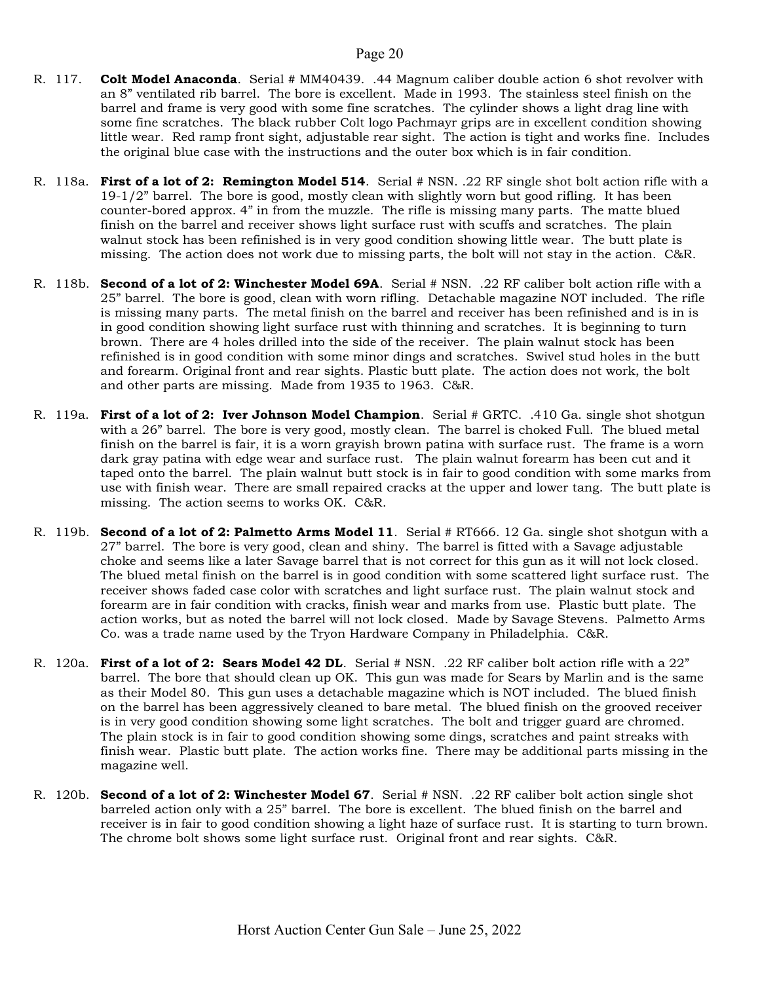- R. 117. Colt Model Anaconda. Serial # MM40439. .44 Magnum caliber double action 6 shot revolver with an 8" ventilated rib barrel. The bore is excellent. Made in 1993. The stainless steel finish on the barrel and frame is very good with some fine scratches. The cylinder shows a light drag line with some fine scratches. The black rubber Colt logo Pachmayr grips are in excellent condition showing little wear. Red ramp front sight, adjustable rear sight. The action is tight and works fine. Includes the original blue case with the instructions and the outer box which is in fair condition.
- R. 118a. First of a lot of 2: Remington Model 514. Serial # NSN. .22 RF single shot bolt action rifle with a 19-1/2" barrel. The bore is good, mostly clean with slightly worn but good rifling. It has been counter-bored approx. 4" in from the muzzle. The rifle is missing many parts. The matte blued finish on the barrel and receiver shows light surface rust with scuffs and scratches. The plain walnut stock has been refinished is in very good condition showing little wear. The butt plate is missing. The action does not work due to missing parts, the bolt will not stay in the action. C&R.
- R. 118b. Second of a lot of 2: Winchester Model 69A. Serial # NSN. .22 RF caliber bolt action rifle with a 25" barrel. The bore is good, clean with worn rifling. Detachable magazine NOT included. The rifle is missing many parts. The metal finish on the barrel and receiver has been refinished and is in is in good condition showing light surface rust with thinning and scratches. It is beginning to turn brown. There are 4 holes drilled into the side of the receiver. The plain walnut stock has been refinished is in good condition with some minor dings and scratches. Swivel stud holes in the butt and forearm. Original front and rear sights. Plastic butt plate. The action does not work, the bolt and other parts are missing. Made from 1935 to 1963. C&R.
- R. 119a. First of a lot of 2: Iver Johnson Model Champion. Serial # GRTC. .410 Ga. single shot shotgun with a 26" barrel. The bore is very good, mostly clean. The barrel is choked Full. The blued metal finish on the barrel is fair, it is a worn grayish brown patina with surface rust. The frame is a worn dark gray patina with edge wear and surface rust. The plain walnut forearm has been cut and it taped onto the barrel. The plain walnut butt stock is in fair to good condition with some marks from use with finish wear. There are small repaired cracks at the upper and lower tang. The butt plate is missing. The action seems to works OK. C&R.
- R. 119b. Second of a lot of 2: Palmetto Arms Model 11. Serial # RT666. 12 Ga. single shot shotgun with a 27" barrel. The bore is very good, clean and shiny. The barrel is fitted with a Savage adjustable choke and seems like a later Savage barrel that is not correct for this gun as it will not lock closed. The blued metal finish on the barrel is in good condition with some scattered light surface rust. The receiver shows faded case color with scratches and light surface rust. The plain walnut stock and forearm are in fair condition with cracks, finish wear and marks from use. Plastic butt plate. The action works, but as noted the barrel will not lock closed. Made by Savage Stevens. Palmetto Arms Co. was a trade name used by the Tryon Hardware Company in Philadelphia. C&R.
- R. 120a. First of a lot of 2: Sears Model 42 DL. Serial # NSN. .22 RF caliber bolt action rifle with a 22" barrel. The bore that should clean up OK. This gun was made for Sears by Marlin and is the same as their Model 80. This gun uses a detachable magazine which is NOT included. The blued finish on the barrel has been aggressively cleaned to bare metal. The blued finish on the grooved receiver is in very good condition showing some light scratches. The bolt and trigger guard are chromed. The plain stock is in fair to good condition showing some dings, scratches and paint streaks with finish wear. Plastic butt plate. The action works fine. There may be additional parts missing in the magazine well.
- R. 120b. Second of a lot of 2: Winchester Model 67. Serial # NSN. .22 RF caliber bolt action single shot barreled action only with a 25" barrel. The bore is excellent. The blued finish on the barrel and receiver is in fair to good condition showing a light haze of surface rust. It is starting to turn brown. The chrome bolt shows some light surface rust. Original front and rear sights. C&R.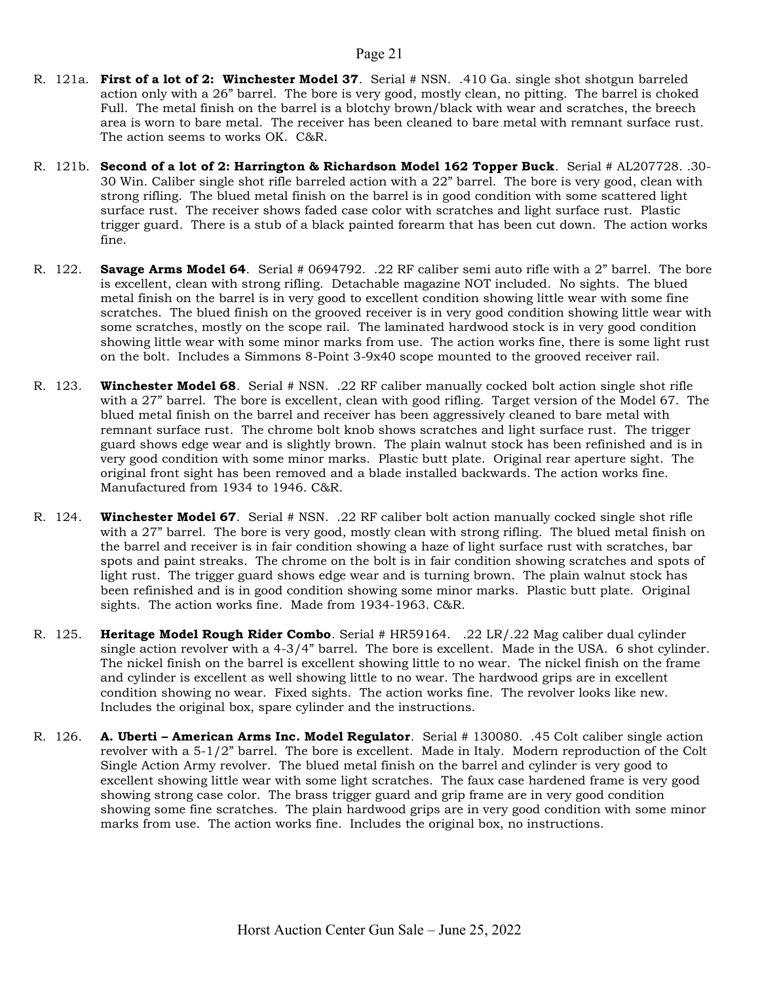- R. 121a. First of a lot of 2: Winchester Model 37. Serial # NSN. .410 Ga. single shot shotgun barreled action only with a 26" barrel. The bore is very good, mostly clean, no pitting. The barrel is choked Full. The metal finish on the barrel is a blotchy brown/black with wear and scratches, the breech area is worn to bare metal. The receiver has been cleaned to bare metal with remnant surface rust. The action seems to works OK. C&R.
- R. 121b. Second of a lot of 2: Harrington & Richardson Model 162 Topper Buck. Serial # AL207728. .30-30 Win. Caliber single shot rifle barreled action with a 22" barrel. The bore is very good, clean with strong rifling. The blued metal finish on the barrel is in good condition with some scattered light surface rust. The receiver shows faded case color with scratches and light surface rust. Plastic trigger guard. There is a stub of a black painted forearm that has been cut down. The action works fine.
- R. 122. Savage Arms Model 64. Serial # 0694792. .22 RF caliber semi auto rifle with a 2" barrel. The bore is excellent, clean with strong rifling. Detachable magazine NOT included. No sights. The blued metal finish on the barrel is in very good to excellent condition showing little wear with some fine scratches. The blued finish on the grooved receiver is in very good condition showing little wear with some scratches, mostly on the scope rail. The laminated hardwood stock is in very good condition showing little wear with some minor marks from use. The action works fine, there is some light rust on the bolt. Includes a Simmons 8-Point 3-9x40 scope mounted to the grooved receiver rail.
- R. 123. Winchester Model 68. Serial # NSN. .22 RF caliber manually cocked bolt action single shot rifle with a 27" barrel. The bore is excellent, clean with good rifling. Target version of the Model 67. The blued metal finish on the barrel and receiver has been aggressively cleaned to bare metal with remnant surface rust. The chrome bolt knob shows scratches and light surface rust. The trigger guard shows edge wear and is slightly brown. The plain walnut stock has been refinished and is in very good condition with some minor marks. Plastic butt plate. Original rear aperture sight. The original front sight has been removed and a blade installed backwards. The action works fine. Manufactured from 1934 to 1946. C&R.
- R. 124. Winchester Model 67. Serial # NSN. .22 RF caliber bolt action manually cocked single shot rifle with a 27" barrel. The bore is very good, mostly clean with strong rifling. The blued metal finish on the barrel and receiver is in fair condition showing a haze of light surface rust with scratches, bar spots and paint streaks. The chrome on the bolt is in fair condition showing scratches and spots of light rust. The trigger guard shows edge wear and is turning brown. The plain walnut stock has been refinished and is in good condition showing some minor marks. Plastic butt plate. Original sights. The action works fine. Made from 1934-1963. C&R.
- R. 125. Heritage Model Rough Rider Combo. Serial # HR59164. .22 LR/.22 Mag caliber dual cylinder single action revolver with a 4-3/4" barrel. The bore is excellent. Made in the USA. 6 shot cylinder. The nickel finish on the barrel is excellent showing little to no wear. The nickel finish on the frame and cylinder is excellent as well showing little to no wear. The hardwood grips are in excellent condition showing no wear. Fixed sights. The action works fine. The revolver looks like new. Includes the original box, spare cylinder and the instructions.
- R. 126. A. Uberti American Arms Inc. Model Regulator. Serial # 130080. .45 Colt caliber single action revolver with a 5-1/2" barrel. The bore is excellent. Made in Italy. Modern reproduction of the Colt Single Action Army revolver. The blued metal finish on the barrel and cylinder is very good to excellent showing little wear with some light scratches. The faux case hardened frame is very good showing strong case color. The brass trigger guard and grip frame are in very good condition showing some fine scratches. The plain hardwood grips are in very good condition with some minor marks from use. The action works fine. Includes the original box, no instructions.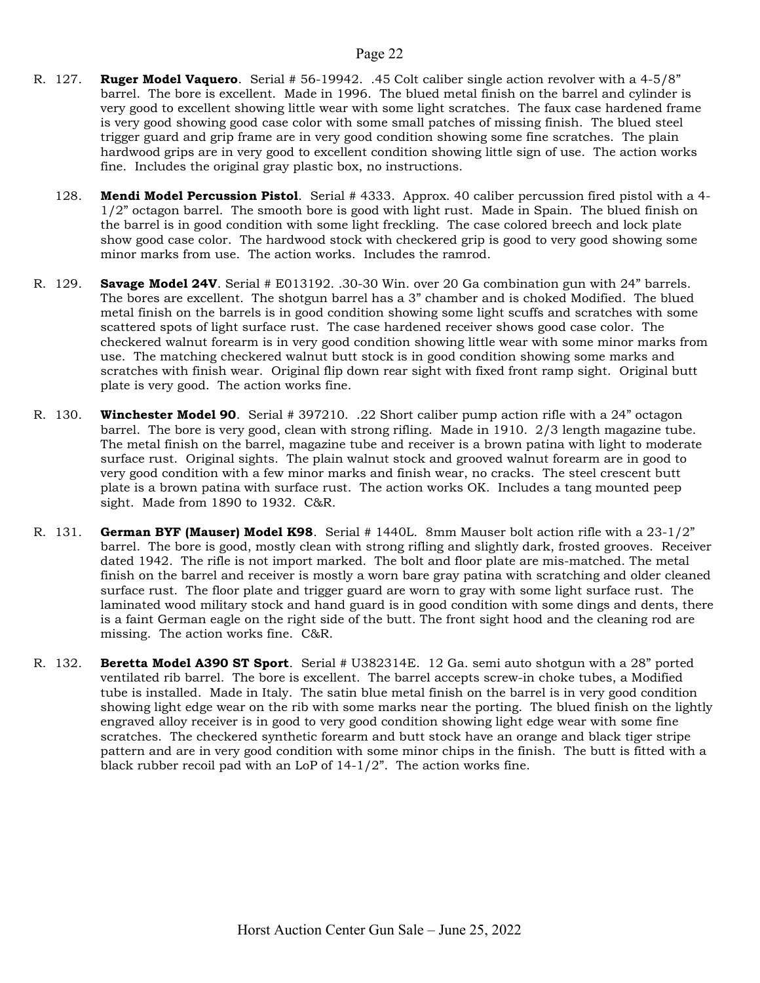- R. 127. Ruger Model Vaquero. Serial # 56-19942. .45 Colt caliber single action revolver with a 4-5/8" barrel. The bore is excellent. Made in 1996. The blued metal finish on the barrel and cylinder is very good to excellent showing little wear with some light scratches. The faux case hardened frame is very good showing good case color with some small patches of missing finish. The blued steel trigger guard and grip frame are in very good condition showing some fine scratches. The plain hardwood grips are in very good to excellent condition showing little sign of use. The action works fine. Includes the original gray plastic box, no instructions.
	- 128. Mendi Model Percussion Pistol. Serial # 4333. Approx. 40 caliber percussion fired pistol with a 4-1/2" octagon barrel. The smooth bore is good with light rust. Made in Spain. The blued finish on the barrel is in good condition with some light freckling. The case colored breech and lock plate show good case color. The hardwood stock with checkered grip is good to very good showing some minor marks from use. The action works. Includes the ramrod.
- R. 129. Savage Model 24V. Serial # E013192. .30-30 Win. over 20 Ga combination gun with 24" barrels. The bores are excellent. The shotgun barrel has a 3" chamber and is choked Modified. The blued metal finish on the barrels is in good condition showing some light scuffs and scratches with some scattered spots of light surface rust. The case hardened receiver shows good case color. The checkered walnut forearm is in very good condition showing little wear with some minor marks from use. The matching checkered walnut butt stock is in good condition showing some marks and scratches with finish wear. Original flip down rear sight with fixed front ramp sight. Original butt plate is very good. The action works fine.
- R. 130. Winchester Model 90. Serial # 397210. .22 Short caliber pump action rifle with a 24" octagon barrel. The bore is very good, clean with strong rifling. Made in 1910. 2/3 length magazine tube. The metal finish on the barrel, magazine tube and receiver is a brown patina with light to moderate surface rust. Original sights. The plain walnut stock and grooved walnut forearm are in good to very good condition with a few minor marks and finish wear, no cracks. The steel crescent butt plate is a brown patina with surface rust. The action works OK. Includes a tang mounted peep sight. Made from 1890 to 1932. C&R.
- R. 131. German BYF (Mauser) Model K98. Serial # 1440L. 8mm Mauser bolt action rifle with a 23-1/2" barrel. The bore is good, mostly clean with strong rifling and slightly dark, frosted grooves. Receiver dated 1942. The rifle is not import marked. The bolt and floor plate are mis-matched. The metal finish on the barrel and receiver is mostly a worn bare gray patina with scratching and older cleaned surface rust. The floor plate and trigger guard are worn to gray with some light surface rust. The laminated wood military stock and hand guard is in good condition with some dings and dents, there is a faint German eagle on the right side of the butt. The front sight hood and the cleaning rod are missing. The action works fine. C&R.
- R. 132. **Beretta Model A390 ST Sport**. Serial # U382314E. 12 Ga. semi auto shotgun with a 28" ported ventilated rib barrel. The bore is excellent. The barrel accepts screw-in choke tubes, a Modified tube is installed. Made in Italy. The satin blue metal finish on the barrel is in very good condition showing light edge wear on the rib with some marks near the porting. The blued finish on the lightly engraved alloy receiver is in good to very good condition showing light edge wear with some fine scratches. The checkered synthetic forearm and butt stock have an orange and black tiger stripe pattern and are in very good condition with some minor chips in the finish. The butt is fitted with a black rubber recoil pad with an LoP of 14-1/2". The action works fine.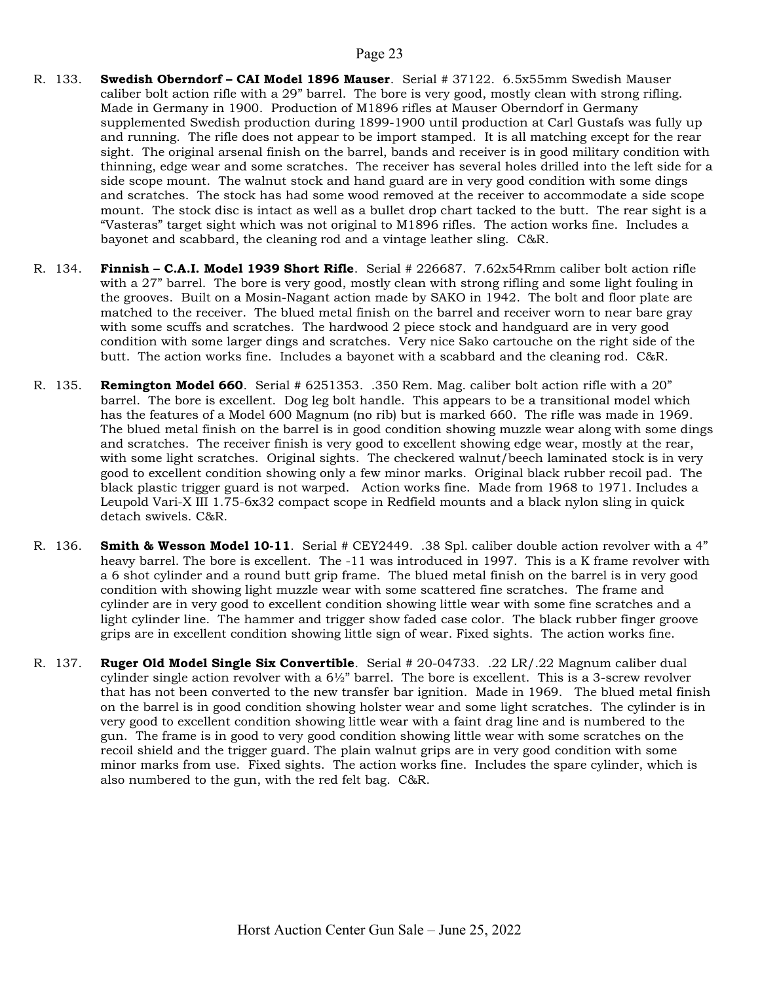- R. 133. Swedish Oberndorf CAI Model 1896 Mauser. Serial # 37122. 6.5x55mm Swedish Mauser caliber bolt action rifle with a 29" barrel. The bore is very good, mostly clean with strong rifling. Made in Germany in 1900. Production of M1896 rifles at Mauser Oberndorf in Germany supplemented Swedish production during 1899-1900 until production at Carl Gustafs was fully up and running. The rifle does not appear to be import stamped. It is all matching except for the rear sight. The original arsenal finish on the barrel, bands and receiver is in good military condition with thinning, edge wear and some scratches. The receiver has several holes drilled into the left side for a side scope mount. The walnut stock and hand guard are in very good condition with some dings and scratches. The stock has had some wood removed at the receiver to accommodate a side scope mount. The stock disc is intact as well as a bullet drop chart tacked to the butt. The rear sight is a "Vasteras" target sight which was not original to M1896 rifles. The action works fine. Includes a bayonet and scabbard, the cleaning rod and a vintage leather sling. C&R.
- R. 134. Finnish C.A.I. Model 1939 Short Rifle. Serial # 226687. 7.62x54Rmm caliber bolt action rifle with a 27" barrel. The bore is very good, mostly clean with strong rifling and some light fouling in the grooves. Built on a Mosin-Nagant action made by SAKO in 1942. The bolt and floor plate are matched to the receiver. The blued metal finish on the barrel and receiver worn to near bare gray with some scuffs and scratches. The hardwood 2 piece stock and handguard are in very good condition with some larger dings and scratches. Very nice Sako cartouche on the right side of the butt. The action works fine. Includes a bayonet with a scabbard and the cleaning rod. C&R.
- R. 135. **Remington Model 660**. Serial # 6251353. .350 Rem. Mag. caliber bolt action rifle with a 20" barrel. The bore is excellent. Dog leg bolt handle. This appears to be a transitional model which has the features of a Model 600 Magnum (no rib) but is marked 660. The rifle was made in 1969. The blued metal finish on the barrel is in good condition showing muzzle wear along with some dings and scratches. The receiver finish is very good to excellent showing edge wear, mostly at the rear, with some light scratches. Original sights. The checkered walnut/beech laminated stock is in very good to excellent condition showing only a few minor marks. Original black rubber recoil pad. The black plastic trigger guard is not warped. Action works fine. Made from 1968 to 1971. Includes a Leupold Vari-X III 1.75-6x32 compact scope in Redfield mounts and a black nylon sling in quick detach swivels. C&R.
- R. 136. Smith & Wesson Model 10-11. Serial # CEY2449. .38 Spl. caliber double action revolver with a 4" heavy barrel. The bore is excellent. The -11 was introduced in 1997. This is a K frame revolver with a 6 shot cylinder and a round butt grip frame. The blued metal finish on the barrel is in very good condition with showing light muzzle wear with some scattered fine scratches. The frame and cylinder are in very good to excellent condition showing little wear with some fine scratches and a light cylinder line. The hammer and trigger show faded case color. The black rubber finger groove grips are in excellent condition showing little sign of wear. Fixed sights. The action works fine.
- R. 137. Ruger Old Model Single Six Convertible. Serial # 20-04733. .22 LR/.22 Magnum caliber dual cylinder single action revolver with a  $6\frac{1}{2}$ " barrel. The bore is excellent. This is a 3-screw revolver that has not been converted to the new transfer bar ignition. Made in 1969. The blued metal finish on the barrel is in good condition showing holster wear and some light scratches. The cylinder is in very good to excellent condition showing little wear with a faint drag line and is numbered to the gun. The frame is in good to very good condition showing little wear with some scratches on the recoil shield and the trigger guard. The plain walnut grips are in very good condition with some minor marks from use. Fixed sights. The action works fine. Includes the spare cylinder, which is also numbered to the gun, with the red felt bag. C&R.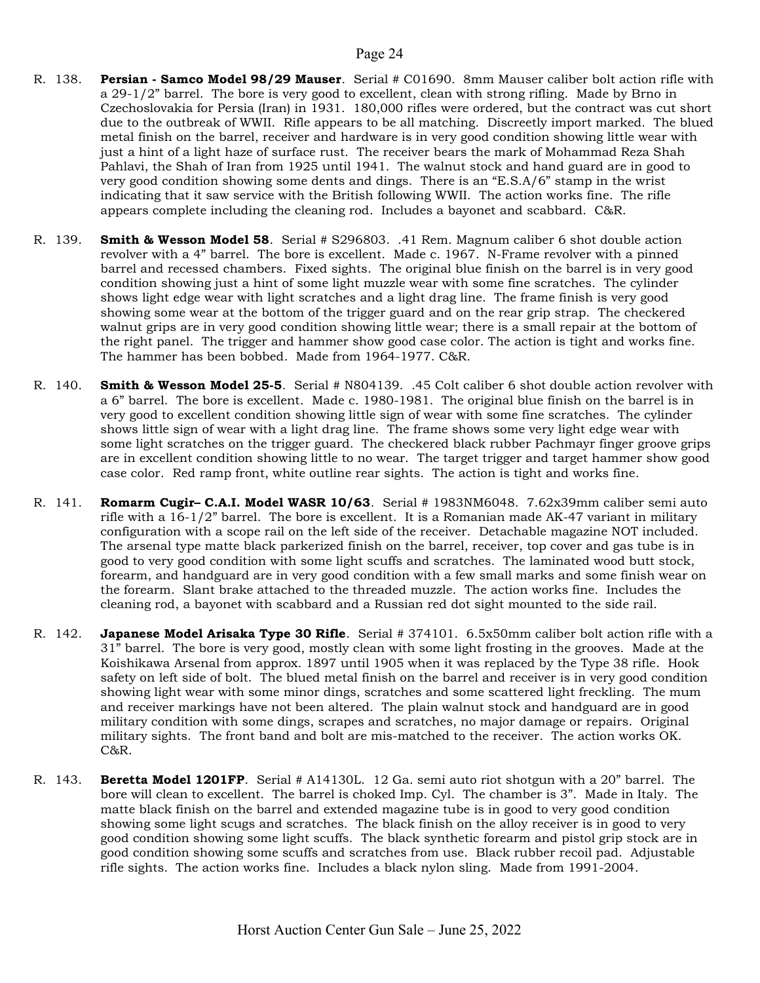- R. 138. Persian Samco Model 98/29 Mauser. Serial # C01690. 8mm Mauser caliber bolt action rifle with a 29-1/2" barrel. The bore is very good to excellent, clean with strong rifling. Made by Brno in Czechoslovakia for Persia (Iran) in 1931. 180,000 rifles were ordered, but the contract was cut short due to the outbreak of WWII. Rifle appears to be all matching. Discreetly import marked. The blued metal finish on the barrel, receiver and hardware is in very good condition showing little wear with just a hint of a light haze of surface rust. The receiver bears the mark of Mohammad Reza Shah Pahlavi, the Shah of Iran from 1925 until 1941. The walnut stock and hand guard are in good to very good condition showing some dents and dings. There is an "E.S.A/6" stamp in the wrist indicating that it saw service with the British following WWII. The action works fine. The rifle appears complete including the cleaning rod. Includes a bayonet and scabbard. C&R.
- R. 139. **Smith & Wesson Model 58**. Serial # S296803. .41 Rem. Magnum caliber 6 shot double action revolver with a 4" barrel. The bore is excellent. Made c. 1967. N-Frame revolver with a pinned barrel and recessed chambers. Fixed sights. The original blue finish on the barrel is in very good condition showing just a hint of some light muzzle wear with some fine scratches. The cylinder shows light edge wear with light scratches and a light drag line. The frame finish is very good showing some wear at the bottom of the trigger guard and on the rear grip strap. The checkered walnut grips are in very good condition showing little wear; there is a small repair at the bottom of the right panel. The trigger and hammer show good case color. The action is tight and works fine. The hammer has been bobbed. Made from 1964-1977. C&R.
- R. 140. **Smith & Wesson Model 25-5**. Serial # N804139. .45 Colt caliber 6 shot double action revolver with a 6" barrel. The bore is excellent. Made c. 1980-1981. The original blue finish on the barrel is in very good to excellent condition showing little sign of wear with some fine scratches. The cylinder shows little sign of wear with a light drag line. The frame shows some very light edge wear with some light scratches on the trigger guard. The checkered black rubber Pachmayr finger groove grips are in excellent condition showing little to no wear. The target trigger and target hammer show good case color. Red ramp front, white outline rear sights. The action is tight and works fine.
- R. 141. **Romarm Cugir– C.A.I. Model WASR 10/63**. Serial # 1983NM6048. 7.62x39mm caliber semi auto rifle with a 16-1/2" barrel. The bore is excellent. It is a Romanian made AK-47 variant in military configuration with a scope rail on the left side of the receiver. Detachable magazine NOT included. The arsenal type matte black parkerized finish on the barrel, receiver, top cover and gas tube is in good to very good condition with some light scuffs and scratches. The laminated wood butt stock, forearm, and handguard are in very good condition with a few small marks and some finish wear on the forearm. Slant brake attached to the threaded muzzle. The action works fine. Includes the cleaning rod, a bayonet with scabbard and a Russian red dot sight mounted to the side rail.
- R. 142. Japanese Model Arisaka Type 30 Rifle. Serial # 374101. 6.5x50mm caliber bolt action rifle with a 31" barrel. The bore is very good, mostly clean with some light frosting in the grooves. Made at the Koishikawa Arsenal from approx. 1897 until 1905 when it was replaced by the Type 38 rifle. Hook safety on left side of bolt. The blued metal finish on the barrel and receiver is in very good condition showing light wear with some minor dings, scratches and some scattered light freckling. The mum and receiver markings have not been altered. The plain walnut stock and handguard are in good military condition with some dings, scrapes and scratches, no major damage or repairs. Original military sights. The front band and bolt are mis-matched to the receiver. The action works OK. C&R.
- R. 143. **Beretta Model 1201FP**. Serial # A14130L. 12 Ga. semi auto riot shotgun with a 20" barrel. The bore will clean to excellent. The barrel is choked Imp. Cyl. The chamber is 3". Made in Italy. The matte black finish on the barrel and extended magazine tube is in good to very good condition showing some light scugs and scratches. The black finish on the alloy receiver is in good to very good condition showing some light scuffs. The black synthetic forearm and pistol grip stock are in good condition showing some scuffs and scratches from use. Black rubber recoil pad. Adjustable rifle sights. The action works fine. Includes a black nylon sling. Made from 1991-2004.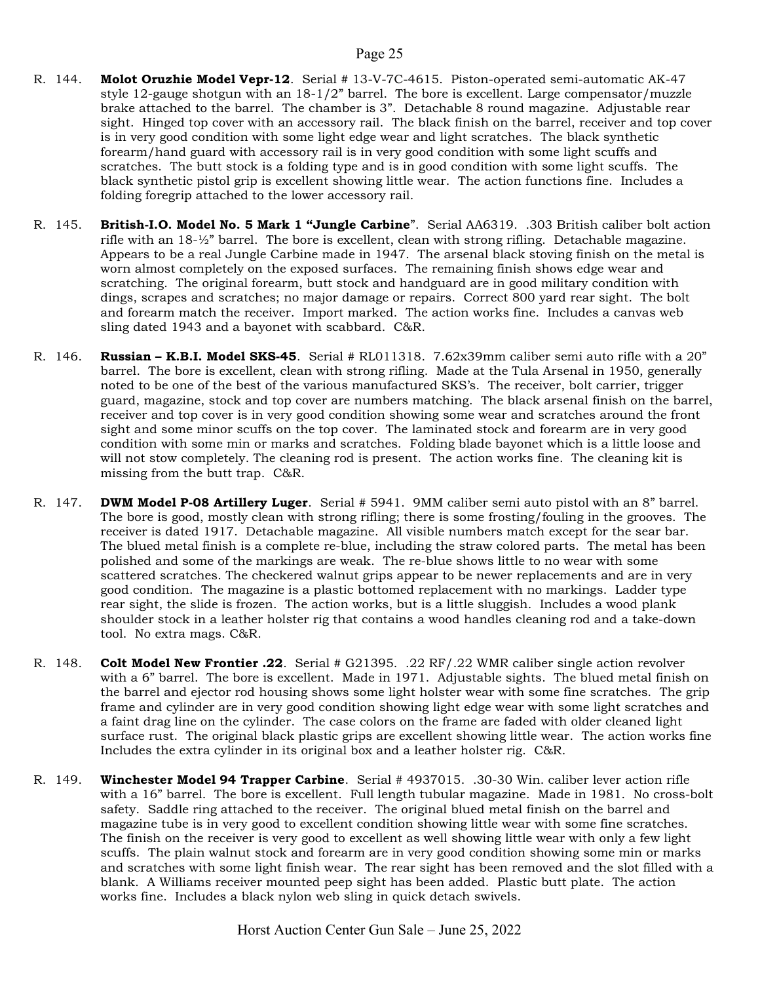- R. 144. Molot Oruzhie Model Vepr-12. Serial # 13-V-7C-4615. Piston-operated semi-automatic AK-47 style 12-gauge shotgun with an 18-1/2" barrel. The bore is excellent. Large compensator/muzzle brake attached to the barrel. The chamber is 3". Detachable 8 round magazine. Adjustable rear sight. Hinged top cover with an accessory rail. The black finish on the barrel, receiver and top cover is in very good condition with some light edge wear and light scratches. The black synthetic forearm/hand guard with accessory rail is in very good condition with some light scuffs and scratches. The butt stock is a folding type and is in good condition with some light scuffs. The black synthetic pistol grip is excellent showing little wear. The action functions fine. Includes a folding foregrip attached to the lower accessory rail.
- R. 145. British-I.O. Model No. 5 Mark 1 "Jungle Carbine". Serial AA6319. .303 British caliber bolt action rifle with an 18-½" barrel. The bore is excellent, clean with strong rifling. Detachable magazine. Appears to be a real Jungle Carbine made in 1947. The arsenal black stoving finish on the metal is worn almost completely on the exposed surfaces. The remaining finish shows edge wear and scratching. The original forearm, butt stock and handguard are in good military condition with dings, scrapes and scratches; no major damage or repairs. Correct 800 yard rear sight. The bolt and forearm match the receiver. Import marked. The action works fine. Includes a canvas web sling dated 1943 and a bayonet with scabbard. C&R.
- R. 146. **Russian K.B.I. Model SKS-45.** Serial # RL011318. 7.62x39mm caliber semi auto rifle with a 20" barrel. The bore is excellent, clean with strong rifling. Made at the Tula Arsenal in 1950, generally noted to be one of the best of the various manufactured SKS's. The receiver, bolt carrier, trigger guard, magazine, stock and top cover are numbers matching. The black arsenal finish on the barrel, receiver and top cover is in very good condition showing some wear and scratches around the front sight and some minor scuffs on the top cover. The laminated stock and forearm are in very good condition with some min or marks and scratches. Folding blade bayonet which is a little loose and will not stow completely. The cleaning rod is present. The action works fine. The cleaning kit is missing from the butt trap. C&R.
- R. 147. **DWM Model P-08 Artillery Luger**. Serial # 5941. 9MM caliber semi auto pistol with an 8" barrel. The bore is good, mostly clean with strong rifling; there is some frosting/fouling in the grooves. The receiver is dated 1917. Detachable magazine. All visible numbers match except for the sear bar. The blued metal finish is a complete re-blue, including the straw colored parts. The metal has been polished and some of the markings are weak. The re-blue shows little to no wear with some scattered scratches. The checkered walnut grips appear to be newer replacements and are in very good condition. The magazine is a plastic bottomed replacement with no markings. Ladder type rear sight, the slide is frozen. The action works, but is a little sluggish. Includes a wood plank shoulder stock in a leather holster rig that contains a wood handles cleaning rod and a take-down tool. No extra mags. C&R.
- R. 148. Colt Model New Frontier .22. Serial # G21395. .22 RF/.22 WMR caliber single action revolver with a 6" barrel. The bore is excellent. Made in 1971. Adjustable sights. The blued metal finish on the barrel and ejector rod housing shows some light holster wear with some fine scratches. The grip frame and cylinder are in very good condition showing light edge wear with some light scratches and a faint drag line on the cylinder. The case colors on the frame are faded with older cleaned light surface rust. The original black plastic grips are excellent showing little wear. The action works fine Includes the extra cylinder in its original box and a leather holster rig. C&R.
- R. 149. Winchester Model 94 Trapper Carbine. Serial # 4937015. .30-30 Win. caliber lever action rifle with a 16" barrel. The bore is excellent. Full length tubular magazine. Made in 1981. No cross-bolt safety. Saddle ring attached to the receiver. The original blued metal finish on the barrel and magazine tube is in very good to excellent condition showing little wear with some fine scratches. The finish on the receiver is very good to excellent as well showing little wear with only a few light scuffs. The plain walnut stock and forearm are in very good condition showing some min or marks and scratches with some light finish wear. The rear sight has been removed and the slot filled with a blank. A Williams receiver mounted peep sight has been added. Plastic butt plate. The action works fine. Includes a black nylon web sling in quick detach swivels.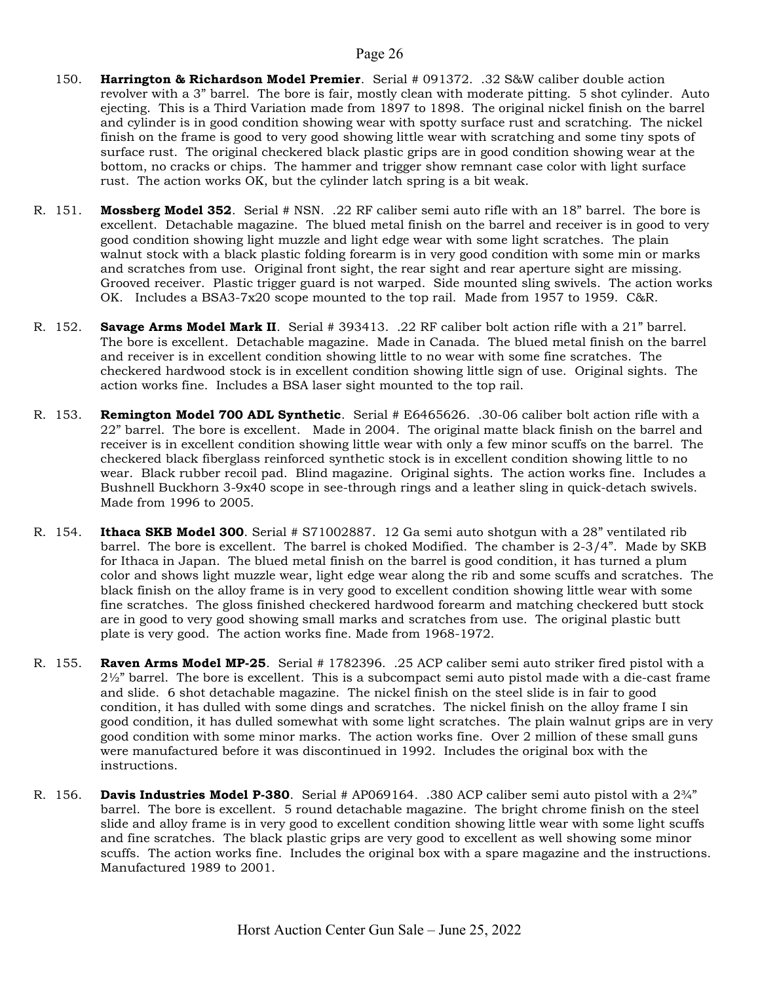- 150. Harrington & Richardson Model Premier. Serial # 091372. .32 S&W caliber double action revolver with a 3" barrel. The bore is fair, mostly clean with moderate pitting. 5 shot cylinder. Auto ejecting. This is a Third Variation made from 1897 to 1898. The original nickel finish on the barrel and cylinder is in good condition showing wear with spotty surface rust and scratching. The nickel finish on the frame is good to very good showing little wear with scratching and some tiny spots of surface rust. The original checkered black plastic grips are in good condition showing wear at the bottom, no cracks or chips. The hammer and trigger show remnant case color with light surface rust. The action works OK, but the cylinder latch spring is a bit weak.
- R. 151. Mossberg Model 352. Serial # NSN. .22 RF caliber semi auto rifle with an 18" barrel. The bore is excellent. Detachable magazine. The blued metal finish on the barrel and receiver is in good to very good condition showing light muzzle and light edge wear with some light scratches. The plain walnut stock with a black plastic folding forearm is in very good condition with some min or marks and scratches from use. Original front sight, the rear sight and rear aperture sight are missing. Grooved receiver. Plastic trigger guard is not warped. Side mounted sling swivels. The action works OK. Includes a BSA3-7x20 scope mounted to the top rail. Made from 1957 to 1959. C&R.
- R. 152. Savage Arms Model Mark II. Serial # 393413. .22 RF caliber bolt action rifle with a 21" barrel. The bore is excellent. Detachable magazine. Made in Canada. The blued metal finish on the barrel and receiver is in excellent condition showing little to no wear with some fine scratches. The checkered hardwood stock is in excellent condition showing little sign of use. Original sights. The action works fine. Includes a BSA laser sight mounted to the top rail.
- R. 153. Remington Model 700 ADL Synthetic. Serial # E6465626. .30-06 caliber bolt action rifle with a 22" barrel. The bore is excellent. Made in 2004. The original matte black finish on the barrel and receiver is in excellent condition showing little wear with only a few minor scuffs on the barrel. The checkered black fiberglass reinforced synthetic stock is in excellent condition showing little to no wear. Black rubber recoil pad. Blind magazine. Original sights. The action works fine. Includes a Bushnell Buckhorn 3-9x40 scope in see-through rings and a leather sling in quick-detach swivels. Made from 1996 to 2005.
- R. 154. Ithaca SKB Model 300. Serial # S71002887. 12 Ga semi auto shotgun with a 28" ventilated rib barrel. The bore is excellent. The barrel is choked Modified. The chamber is 2-3/4". Made by SKB for Ithaca in Japan. The blued metal finish on the barrel is good condition, it has turned a plum color and shows light muzzle wear, light edge wear along the rib and some scuffs and scratches. The black finish on the alloy frame is in very good to excellent condition showing little wear with some fine scratches. The gloss finished checkered hardwood forearm and matching checkered butt stock are in good to very good showing small marks and scratches from use. The original plastic butt plate is very good. The action works fine. Made from 1968-1972.
- R. 155. **Raven Arms Model MP-25**. Serial # 1782396. .25 ACP caliber semi auto striker fired pistol with a  $2\frac{1}{2}$ " barrel. The bore is excellent. This is a subcompact semi auto pistol made with a die-cast frame and slide. 6 shot detachable magazine. The nickel finish on the steel slide is in fair to good condition, it has dulled with some dings and scratches. The nickel finish on the alloy frame I sin good condition, it has dulled somewhat with some light scratches. The plain walnut grips are in very good condition with some minor marks. The action works fine. Over 2 million of these small guns were manufactured before it was discontinued in 1992. Includes the original box with the instructions.
- R. 156. **Davis Industries Model P-380**. Serial # AP069164. .380 ACP caliber semi auto pistol with a  $2\frac{3}{4}$ " barrel. The bore is excellent. 5 round detachable magazine. The bright chrome finish on the steel slide and alloy frame is in very good to excellent condition showing little wear with some light scuffs and fine scratches. The black plastic grips are very good to excellent as well showing some minor scuffs. The action works fine. Includes the original box with a spare magazine and the instructions. Manufactured 1989 to 2001.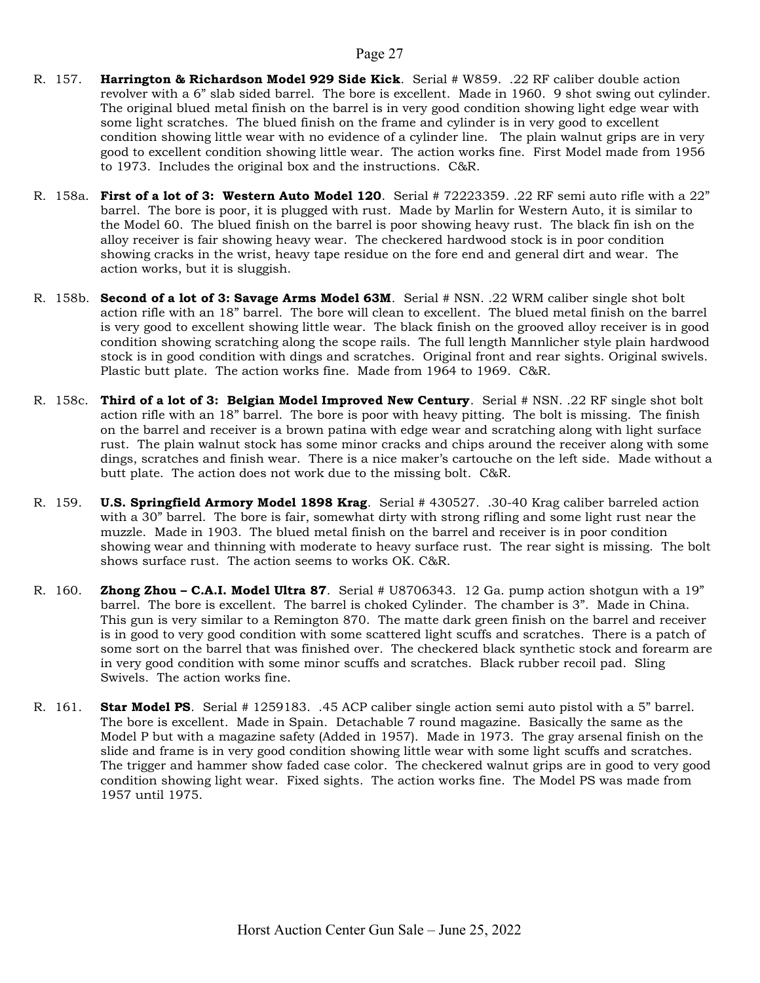- R. 157. Harrington & Richardson Model 929 Side Kick. Serial # W859. .22 RF caliber double action revolver with a 6" slab sided barrel. The bore is excellent. Made in 1960. 9 shot swing out cylinder. The original blued metal finish on the barrel is in very good condition showing light edge wear with some light scratches. The blued finish on the frame and cylinder is in very good to excellent condition showing little wear with no evidence of a cylinder line. The plain walnut grips are in very good to excellent condition showing little wear. The action works fine. First Model made from 1956 to 1973. Includes the original box and the instructions. C&R.
- R. 158a. First of a lot of 3: Western Auto Model 120. Serial # 72223359. .22 RF semi auto rifle with a 22" barrel. The bore is poor, it is plugged with rust. Made by Marlin for Western Auto, it is similar to the Model 60. The blued finish on the barrel is poor showing heavy rust. The black fin ish on the alloy receiver is fair showing heavy wear. The checkered hardwood stock is in poor condition showing cracks in the wrist, heavy tape residue on the fore end and general dirt and wear. The action works, but it is sluggish.
- R. 158b. Second of a lot of 3: Savage Arms Model 63M. Serial # NSN. .22 WRM caliber single shot bolt action rifle with an 18" barrel. The bore will clean to excellent. The blued metal finish on the barrel is very good to excellent showing little wear. The black finish on the grooved alloy receiver is in good condition showing scratching along the scope rails. The full length Mannlicher style plain hardwood stock is in good condition with dings and scratches. Original front and rear sights. Original swivels. Plastic butt plate. The action works fine. Made from 1964 to 1969. C&R.
- R. 158c. Third of a lot of 3: Belgian Model Improved New Century. Serial # NSN. .22 RF single shot bolt action rifle with an 18" barrel. The bore is poor with heavy pitting. The bolt is missing. The finish on the barrel and receiver is a brown patina with edge wear and scratching along with light surface rust. The plain walnut stock has some minor cracks and chips around the receiver along with some dings, scratches and finish wear. There is a nice maker's cartouche on the left side. Made without a butt plate. The action does not work due to the missing bolt. C&R.
- R. 159. U.S. Springfield Armory Model 1898 Krag. Serial # 430527. .30-40 Krag caliber barreled action with a 30" barrel. The bore is fair, somewhat dirty with strong rifling and some light rust near the muzzle. Made in 1903. The blued metal finish on the barrel and receiver is in poor condition showing wear and thinning with moderate to heavy surface rust. The rear sight is missing. The bolt shows surface rust. The action seems to works OK. C&R.
- R. 160. **Zhong Zhou C.A.I. Model Ultra 87**. Serial # U8706343. 12 Ga. pump action shotgun with a 19" barrel. The bore is excellent. The barrel is choked Cylinder. The chamber is 3". Made in China. This gun is very similar to a Remington 870. The matte dark green finish on the barrel and receiver is in good to very good condition with some scattered light scuffs and scratches. There is a patch of some sort on the barrel that was finished over. The checkered black synthetic stock and forearm are in very good condition with some minor scuffs and scratches. Black rubber recoil pad. Sling Swivels. The action works fine.
- R. 161. Star Model PS. Serial # 1259183. .45 ACP caliber single action semi auto pistol with a 5" barrel. The bore is excellent. Made in Spain. Detachable 7 round magazine. Basically the same as the Model P but with a magazine safety (Added in 1957). Made in 1973. The gray arsenal finish on the slide and frame is in very good condition showing little wear with some light scuffs and scratches. The trigger and hammer show faded case color. The checkered walnut grips are in good to very good condition showing light wear. Fixed sights. The action works fine. The Model PS was made from 1957 until 1975.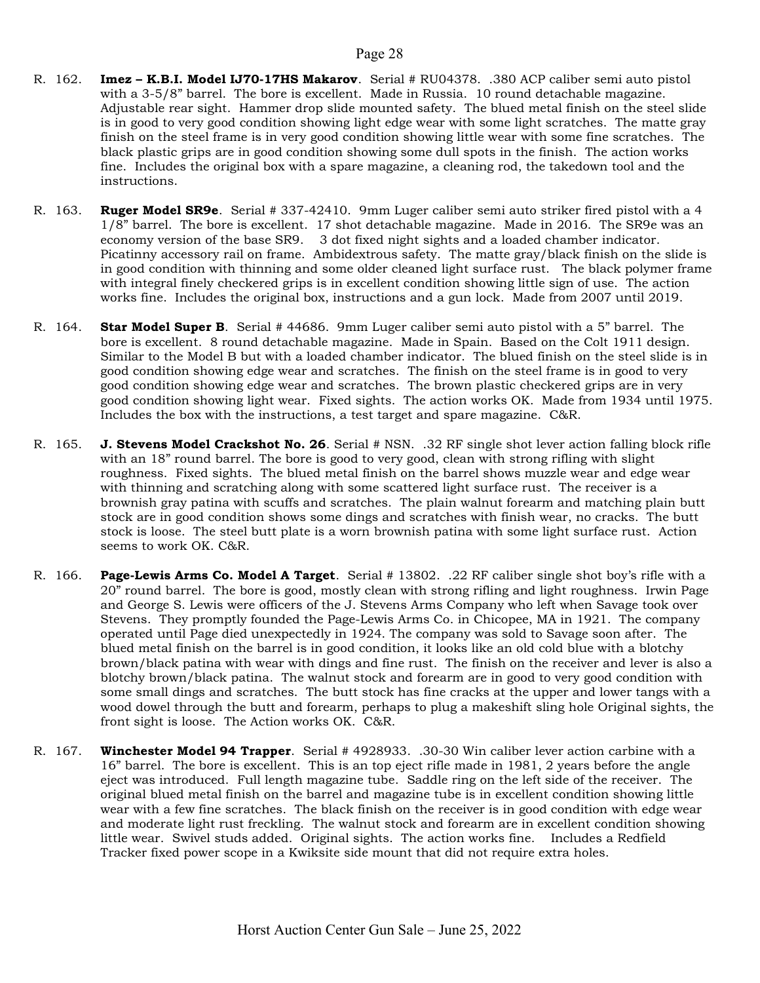- R. 162. **Imez K.B.I. Model IJ70-17HS Makarov**. Serial # RU04378. .380 ACP caliber semi auto pistol with a 3-5/8" barrel. The bore is excellent. Made in Russia. 10 round detachable magazine. Adjustable rear sight. Hammer drop slide mounted safety. The blued metal finish on the steel slide is in good to very good condition showing light edge wear with some light scratches. The matte gray finish on the steel frame is in very good condition showing little wear with some fine scratches. The black plastic grips are in good condition showing some dull spots in the finish. The action works fine. Includes the original box with a spare magazine, a cleaning rod, the takedown tool and the instructions.
- R. 163. Ruger Model SR9e. Serial # 337-42410. 9mm Luger caliber semi auto striker fired pistol with a 4 1/8" barrel. The bore is excellent. 17 shot detachable magazine. Made in 2016. The SR9e was an economy version of the base SR9. 3 dot fixed night sights and a loaded chamber indicator. Picatinny accessory rail on frame. Ambidextrous safety. The matte gray/black finish on the slide is in good condition with thinning and some older cleaned light surface rust. The black polymer frame with integral finely checkered grips is in excellent condition showing little sign of use. The action works fine. Includes the original box, instructions and a gun lock. Made from 2007 until 2019.
- R. 164. Star Model Super B. Serial # 44686. 9mm Luger caliber semi auto pistol with a 5" barrel. The bore is excellent. 8 round detachable magazine. Made in Spain. Based on the Colt 1911 design. Similar to the Model B but with a loaded chamber indicator. The blued finish on the steel slide is in good condition showing edge wear and scratches. The finish on the steel frame is in good to very good condition showing edge wear and scratches. The brown plastic checkered grips are in very good condition showing light wear. Fixed sights. The action works OK. Made from 1934 until 1975. Includes the box with the instructions, a test target and spare magazine. C&R.
- R. 165. **J. Stevens Model Crackshot No. 26**. Serial # NSN. .32 RF single shot lever action falling block rifle with an 18" round barrel. The bore is good to very good, clean with strong rifling with slight roughness. Fixed sights. The blued metal finish on the barrel shows muzzle wear and edge wear with thinning and scratching along with some scattered light surface rust. The receiver is a brownish gray patina with scuffs and scratches. The plain walnut forearm and matching plain butt stock are in good condition shows some dings and scratches with finish wear, no cracks. The butt stock is loose. The steel butt plate is a worn brownish patina with some light surface rust. Action seems to work OK. C&R.
- R. 166. Page-Lewis Arms Co. Model A Target. Serial # 13802. .22 RF caliber single shot boy's rifle with a 20" round barrel. The bore is good, mostly clean with strong rifling and light roughness. Irwin Page and George S. Lewis were officers of the J. Stevens Arms Company who left when Savage took over Stevens. They promptly founded the Page-Lewis Arms Co. in Chicopee, MA in 1921. The company operated until Page died unexpectedly in 1924. The company was sold to Savage soon after. The blued metal finish on the barrel is in good condition, it looks like an old cold blue with a blotchy brown/black patina with wear with dings and fine rust. The finish on the receiver and lever is also a blotchy brown/black patina. The walnut stock and forearm are in good to very good condition with some small dings and scratches. The butt stock has fine cracks at the upper and lower tangs with a wood dowel through the butt and forearm, perhaps to plug a makeshift sling hole Original sights, the front sight is loose. The Action works OK. C&R.
- R. 167. Winchester Model 94 Trapper. Serial # 4928933. .30-30 Win caliber lever action carbine with a 16" barrel. The bore is excellent. This is an top eject rifle made in 1981, 2 years before the angle eject was introduced. Full length magazine tube. Saddle ring on the left side of the receiver. The original blued metal finish on the barrel and magazine tube is in excellent condition showing little wear with a few fine scratches. The black finish on the receiver is in good condition with edge wear and moderate light rust freckling. The walnut stock and forearm are in excellent condition showing little wear. Swivel studs added. Original sights. The action works fine. Includes a Redfield Tracker fixed power scope in a Kwiksite side mount that did not require extra holes.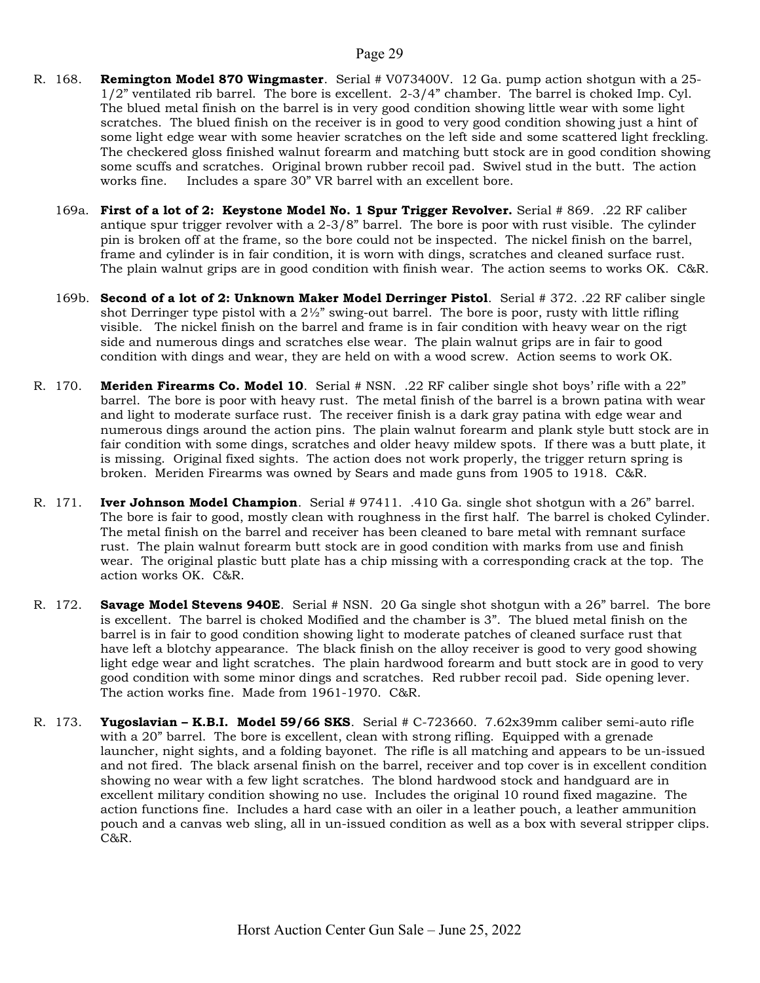- R. 168. **Remington Model 870 Wingmaster**. Serial # V073400V. 12 Ga. pump action shotgun with a 25-1/2" ventilated rib barrel. The bore is excellent. 2-3/4" chamber. The barrel is choked Imp. Cyl. The blued metal finish on the barrel is in very good condition showing little wear with some light scratches. The blued finish on the receiver is in good to very good condition showing just a hint of some light edge wear with some heavier scratches on the left side and some scattered light freckling. The checkered gloss finished walnut forearm and matching butt stock are in good condition showing some scuffs and scratches. Original brown rubber recoil pad. Swivel stud in the butt. The action works fine. Includes a spare 30" VR barrel with an excellent bore.
	- 169a. First of a lot of 2: Keystone Model No. 1 Spur Trigger Revolver. Serial # 869. .22 RF caliber antique spur trigger revolver with a 2-3/8" barrel. The bore is poor with rust visible. The cylinder pin is broken off at the frame, so the bore could not be inspected. The nickel finish on the barrel, frame and cylinder is in fair condition, it is worn with dings, scratches and cleaned surface rust. The plain walnut grips are in good condition with finish wear. The action seems to works OK. C&R.
	- 169b. Second of a lot of 2: Unknown Maker Model Derringer Pistol. Serial # 372. .22 RF caliber single shot Derringer type pistol with a  $2\frac{1}{2}$ " swing-out barrel. The bore is poor, rusty with little rifling visible. The nickel finish on the barrel and frame is in fair condition with heavy wear on the rigt side and numerous dings and scratches else wear. The plain walnut grips are in fair to good condition with dings and wear, they are held on with a wood screw. Action seems to work OK.
- R. 170. Meriden Firearms Co. Model 10. Serial # NSN. .22 RF caliber single shot boys' rifle with a 22" barrel. The bore is poor with heavy rust. The metal finish of the barrel is a brown patina with wear and light to moderate surface rust. The receiver finish is a dark gray patina with edge wear and numerous dings around the action pins. The plain walnut forearm and plank style butt stock are in fair condition with some dings, scratches and older heavy mildew spots. If there was a butt plate, it is missing. Original fixed sights. The action does not work properly, the trigger return spring is broken. Meriden Firearms was owned by Sears and made guns from 1905 to 1918. C&R.
- R. 171. **Iver Johnson Model Champion**. Serial # 97411. .410 Ga. single shot shotgun with a 26" barrel. The bore is fair to good, mostly clean with roughness in the first half. The barrel is choked Cylinder. The metal finish on the barrel and receiver has been cleaned to bare metal with remnant surface rust. The plain walnut forearm butt stock are in good condition with marks from use and finish wear. The original plastic butt plate has a chip missing with a corresponding crack at the top. The action works OK. C&R.
- R. 172. Savage Model Stevens 940E. Serial # NSN. 20 Ga single shot shotgun with a 26" barrel. The bore is excellent. The barrel is choked Modified and the chamber is 3". The blued metal finish on the barrel is in fair to good condition showing light to moderate patches of cleaned surface rust that have left a blotchy appearance. The black finish on the alloy receiver is good to very good showing light edge wear and light scratches. The plain hardwood forearm and butt stock are in good to very good condition with some minor dings and scratches. Red rubber recoil pad. Side opening lever. The action works fine. Made from 1961-1970. C&R.
- R. 173. Yugoslavian K.B.I. Model 59/66 SKS. Serial #  $C$ -723660. 7.62x39mm caliber semi-auto rifle with a 20" barrel. The bore is excellent, clean with strong rifling. Equipped with a grenade launcher, night sights, and a folding bayonet. The rifle is all matching and appears to be un-issued and not fired. The black arsenal finish on the barrel, receiver and top cover is in excellent condition showing no wear with a few light scratches. The blond hardwood stock and handguard are in excellent military condition showing no use. Includes the original 10 round fixed magazine. The action functions fine. Includes a hard case with an oiler in a leather pouch, a leather ammunition pouch and a canvas web sling, all in un-issued condition as well as a box with several stripper clips. C&R.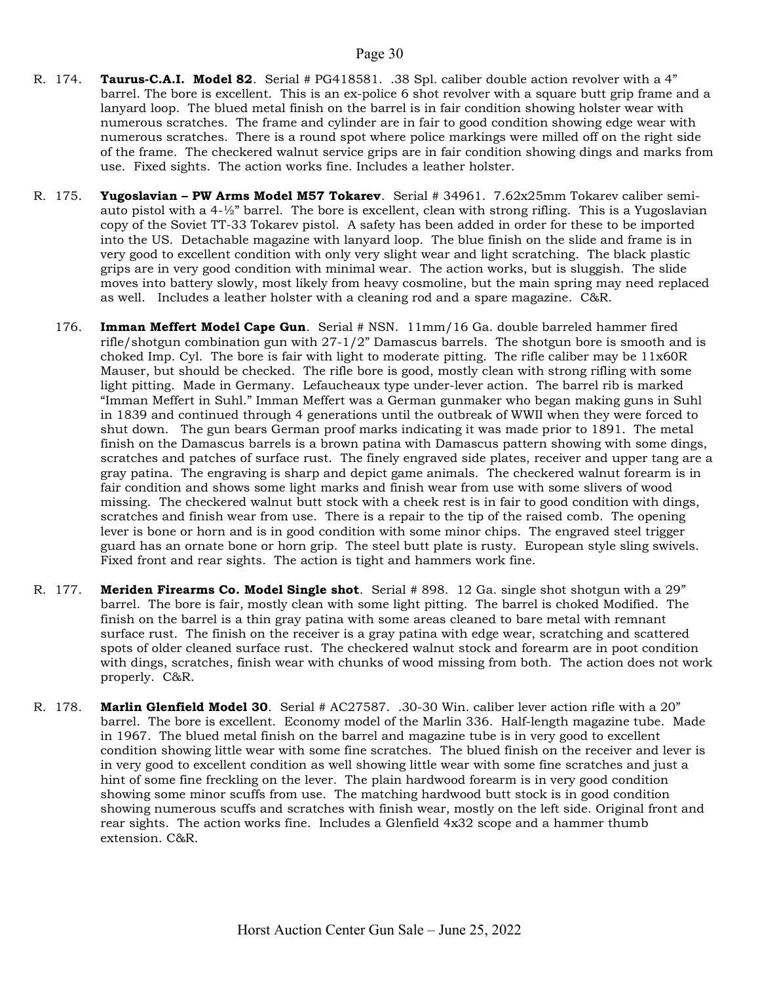- R. 174. Taurus-C.A.I. Model 82. Serial # PG418581. .38 Spl. caliber double action revolver with a 4" barrel. The bore is excellent. This is an ex-police 6 shot revolver with a square butt grip frame and a lanyard loop. The blued metal finish on the barrel is in fair condition showing holster wear with numerous scratches. The frame and cylinder are in fair to good condition showing edge wear with numerous scratches. There is a round spot where police markings were milled off on the right side of the frame. The checkered walnut service grips are in fair condition showing dings and marks from use. Fixed sights. The action works fine. Includes a leather holster.
- R. 175. Yugoslavian PW Arms Model M57 Tokarev. Serial # 34961. 7.62x25mm Tokarev caliber semiauto pistol with a 4-½" barrel. The bore is excellent, clean with strong rifling. This is a Yugoslavian copy of the Soviet TT-33 Tokarev pistol. A safety has been added in order for these to be imported into the US. Detachable magazine with lanyard loop. The blue finish on the slide and frame is in very good to excellent condition with only very slight wear and light scratching. The black plastic grips are in very good condition with minimal wear. The action works, but is sluggish. The slide moves into battery slowly, most likely from heavy cosmoline, but the main spring may need replaced as well. Includes a leather holster with a cleaning rod and a spare magazine. C&R.
	- 176. Imman Meffert Model Cape Gun. Serial # NSN. 11mm/16 Ga. double barreled hammer fired rifle/shotgun combination gun with 27-1/2" Damascus barrels. The shotgun bore is smooth and is choked Imp. Cyl. The bore is fair with light to moderate pitting. The rifle caliber may be  $11x60R$ Mauser, but should be checked. The rifle bore is good, mostly clean with strong rifling with some light pitting. Made in Germany. Lefaucheaux type under-lever action. The barrel rib is marked "Imman Meffert in Suhl." Imman Meffert was a German gunmaker who began making guns in Suhl in 1839 and continued through 4 generations until the outbreak of WWII when they were forced to shut down. The gun bears German proof marks indicating it was made prior to 1891. The metal finish on the Damascus barrels is a brown patina with Damascus pattern showing with some dings, scratches and patches of surface rust. The finely engraved side plates, receiver and upper tang are a gray patina. The engraving is sharp and depict game animals. The checkered walnut forearm is in fair condition and shows some light marks and finish wear from use with some slivers of wood missing. The checkered walnut butt stock with a cheek rest is in fair to good condition with dings, scratches and finish wear from use. There is a repair to the tip of the raised comb. The opening lever is bone or horn and is in good condition with some minor chips. The engraved steel trigger guard has an ornate bone or horn grip. The steel butt plate is rusty. European style sling swivels. Fixed front and rear sights. The action is tight and hammers work fine.
- R. 177. Meriden Firearms Co. Model Single shot. Serial # 898. 12 Ga. single shot shotgun with a 29" barrel. The bore is fair, mostly clean with some light pitting. The barrel is choked Modified. The finish on the barrel is a thin gray patina with some areas cleaned to bare metal with remnant surface rust. The finish on the receiver is a gray patina with edge wear, scratching and scattered spots of older cleaned surface rust. The checkered walnut stock and forearm are in poot condition with dings, scratches, finish wear with chunks of wood missing from both. The action does not work properly. C&R.
- R. 178. Marlin Glenfield Model 30. Serial # AC27587. .30-30 Win. caliber lever action rifle with a 20" barrel. The bore is excellent. Economy model of the Marlin 336. Half-length magazine tube. Made in 1967. The blued metal finish on the barrel and magazine tube is in very good to excellent condition showing little wear with some fine scratches. The blued finish on the receiver and lever is in very good to excellent condition as well showing little wear with some fine scratches and just a hint of some fine freckling on the lever. The plain hardwood forearm is in very good condition showing some minor scuffs from use. The matching hardwood butt stock is in good condition showing numerous scuffs and scratches with finish wear, mostly on the left side. Original front and rear sights. The action works fine. Includes a Glenfield 4x32 scope and a hammer thumb extension. C&R.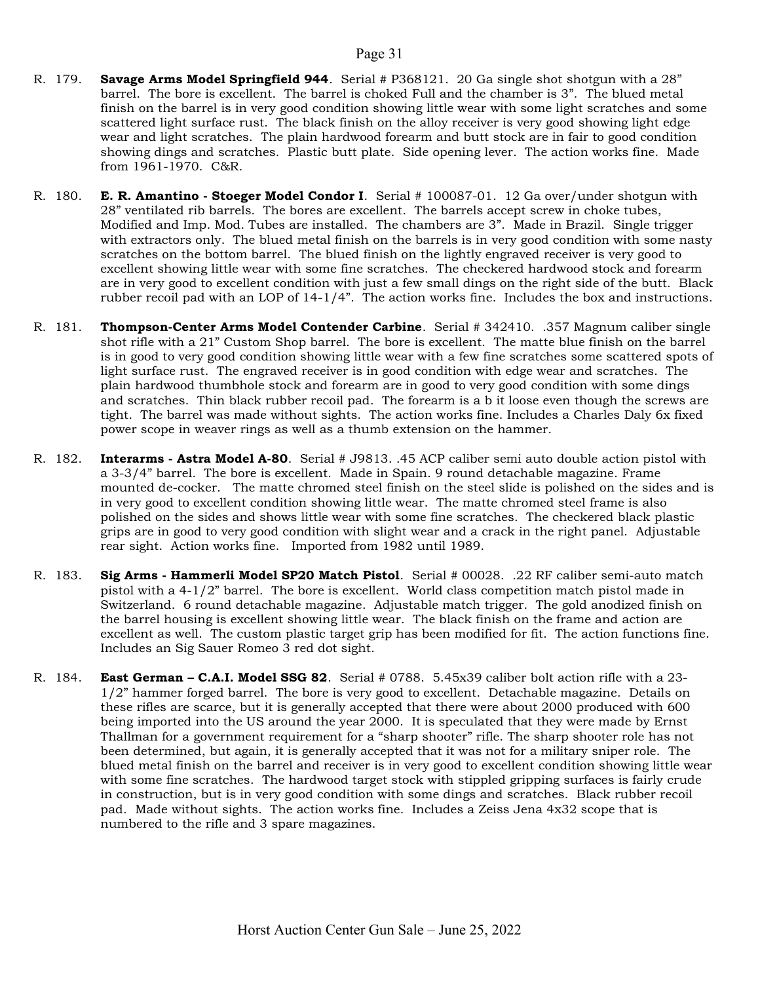- R. 179. Savage Arms Model Springfield 944. Serial # P368121. 20 Ga single shot shotgun with a 28" barrel. The bore is excellent. The barrel is choked Full and the chamber is 3". The blued metal finish on the barrel is in very good condition showing little wear with some light scratches and some scattered light surface rust. The black finish on the alloy receiver is very good showing light edge wear and light scratches. The plain hardwood forearm and butt stock are in fair to good condition showing dings and scratches. Plastic butt plate. Side opening lever. The action works fine. Made from 1961-1970. C&R.
- R. 180. E. R. Amantino Stoeger Model Condor I. Serial # 100087-01. 12 Ga over/under shotgun with 28" ventilated rib barrels. The bores are excellent. The barrels accept screw in choke tubes, Modified and Imp. Mod. Tubes are installed. The chambers are 3". Made in Brazil. Single trigger with extractors only. The blued metal finish on the barrels is in very good condition with some nasty scratches on the bottom barrel. The blued finish on the lightly engraved receiver is very good to excellent showing little wear with some fine scratches. The checkered hardwood stock and forearm are in very good to excellent condition with just a few small dings on the right side of the butt. Black rubber recoil pad with an LOP of 14-1/4". The action works fine. Includes the box and instructions.
- R. 181. Thompson-Center Arms Model Contender Carbine. Serial # 342410. .357 Magnum caliber single shot rifle with a 21" Custom Shop barrel. The bore is excellent. The matte blue finish on the barrel is in good to very good condition showing little wear with a few fine scratches some scattered spots of light surface rust. The engraved receiver is in good condition with edge wear and scratches. The plain hardwood thumbhole stock and forearm are in good to very good condition with some dings and scratches. Thin black rubber recoil pad. The forearm is a b it loose even though the screws are tight. The barrel was made without sights. The action works fine. Includes a Charles Daly 6x fixed power scope in weaver rings as well as a thumb extension on the hammer.
- R. 182. **Interarms Astra Model A-80.** Serial # J9813. .45 ACP caliber semi auto double action pistol with a 3-3/4" barrel. The bore is excellent. Made in Spain. 9 round detachable magazine. Frame mounted de-cocker. The matte chromed steel finish on the steel slide is polished on the sides and is in very good to excellent condition showing little wear. The matte chromed steel frame is also polished on the sides and shows little wear with some fine scratches. The checkered black plastic grips are in good to very good condition with slight wear and a crack in the right panel. Adjustable rear sight. Action works fine. Imported from 1982 until 1989.
- R. 183. Sig Arms Hammerli Model SP20 Match Pistol. Serial # 00028. .22 RF caliber semi-auto match pistol with a 4-1/2" barrel. The bore is excellent. World class competition match pistol made in Switzerland. 6 round detachable magazine. Adjustable match trigger. The gold anodized finish on the barrel housing is excellent showing little wear. The black finish on the frame and action are excellent as well. The custom plastic target grip has been modified for fit. The action functions fine. Includes an Sig Sauer Romeo 3 red dot sight.
- R. 184. East German C.A.I. Model SSG 82. Serial  $\#$  0788. 5.45x39 caliber bolt action rifle with a 23-1/2" hammer forged barrel. The bore is very good to excellent. Detachable magazine. Details on these rifles are scarce, but it is generally accepted that there were about 2000 produced with 600 being imported into the US around the year 2000. It is speculated that they were made by Ernst Thallman for a government requirement for a "sharp shooter" rifle. The sharp shooter role has not been determined, but again, it is generally accepted that it was not for a military sniper role. The blued metal finish on the barrel and receiver is in very good to excellent condition showing little wear with some fine scratches. The hardwood target stock with stippled gripping surfaces is fairly crude in construction, but is in very good condition with some dings and scratches. Black rubber recoil pad. Made without sights. The action works fine. Includes a Zeiss Jena 4x32 scope that is numbered to the rifle and 3 spare magazines.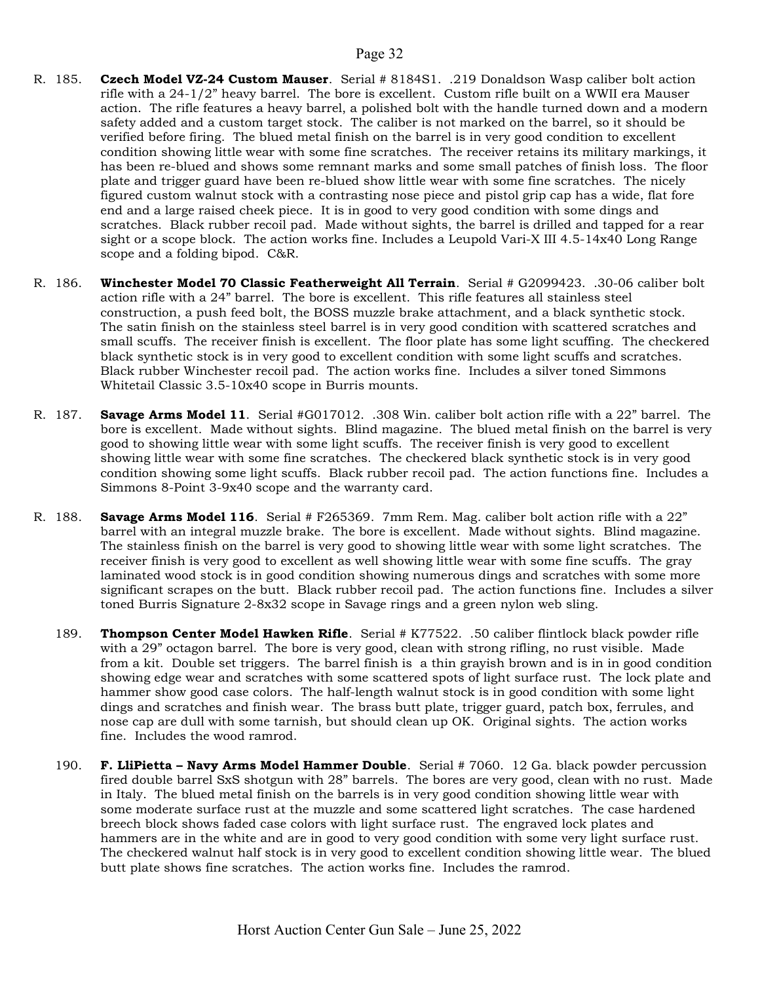- R. 185. Czech Model VZ-24 Custom Mauser. Serial # 8184S1. .219 Donaldson Wasp caliber bolt action rifle with a 24-1/2" heavy barrel. The bore is excellent. Custom rifle built on a WWII era Mauser action. The rifle features a heavy barrel, a polished bolt with the handle turned down and a modern safety added and a custom target stock. The caliber is not marked on the barrel, so it should be verified before firing. The blued metal finish on the barrel is in very good condition to excellent condition showing little wear with some fine scratches. The receiver retains its military markings, it has been re-blued and shows some remnant marks and some small patches of finish loss. The floor plate and trigger guard have been re-blued show little wear with some fine scratches. The nicely figured custom walnut stock with a contrasting nose piece and pistol grip cap has a wide, flat fore end and a large raised cheek piece. It is in good to very good condition with some dings and scratches. Black rubber recoil pad. Made without sights, the barrel is drilled and tapped for a rear sight or a scope block. The action works fine. Includes a Leupold Vari-X III 4.5-14x40 Long Range scope and a folding bipod. C&R.
- R. 186. Winchester Model 70 Classic Featherweight All Terrain. Serial # G2099423. .30-06 caliber bolt action rifle with a 24" barrel. The bore is excellent. This rifle features all stainless steel construction, a push feed bolt, the BOSS muzzle brake attachment, and a black synthetic stock. The satin finish on the stainless steel barrel is in very good condition with scattered scratches and small scuffs. The receiver finish is excellent. The floor plate has some light scuffing. The checkered black synthetic stock is in very good to excellent condition with some light scuffs and scratches. Black rubber Winchester recoil pad. The action works fine. Includes a silver toned Simmons Whitetail Classic 3.5-10x40 scope in Burris mounts.
- R. 187. Savage Arms Model 11. Serial #G017012. .308 Win. caliber bolt action rifle with a 22" barrel. The bore is excellent. Made without sights. Blind magazine. The blued metal finish on the barrel is very good to showing little wear with some light scuffs. The receiver finish is very good to excellent showing little wear with some fine scratches. The checkered black synthetic stock is in very good condition showing some light scuffs. Black rubber recoil pad. The action functions fine. Includes a Simmons 8-Point 3-9x40 scope and the warranty card.
- R. 188. Savage Arms Model 116. Serial # F265369. 7mm Rem. Mag. caliber bolt action rifle with a 22" barrel with an integral muzzle brake. The bore is excellent. Made without sights. Blind magazine. The stainless finish on the barrel is very good to showing little wear with some light scratches. The receiver finish is very good to excellent as well showing little wear with some fine scuffs. The gray laminated wood stock is in good condition showing numerous dings and scratches with some more significant scrapes on the butt. Black rubber recoil pad. The action functions fine. Includes a silver toned Burris Signature 2-8x32 scope in Savage rings and a green nylon web sling.
	- 189. Thompson Center Model Hawken Rifle. Serial # K77522. .50 caliber flintlock black powder rifle with a 29" octagon barrel. The bore is very good, clean with strong rifling, no rust visible. Made from a kit. Double set triggers. The barrel finish is a thin grayish brown and is in in good condition showing edge wear and scratches with some scattered spots of light surface rust. The lock plate and hammer show good case colors. The half-length walnut stock is in good condition with some light dings and scratches and finish wear. The brass butt plate, trigger guard, patch box, ferrules, and nose cap are dull with some tarnish, but should clean up OK. Original sights. The action works fine. Includes the wood ramrod.
	- 190. F. LliPietta Navy Arms Model Hammer Double. Serial # 7060. 12 Ga. black powder percussion fired double barrel SxS shotgun with 28" barrels. The bores are very good, clean with no rust. Made in Italy. The blued metal finish on the barrels is in very good condition showing little wear with some moderate surface rust at the muzzle and some scattered light scratches. The case hardened breech block shows faded case colors with light surface rust. The engraved lock plates and hammers are in the white and are in good to very good condition with some very light surface rust. The checkered walnut half stock is in very good to excellent condition showing little wear. The blued butt plate shows fine scratches. The action works fine. Includes the ramrod.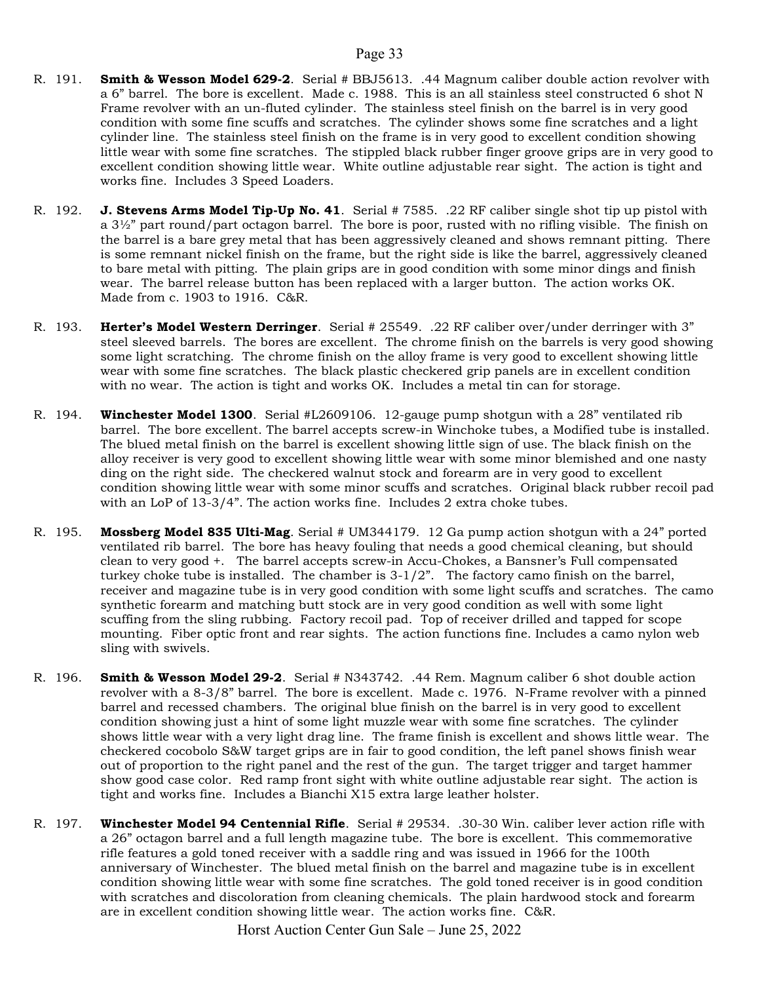- R. 191. **Smith & Wesson Model 629-2.** Serial # BBJ5613. .44 Magnum caliber double action revolver with a 6" barrel. The bore is excellent. Made c. 1988. This is an all stainless steel constructed 6 shot N Frame revolver with an un-fluted cylinder. The stainless steel finish on the barrel is in very good condition with some fine scuffs and scratches. The cylinder shows some fine scratches and a light cylinder line. The stainless steel finish on the frame is in very good to excellent condition showing little wear with some fine scratches. The stippled black rubber finger groove grips are in very good to excellent condition showing little wear. White outline adjustable rear sight. The action is tight and works fine. Includes 3 Speed Loaders.
- R. 192. J. Stevens Arms Model Tip-Up No. 41. Serial # 7585. .22 RF caliber single shot tip up pistol with a 3½" part round/part octagon barrel. The bore is poor, rusted with no rifling visible. The finish on the barrel is a bare grey metal that has been aggressively cleaned and shows remnant pitting. There is some remnant nickel finish on the frame, but the right side is like the barrel, aggressively cleaned to bare metal with pitting. The plain grips are in good condition with some minor dings and finish wear. The barrel release button has been replaced with a larger button. The action works OK. Made from c. 1903 to 1916. C&R.
- R. 193. Herter's Model Western Derringer. Serial # 25549. .22 RF caliber over/under derringer with 3" steel sleeved barrels. The bores are excellent. The chrome finish on the barrels is very good showing some light scratching. The chrome finish on the alloy frame is very good to excellent showing little wear with some fine scratches. The black plastic checkered grip panels are in excellent condition with no wear. The action is tight and works OK. Includes a metal tin can for storage.
- R. 194. **Winchester Model 1300**. Serial #L2609106. 12-gauge pump shotgun with a 28" ventilated rib barrel. The bore excellent. The barrel accepts screw-in Winchoke tubes, a Modified tube is installed. The blued metal finish on the barrel is excellent showing little sign of use. The black finish on the alloy receiver is very good to excellent showing little wear with some minor blemished and one nasty ding on the right side. The checkered walnut stock and forearm are in very good to excellent condition showing little wear with some minor scuffs and scratches. Original black rubber recoil pad with an LoP of 13-3/4". The action works fine. Includes 2 extra choke tubes.
- R. 195. Mossberg Model 835 Ulti-Mag. Serial # UM344179. 12 Ga pump action shotgun with a 24" ported ventilated rib barrel. The bore has heavy fouling that needs a good chemical cleaning, but should clean to very good +. The barrel accepts screw-in Accu-Chokes, a Bansner's Full compensated turkey choke tube is installed. The chamber is 3-1/2". The factory camo finish on the barrel, receiver and magazine tube is in very good condition with some light scuffs and scratches. The camo synthetic forearm and matching butt stock are in very good condition as well with some light scuffing from the sling rubbing. Factory recoil pad. Top of receiver drilled and tapped for scope mounting. Fiber optic front and rear sights. The action functions fine. Includes a camo nylon web sling with swivels.
- R. 196. Smith & Wesson Model 29-2. Serial # N343742. .44 Rem. Magnum caliber 6 shot double action revolver with a 8-3/8" barrel. The bore is excellent. Made c. 1976. N-Frame revolver with a pinned barrel and recessed chambers. The original blue finish on the barrel is in very good to excellent condition showing just a hint of some light muzzle wear with some fine scratches. The cylinder shows little wear with a very light drag line. The frame finish is excellent and shows little wear. The checkered cocobolo S&W target grips are in fair to good condition, the left panel shows finish wear out of proportion to the right panel and the rest of the gun. The target trigger and target hammer show good case color. Red ramp front sight with white outline adjustable rear sight. The action is tight and works fine. Includes a Bianchi X15 extra large leather holster.
- R. 197. Winchester Model 94 Centennial Rifle. Serial # 29534. .30-30 Win. caliber lever action rifle with a 26" octagon barrel and a full length magazine tube. The bore is excellent. This commemorative rifle features a gold toned receiver with a saddle ring and was issued in 1966 for the 100th anniversary of Winchester. The blued metal finish on the barrel and magazine tube is in excellent condition showing little wear with some fine scratches. The gold toned receiver is in good condition with scratches and discoloration from cleaning chemicals. The plain hardwood stock and forearm are in excellent condition showing little wear. The action works fine. C&R.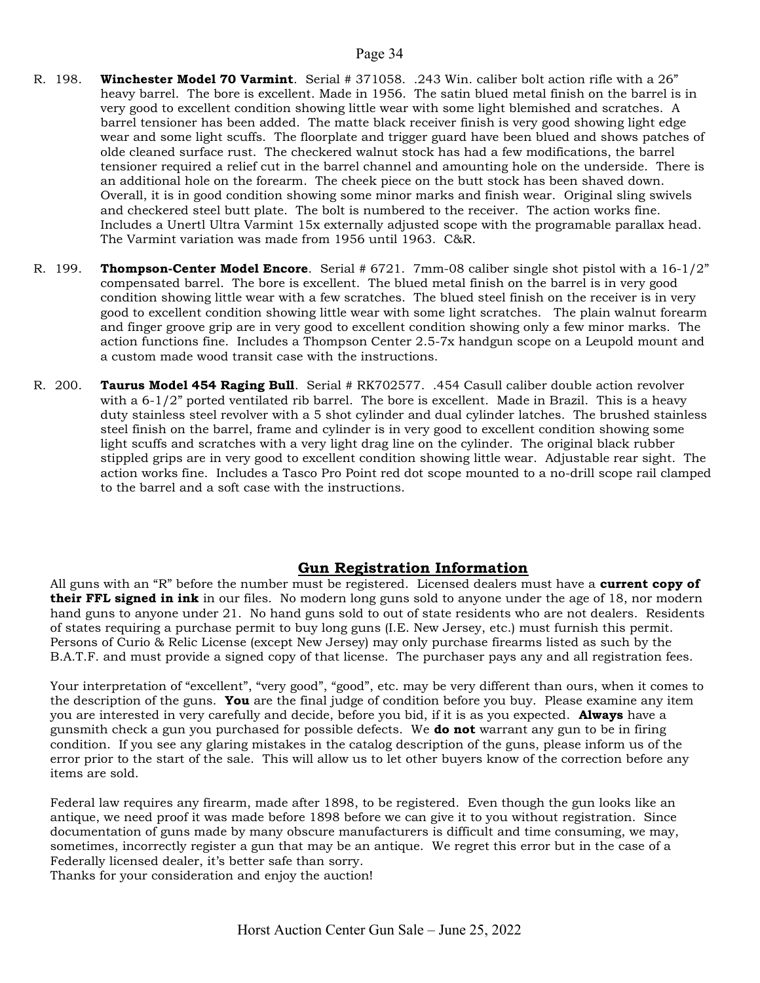- R. 198. Winchester Model 70 Varmint. Serial # 371058. .243 Win. caliber bolt action rifle with a 26" heavy barrel. The bore is excellent. Made in 1956. The satin blued metal finish on the barrel is in very good to excellent condition showing little wear with some light blemished and scratches. A barrel tensioner has been added. The matte black receiver finish is very good showing light edge wear and some light scuffs. The floorplate and trigger guard have been blued and shows patches of olde cleaned surface rust. The checkered walnut stock has had a few modifications, the barrel tensioner required a relief cut in the barrel channel and amounting hole on the underside. There is an additional hole on the forearm. The cheek piece on the butt stock has been shaved down. Overall, it is in good condition showing some minor marks and finish wear. Original sling swivels and checkered steel butt plate. The bolt is numbered to the receiver. The action works fine. Includes a Unertl Ultra Varmint 15x externally adjusted scope with the programable parallax head. The Varmint variation was made from 1956 until 1963. C&R.
- R. 199. **Thompson-Center Model Encore**. Serial #  $6721$ . 7mm-08 caliber single shot pistol with a  $16-1/2$ " compensated barrel. The bore is excellent. The blued metal finish on the barrel is in very good condition showing little wear with a few scratches. The blued steel finish on the receiver is in very good to excellent condition showing little wear with some light scratches. The plain walnut forearm and finger groove grip are in very good to excellent condition showing only a few minor marks. The action functions fine. Includes a Thompson Center 2.5-7x handgun scope on a Leupold mount and a custom made wood transit case with the instructions.
- R. 200. Taurus Model 454 Raging Bull. Serial # RK702577. .454 Casull caliber double action revolver with a  $6-1/2$ " ported ventilated rib barrel. The bore is excellent. Made in Brazil. This is a heavy duty stainless steel revolver with a 5 shot cylinder and dual cylinder latches. The brushed stainless steel finish on the barrel, frame and cylinder is in very good to excellent condition showing some light scuffs and scratches with a very light drag line on the cylinder. The original black rubber stippled grips are in very good to excellent condition showing little wear. Adjustable rear sight. The action works fine. Includes a Tasco Pro Point red dot scope mounted to a no-drill scope rail clamped to the barrel and a soft case with the instructions.

#### Gun Registration Information

All guns with an "R" before the number must be registered. Licensed dealers must have a **current copy of their FFL signed in ink** in our files. No modern long guns sold to anyone under the age of 18, nor modern hand guns to anyone under 21. No hand guns sold to out of state residents who are not dealers. Residents of states requiring a purchase permit to buy long guns (I.E. New Jersey, etc.) must furnish this permit. Persons of Curio & Relic License (except New Jersey) may only purchase firearms listed as such by the B.A.T.F. and must provide a signed copy of that license. The purchaser pays any and all registration fees.

Your interpretation of "excellent", "very good", "good", etc. may be very different than ours, when it comes to the description of the guns. You are the final judge of condition before you buy. Please examine any item you are interested in very carefully and decide, before you bid, if it is as you expected. Always have a gunsmith check a gun you purchased for possible defects. We **do not** warrant any gun to be in firing condition. If you see any glaring mistakes in the catalog description of the guns, please inform us of the error prior to the start of the sale. This will allow us to let other buyers know of the correction before any items are sold.

Federal law requires any firearm, made after 1898, to be registered. Even though the gun looks like an antique, we need proof it was made before 1898 before we can give it to you without registration. Since documentation of guns made by many obscure manufacturers is difficult and time consuming, we may, sometimes, incorrectly register a gun that may be an antique. We regret this error but in the case of a Federally licensed dealer, it's better safe than sorry.

Thanks for your consideration and enjoy the auction!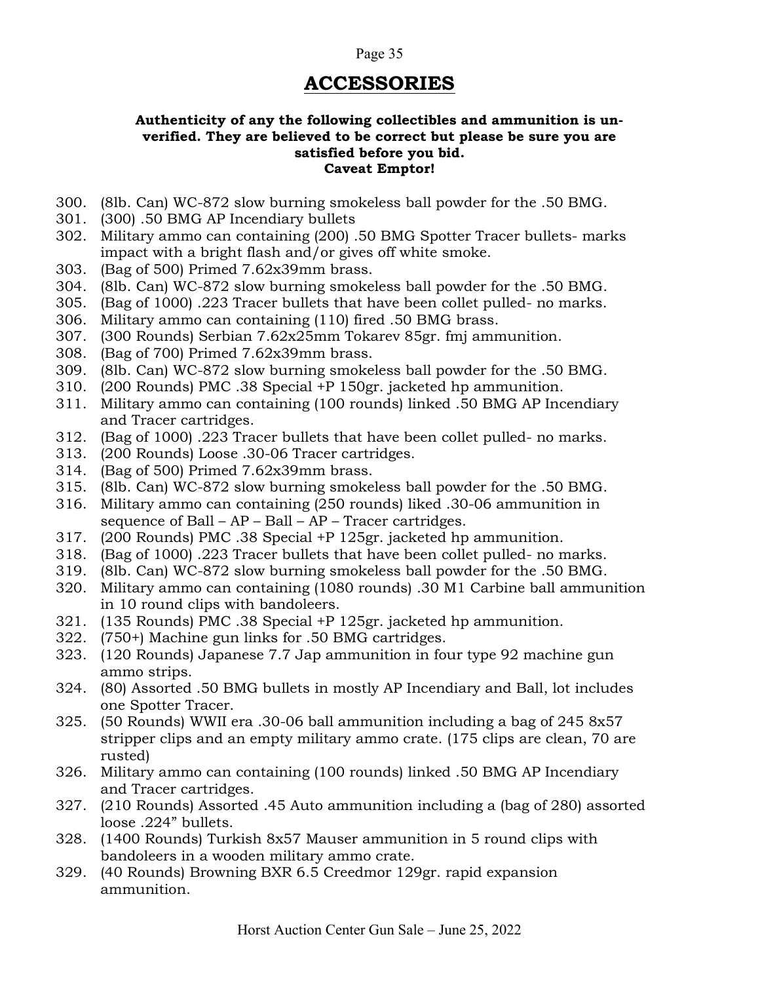### ACCESSORIES

#### Authenticity of any the following collectibles and ammunition is unverified. They are believed to be correct but please be sure you are satisfied before you bid. Caveat Emptor!

- 300. (8lb. Can) WC-872 slow burning smokeless ball powder for the .50 BMG.
- 301. (300) .50 BMG AP Incendiary bullets
- 302. Military ammo can containing (200) .50 BMG Spotter Tracer bullets- marks impact with a bright flash and/or gives off white smoke.
- 303. (Bag of 500) Primed 7.62x39mm brass.
- 304. (8lb. Can) WC-872 slow burning smokeless ball powder for the .50 BMG.
- 305. (Bag of 1000) .223 Tracer bullets that have been collet pulled- no marks.
- 306. Military ammo can containing (110) fired .50 BMG brass.
- 307. (300 Rounds) Serbian 7.62x25mm Tokarev 85gr. fmj ammunition.
- 308. (Bag of 700) Primed 7.62x39mm brass.
- 309. (8lb. Can) WC-872 slow burning smokeless ball powder for the .50 BMG.
- 310. (200 Rounds) PMC .38 Special +P 150gr. jacketed hp ammunition.
- 311. Military ammo can containing (100 rounds) linked .50 BMG AP Incendiary and Tracer cartridges.
- 312. (Bag of 1000) .223 Tracer bullets that have been collet pulled- no marks.
- 313. (200 Rounds) Loose .30-06 Tracer cartridges.
- 314. (Bag of 500) Primed 7.62x39mm brass.
- 315. (8lb. Can) WC-872 slow burning smokeless ball powder for the .50 BMG.
- 316. Military ammo can containing (250 rounds) liked .30-06 ammunition in sequence of Ball – AP – Ball – AP – Tracer cartridges.
- 317. (200 Rounds) PMC .38 Special +P 125gr. jacketed hp ammunition.
- 318. (Bag of 1000) .223 Tracer bullets that have been collet pulled- no marks.
- 319. (8lb. Can) WC-872 slow burning smokeless ball powder for the .50 BMG.
- 320. Military ammo can containing (1080 rounds) .30 M1 Carbine ball ammunition in 10 round clips with bandoleers.
- 321. (135 Rounds) PMC .38 Special +P 125gr. jacketed hp ammunition.
- 322. (750+) Machine gun links for .50 BMG cartridges.
- 323. (120 Rounds) Japanese 7.7 Jap ammunition in four type 92 machine gun ammo strips.
- 324. (80) Assorted .50 BMG bullets in mostly AP Incendiary and Ball, lot includes one Spotter Tracer.
- 325. (50 Rounds) WWII era .30-06 ball ammunition including a bag of 245 8x57 stripper clips and an empty military ammo crate. (175 clips are clean, 70 are rusted)
- 326. Military ammo can containing (100 rounds) linked .50 BMG AP Incendiary and Tracer cartridges.
- 327. (210 Rounds) Assorted .45 Auto ammunition including a (bag of 280) assorted loose .224" bullets.
- 328. (1400 Rounds) Turkish 8x57 Mauser ammunition in 5 round clips with bandoleers in a wooden military ammo crate.
- 329. (40 Rounds) Browning BXR 6.5 Creedmor 129gr. rapid expansion ammunition.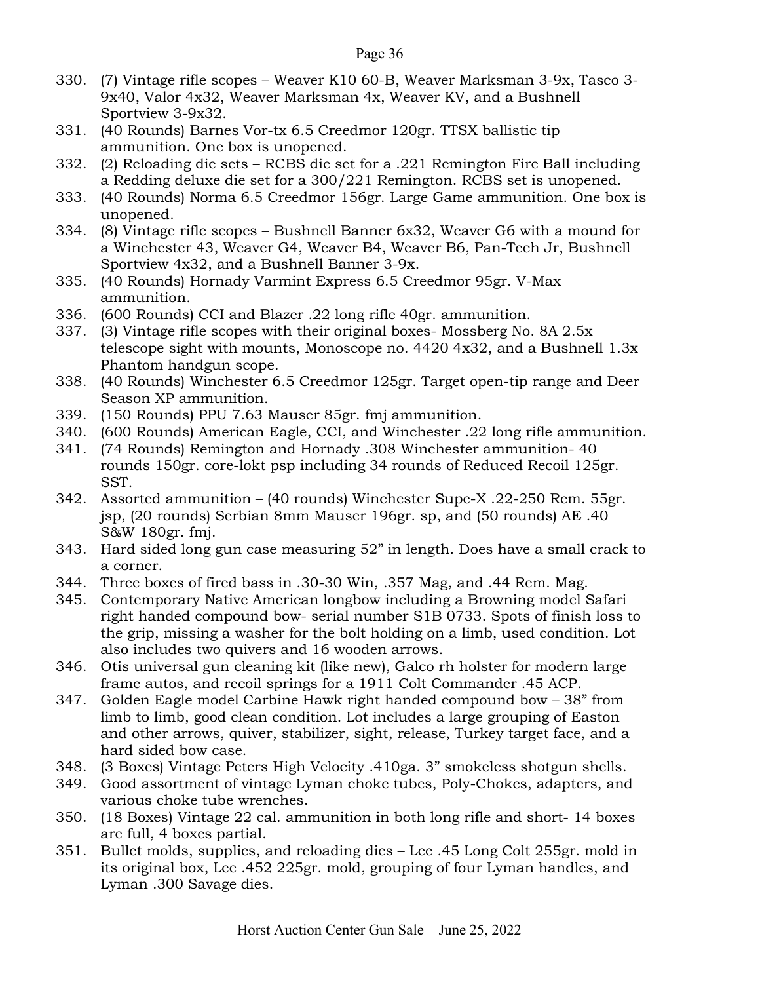- 330. (7) Vintage rifle scopes Weaver K10 60-B, Weaver Marksman 3-9x, Tasco 3- 9x40, Valor 4x32, Weaver Marksman 4x, Weaver KV, and a Bushnell Sportview 3-9x32.
- 331. (40 Rounds) Barnes Vor-tx 6.5 Creedmor 120gr. TTSX ballistic tip ammunition. One box is unopened.
- 332. (2) Reloading die sets RCBS die set for a .221 Remington Fire Ball including a Redding deluxe die set for a 300/221 Remington. RCBS set is unopened.
- 333. (40 Rounds) Norma 6.5 Creedmor 156gr. Large Game ammunition. One box is unopened.
- 334. (8) Vintage rifle scopes Bushnell Banner 6x32, Weaver G6 with a mound for a Winchester 43, Weaver G4, Weaver B4, Weaver B6, Pan-Tech Jr, Bushnell Sportview 4x32, and a Bushnell Banner 3-9x.
- 335. (40 Rounds) Hornady Varmint Express 6.5 Creedmor 95gr. V-Max ammunition.
- 336. (600 Rounds) CCI and Blazer .22 long rifle 40gr. ammunition.
- 337. (3) Vintage rifle scopes with their original boxes- Mossberg No. 8A 2.5x telescope sight with mounts, Monoscope no. 4420 4x32, and a Bushnell 1.3x Phantom handgun scope.
- 338. (40 Rounds) Winchester 6.5 Creedmor 125gr. Target open-tip range and Deer Season XP ammunition.
- 339. (150 Rounds) PPU 7.63 Mauser 85gr. fmj ammunition.
- 340. (600 Rounds) American Eagle, CCI, and Winchester .22 long rifle ammunition.
- 341. (74 Rounds) Remington and Hornady .308 Winchester ammunition- 40 rounds 150gr. core-lokt psp including 34 rounds of Reduced Recoil 125gr. SST.
- 342. Assorted ammunition (40 rounds) Winchester Supe-X .22-250 Rem. 55gr. jsp, (20 rounds) Serbian 8mm Mauser 196gr. sp, and (50 rounds) AE .40 S&W 180gr. fmj.
- 343. Hard sided long gun case measuring 52" in length. Does have a small crack to a corner.
- 344. Three boxes of fired bass in .30-30 Win, .357 Mag, and .44 Rem. Mag.
- 345. Contemporary Native American longbow including a Browning model Safari right handed compound bow- serial number S1B 0733. Spots of finish loss to the grip, missing a washer for the bolt holding on a limb, used condition. Lot also includes two quivers and 16 wooden arrows.
- 346. Otis universal gun cleaning kit (like new), Galco rh holster for modern large frame autos, and recoil springs for a 1911 Colt Commander .45 ACP.
- 347. Golden Eagle model Carbine Hawk right handed compound bow 38" from limb to limb, good clean condition. Lot includes a large grouping of Easton and other arrows, quiver, stabilizer, sight, release, Turkey target face, and a hard sided bow case.
- 348. (3 Boxes) Vintage Peters High Velocity .410ga. 3" smokeless shotgun shells.
- 349. Good assortment of vintage Lyman choke tubes, Poly-Chokes, adapters, and various choke tube wrenches.
- 350. (18 Boxes) Vintage 22 cal. ammunition in both long rifle and short- 14 boxes are full, 4 boxes partial.
- 351. Bullet molds, supplies, and reloading dies Lee .45 Long Colt 255gr. mold in its original box, Lee .452 225gr. mold, grouping of four Lyman handles, and Lyman .300 Savage dies.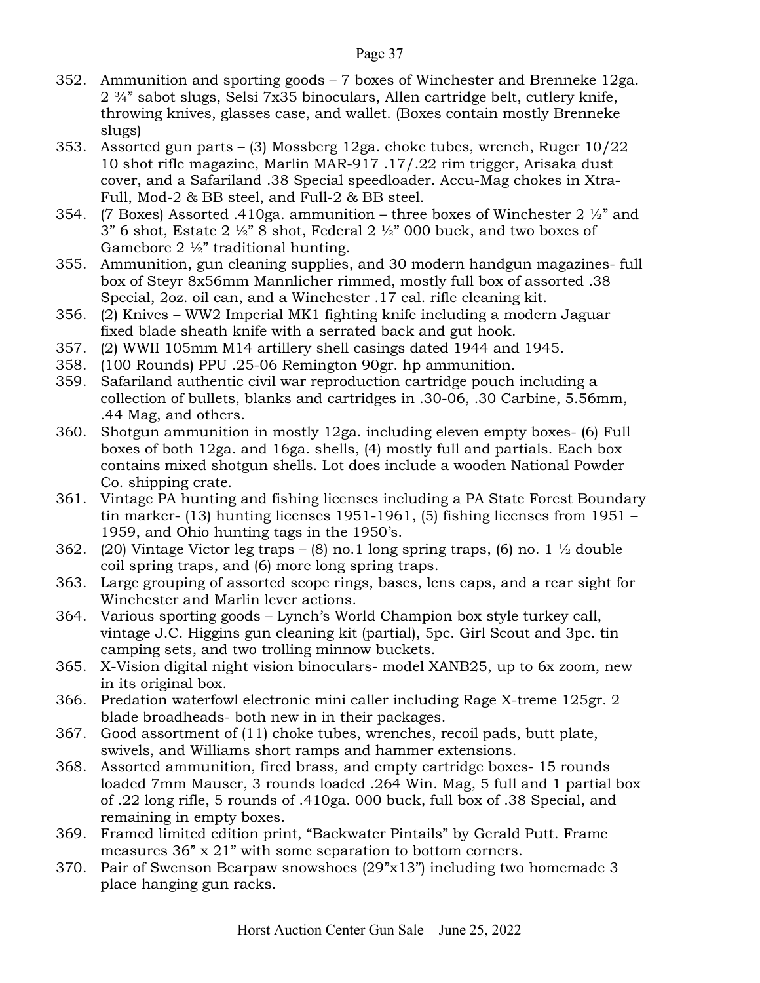- 352. Ammunition and sporting goods 7 boxes of Winchester and Brenneke 12ga. 2 ¾" sabot slugs, Selsi 7x35 binoculars, Allen cartridge belt, cutlery knife, throwing knives, glasses case, and wallet. (Boxes contain mostly Brenneke slugs)
- 353. Assorted gun parts (3) Mossberg 12ga. choke tubes, wrench, Ruger 10/22 10 shot rifle magazine, Marlin MAR-917 .17/.22 rim trigger, Arisaka dust cover, and a Safariland .38 Special speedloader. Accu-Mag chokes in Xtra-Full, Mod-2 & BB steel, and Full-2 & BB steel.
- 354. (7 Boxes) Assorted .410ga. ammunition three boxes of Winchester 2  $\frac{1}{2}$  and  $3"$  6 shot, Estate  $2\frac{1}{2}"$  8 shot, Federal  $2\frac{1}{2}"$  000 buck, and two boxes of Gamebore 2 ½" traditional hunting.
- 355. Ammunition, gun cleaning supplies, and 30 modern handgun magazines- full box of Steyr 8x56mm Mannlicher rimmed, mostly full box of assorted .38 Special, 2oz. oil can, and a Winchester .17 cal. rifle cleaning kit.
- 356. (2) Knives WW2 Imperial MK1 fighting knife including a modern Jaguar fixed blade sheath knife with a serrated back and gut hook.
- 357. (2) WWII 105mm M14 artillery shell casings dated 1944 and 1945.
- 358. (100 Rounds) PPU .25-06 Remington 90gr. hp ammunition.
- 359. Safariland authentic civil war reproduction cartridge pouch including a collection of bullets, blanks and cartridges in .30-06, .30 Carbine, 5.56mm, .44 Mag, and others.
- 360. Shotgun ammunition in mostly 12ga. including eleven empty boxes- (6) Full boxes of both 12ga. and 16ga. shells, (4) mostly full and partials. Each box contains mixed shotgun shells. Lot does include a wooden National Powder Co. shipping crate.
- 361. Vintage PA hunting and fishing licenses including a PA State Forest Boundary tin marker- (13) hunting licenses 1951-1961, (5) fishing licenses from 1951 – 1959, and Ohio hunting tags in the 1950's.
- 362. (20) Vintage Victor leg traps (8) no. 1 long spring traps, (6) no. 1  $\frac{1}{2}$  double coil spring traps, and (6) more long spring traps.
- 363. Large grouping of assorted scope rings, bases, lens caps, and a rear sight for Winchester and Marlin lever actions.
- 364. Various sporting goods Lynch's World Champion box style turkey call, vintage J.C. Higgins gun cleaning kit (partial), 5pc. Girl Scout and 3pc. tin camping sets, and two trolling minnow buckets.
- 365. X-Vision digital night vision binoculars- model XANB25, up to 6x zoom, new in its original box.
- 366. Predation waterfowl electronic mini caller including Rage X-treme 125gr. 2 blade broadheads- both new in in their packages.
- 367. Good assortment of (11) choke tubes, wrenches, recoil pads, butt plate, swivels, and Williams short ramps and hammer extensions.
- 368. Assorted ammunition, fired brass, and empty cartridge boxes- 15 rounds loaded 7mm Mauser, 3 rounds loaded .264 Win. Mag, 5 full and 1 partial box of .22 long rifle, 5 rounds of .410ga. 000 buck, full box of .38 Special, and remaining in empty boxes.
- 369. Framed limited edition print, "Backwater Pintails" by Gerald Putt. Frame measures 36" x 21" with some separation to bottom corners.
- 370. Pair of Swenson Bearpaw snowshoes (29"x13") including two homemade 3 place hanging gun racks.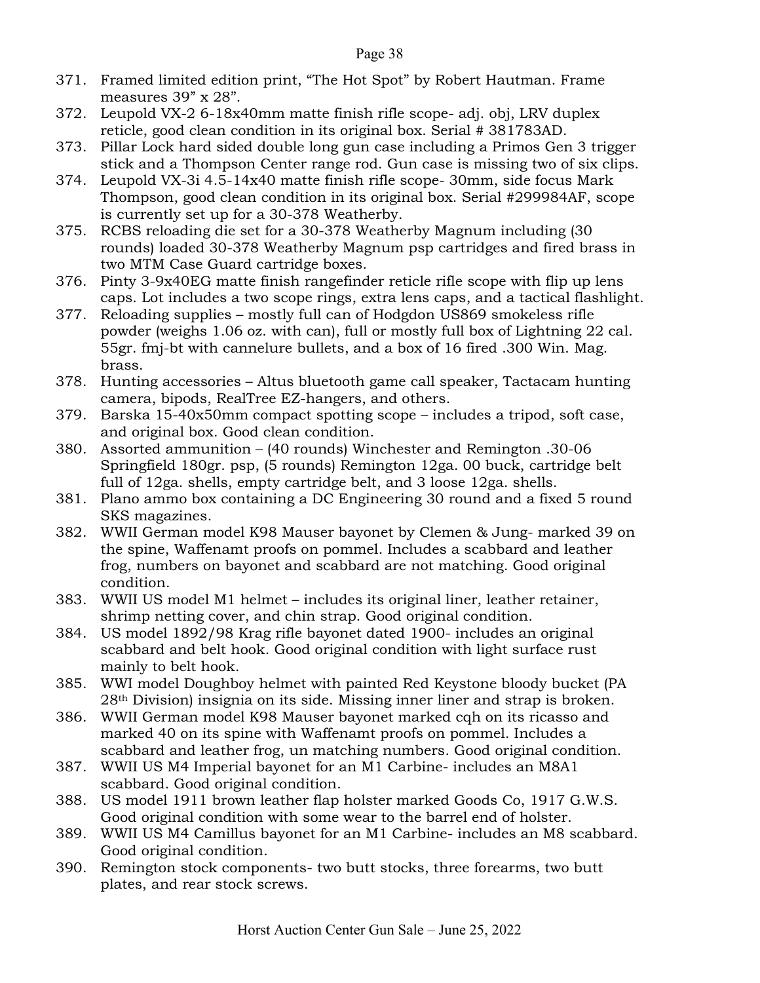- 371. Framed limited edition print, "The Hot Spot" by Robert Hautman. Frame measures 39" x 28".
- 372. Leupold VX-2 6-18x40mm matte finish rifle scope- adj. obj, LRV duplex reticle, good clean condition in its original box. Serial # 381783AD.
- 373. Pillar Lock hard sided double long gun case including a Primos Gen 3 trigger stick and a Thompson Center range rod. Gun case is missing two of six clips.
- 374. Leupold VX-3i 4.5-14x40 matte finish rifle scope- 30mm, side focus Mark Thompson, good clean condition in its original box. Serial #299984AF, scope is currently set up for a 30-378 Weatherby.
- 375. RCBS reloading die set for a 30-378 Weatherby Magnum including (30 rounds) loaded 30-378 Weatherby Magnum psp cartridges and fired brass in two MTM Case Guard cartridge boxes.
- 376. Pinty 3-9x40EG matte finish rangefinder reticle rifle scope with flip up lens caps. Lot includes a two scope rings, extra lens caps, and a tactical flashlight.
- 377. Reloading supplies mostly full can of Hodgdon US869 smokeless rifle powder (weighs 1.06 oz. with can), full or mostly full box of Lightning 22 cal. 55gr. fmj-bt with cannelure bullets, and a box of 16 fired .300 Win. Mag. brass.
- 378. Hunting accessories Altus bluetooth game call speaker, Tactacam hunting camera, bipods, RealTree EZ-hangers, and others.
- 379. Barska 15-40x50mm compact spotting scope includes a tripod, soft case, and original box. Good clean condition.
- 380. Assorted ammunition (40 rounds) Winchester and Remington .30-06 Springfield 180gr. psp, (5 rounds) Remington 12ga. 00 buck, cartridge belt full of 12ga. shells, empty cartridge belt, and 3 loose 12ga. shells.
- 381. Plano ammo box containing a DC Engineering 30 round and a fixed 5 round SKS magazines.
- 382. WWII German model K98 Mauser bayonet by Clemen & Jung- marked 39 on the spine, Waffenamt proofs on pommel. Includes a scabbard and leather frog, numbers on bayonet and scabbard are not matching. Good original condition.
- 383. WWII US model M1 helmet includes its original liner, leather retainer, shrimp netting cover, and chin strap. Good original condition.
- 384. US model 1892/98 Krag rifle bayonet dated 1900- includes an original scabbard and belt hook. Good original condition with light surface rust mainly to belt hook.
- 385. WWI model Doughboy helmet with painted Red Keystone bloody bucket (PA 28th Division) insignia on its side. Missing inner liner and strap is broken.
- 386. WWII German model K98 Mauser bayonet marked cqh on its ricasso and marked 40 on its spine with Waffenamt proofs on pommel. Includes a scabbard and leather frog, un matching numbers. Good original condition.
- 387. WWII US M4 Imperial bayonet for an M1 Carbine- includes an M8A1 scabbard. Good original condition.
- 388. US model 1911 brown leather flap holster marked Goods Co, 1917 G.W.S. Good original condition with some wear to the barrel end of holster.
- 389. WWII US M4 Camillus bayonet for an M1 Carbine- includes an M8 scabbard. Good original condition.
- 390. Remington stock components- two butt stocks, three forearms, two butt plates, and rear stock screws.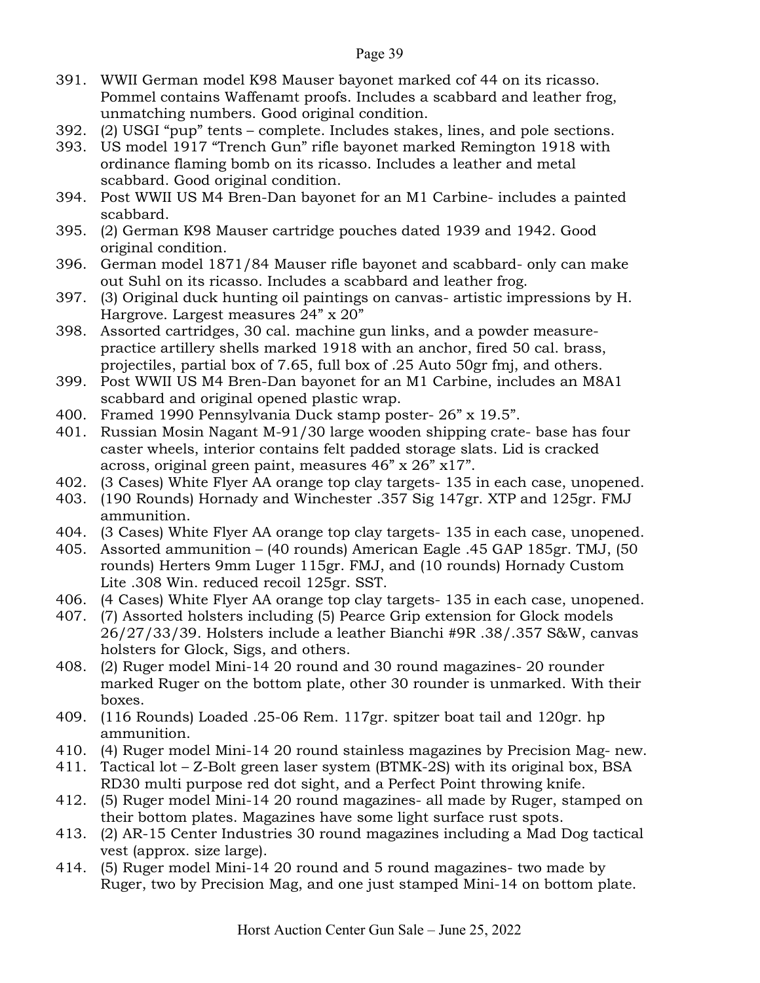- 391. WWII German model K98 Mauser bayonet marked cof 44 on its ricasso. Pommel contains Waffenamt proofs. Includes a scabbard and leather frog, unmatching numbers. Good original condition.
- 392. (2) USGI "pup" tents complete. Includes stakes, lines, and pole sections.
- 393. US model 1917 "Trench Gun" rifle bayonet marked Remington 1918 with ordinance flaming bomb on its ricasso. Includes a leather and metal scabbard. Good original condition.
- 394. Post WWII US M4 Bren-Dan bayonet for an M1 Carbine- includes a painted scabbard.
- 395. (2) German K98 Mauser cartridge pouches dated 1939 and 1942. Good original condition.
- 396. German model 1871/84 Mauser rifle bayonet and scabbard- only can make out Suhl on its ricasso. Includes a scabbard and leather frog.
- 397. (3) Original duck hunting oil paintings on canvas- artistic impressions by H. Hargrove. Largest measures 24" x 20"
- 398. Assorted cartridges, 30 cal. machine gun links, and a powder measurepractice artillery shells marked 1918 with an anchor, fired 50 cal. brass, projectiles, partial box of 7.65, full box of .25 Auto 50gr fmj, and others.
- 399. Post WWII US M4 Bren-Dan bayonet for an M1 Carbine, includes an M8A1 scabbard and original opened plastic wrap.
- 400. Framed 1990 Pennsylvania Duck stamp poster- 26" x 19.5".
- 401. Russian Mosin Nagant M-91/30 large wooden shipping crate- base has four caster wheels, interior contains felt padded storage slats. Lid is cracked across, original green paint, measures 46" x 26" x17".
- 402. (3 Cases) White Flyer AA orange top clay targets- 135 in each case, unopened.
- 403. (190 Rounds) Hornady and Winchester .357 Sig 147gr. XTP and 125gr. FMJ ammunition.
- 404. (3 Cases) White Flyer AA orange top clay targets- 135 in each case, unopened.
- 405. Assorted ammunition (40 rounds) American Eagle .45 GAP 185gr. TMJ, (50 rounds) Herters 9mm Luger 115gr. FMJ, and (10 rounds) Hornady Custom Lite .308 Win. reduced recoil 125gr. SST.
- 406. (4 Cases) White Flyer AA orange top clay targets- 135 in each case, unopened.
- 407. (7) Assorted holsters including (5) Pearce Grip extension for Glock models 26/27/33/39. Holsters include a leather Bianchi #9R .38/.357 S&W, canvas holsters for Glock, Sigs, and others.
- 408. (2) Ruger model Mini-14 20 round and 30 round magazines- 20 rounder marked Ruger on the bottom plate, other 30 rounder is unmarked. With their boxes.
- 409. (116 Rounds) Loaded .25-06 Rem. 117gr. spitzer boat tail and 120gr. hp ammunition.
- 410. (4) Ruger model Mini-14 20 round stainless magazines by Precision Mag- new.
- 411. Tactical lot Z-Bolt green laser system (BTMK-2S) with its original box, BSA RD30 multi purpose red dot sight, and a Perfect Point throwing knife.
- 412. (5) Ruger model Mini-14 20 round magazines- all made by Ruger, stamped on their bottom plates. Magazines have some light surface rust spots.
- 413. (2) AR-15 Center Industries 30 round magazines including a Mad Dog tactical vest (approx. size large).
- 414. (5) Ruger model Mini-14 20 round and 5 round magazines- two made by Ruger, two by Precision Mag, and one just stamped Mini-14 on bottom plate.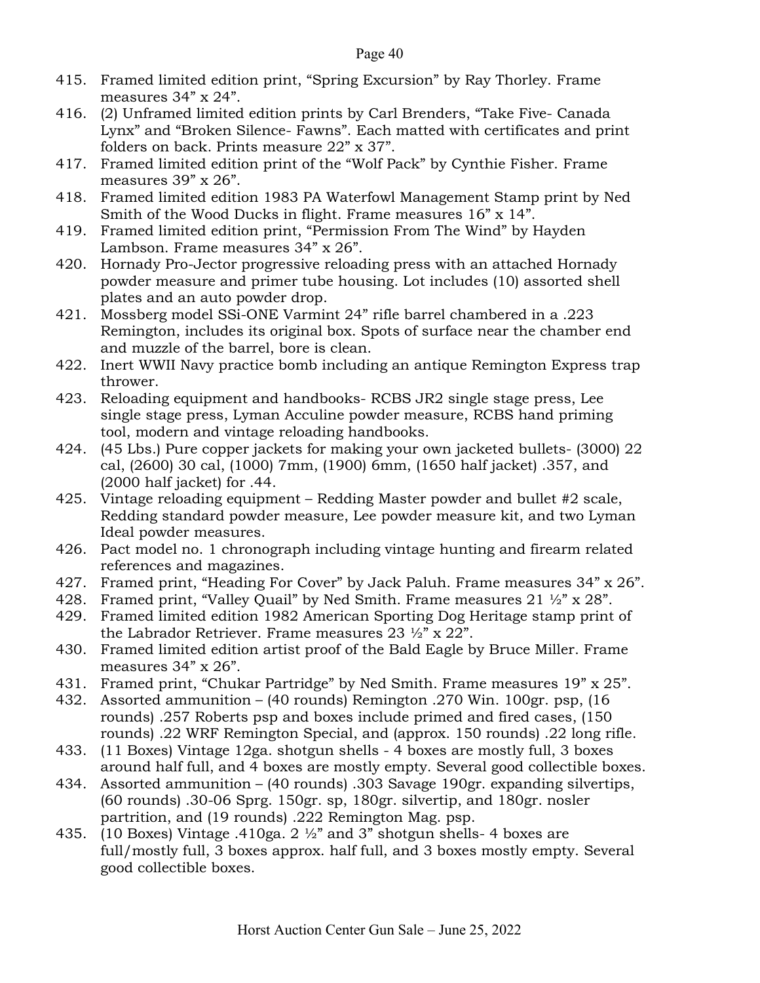- 415. Framed limited edition print, "Spring Excursion" by Ray Thorley. Frame measures 34" x 24".
- 416. (2) Unframed limited edition prints by Carl Brenders, "Take Five- Canada Lynx" and "Broken Silence- Fawns". Each matted with certificates and print folders on back. Prints measure 22" x 37".
- 417. Framed limited edition print of the "Wolf Pack" by Cynthie Fisher. Frame measures 39" x 26".
- 418. Framed limited edition 1983 PA Waterfowl Management Stamp print by Ned Smith of the Wood Ducks in flight. Frame measures  $16$ " x  $14$ ".
- 419. Framed limited edition print, "Permission From The Wind" by Hayden Lambson. Frame measures 34" x 26".
- 420. Hornady Pro-Jector progressive reloading press with an attached Hornady powder measure and primer tube housing. Lot includes (10) assorted shell plates and an auto powder drop.
- 421. Mossberg model SSi-ONE Varmint 24" rifle barrel chambered in a .223 Remington, includes its original box. Spots of surface near the chamber end and muzzle of the barrel, bore is clean.
- 422. Inert WWII Navy practice bomb including an antique Remington Express trap thrower.
- 423. Reloading equipment and handbooks- RCBS JR2 single stage press, Lee single stage press, Lyman Acculine powder measure, RCBS hand priming tool, modern and vintage reloading handbooks.
- 424. (45 Lbs.) Pure copper jackets for making your own jacketed bullets- (3000) 22 cal, (2600) 30 cal, (1000) 7mm, (1900) 6mm, (1650 half jacket) .357, and (2000 half jacket) for .44.
- 425. Vintage reloading equipment Redding Master powder and bullet #2 scale, Redding standard powder measure, Lee powder measure kit, and two Lyman Ideal powder measures.
- 426. Pact model no. 1 chronograph including vintage hunting and firearm related references and magazines.
- 427. Framed print, "Heading For Cover" by Jack Paluh. Frame measures 34" x 26".
- 428. Framed print, "Valley Quail" by Ned Smith. Frame measures  $21 \frac{1}{2}$ " x  $28$ ".
- 429. Framed limited edition 1982 American Sporting Dog Heritage stamp print of the Labrador Retriever. Frame measures 23 ½" x 22".
- 430. Framed limited edition artist proof of the Bald Eagle by Bruce Miller. Frame measures 34" x 26".
- 431. Framed print, "Chukar Partridge" by Ned Smith. Frame measures 19" x 25".
- 432. Assorted ammunition (40 rounds) Remington .270 Win. 100gr. psp, (16 rounds) .257 Roberts psp and boxes include primed and fired cases, (150 rounds) .22 WRF Remington Special, and (approx. 150 rounds) .22 long rifle.
- 433. (11 Boxes) Vintage 12ga. shotgun shells 4 boxes are mostly full, 3 boxes around half full, and 4 boxes are mostly empty. Several good collectible boxes.
- 434. Assorted ammunition (40 rounds) .303 Savage 190gr. expanding silvertips, (60 rounds) .30-06 Sprg. 150gr. sp, 180gr. silvertip, and 180gr. nosler partrition, and (19 rounds) .222 Remington Mag. psp.
- 435. (10 Boxes) Vintage .410ga. 2  $\frac{1}{2}$  and 3" shotgun shells-4 boxes are full/mostly full, 3 boxes approx. half full, and 3 boxes mostly empty. Several good collectible boxes.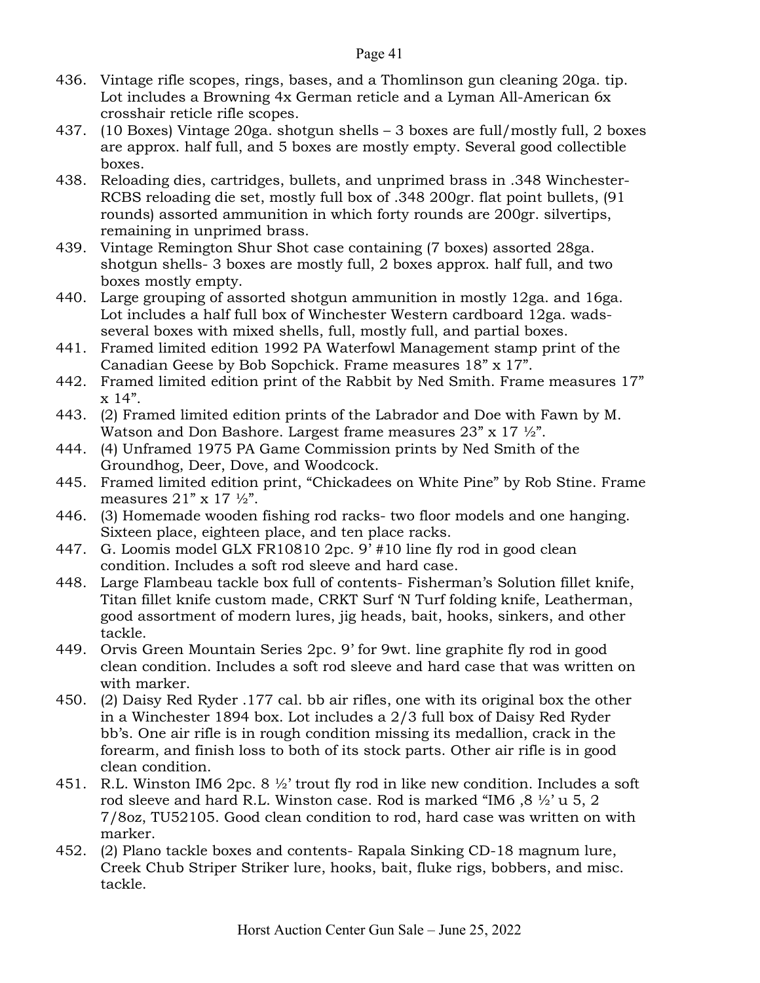- 436. Vintage rifle scopes, rings, bases, and a Thomlinson gun cleaning 20ga. tip. Lot includes a Browning 4x German reticle and a Lyman All-American 6x crosshair reticle rifle scopes.
- 437. (10 Boxes) Vintage 20ga. shotgun shells 3 boxes are full/mostly full, 2 boxes are approx. half full, and 5 boxes are mostly empty. Several good collectible boxes.
- 438. Reloading dies, cartridges, bullets, and unprimed brass in .348 Winchester-RCBS reloading die set, mostly full box of .348 200gr. flat point bullets, (91 rounds) assorted ammunition in which forty rounds are 200gr. silvertips, remaining in unprimed brass.
- 439. Vintage Remington Shur Shot case containing (7 boxes) assorted 28ga. shotgun shells- 3 boxes are mostly full, 2 boxes approx. half full, and two boxes mostly empty.
- 440. Large grouping of assorted shotgun ammunition in mostly 12ga. and 16ga. Lot includes a half full box of Winchester Western cardboard 12ga. wadsseveral boxes with mixed shells, full, mostly full, and partial boxes.
- 441. Framed limited edition 1992 PA Waterfowl Management stamp print of the Canadian Geese by Bob Sopchick. Frame measures 18" x 17".
- 442. Framed limited edition print of the Rabbit by Ned Smith. Frame measures 17"  $x 14$ ".
- 443. (2) Framed limited edition prints of the Labrador and Doe with Fawn by M. Watson and Don Bashore. Largest frame measures 23" x 17  $\frac{1}{2}$ ".
- 444. (4) Unframed 1975 PA Game Commission prints by Ned Smith of the Groundhog, Deer, Dove, and Woodcock.
- 445. Framed limited edition print, "Chickadees on White Pine" by Rob Stine. Frame measures  $21$ " x  $17 \frac{1}{2}$ ".
- 446. (3) Homemade wooden fishing rod racks- two floor models and one hanging. Sixteen place, eighteen place, and ten place racks.
- 447. G. Loomis model GLX FR10810 2pc. 9' #10 line fly rod in good clean condition. Includes a soft rod sleeve and hard case.
- 448. Large Flambeau tackle box full of contents- Fisherman's Solution fillet knife, Titan fillet knife custom made, CRKT Surf 'N Turf folding knife, Leatherman, good assortment of modern lures, jig heads, bait, hooks, sinkers, and other tackle.
- 449. Orvis Green Mountain Series 2pc. 9' for 9wt. line graphite fly rod in good clean condition. Includes a soft rod sleeve and hard case that was written on with marker.
- 450. (2) Daisy Red Ryder .177 cal. bb air rifles, one with its original box the other in a Winchester 1894 box. Lot includes a 2/3 full box of Daisy Red Ryder bb's. One air rifle is in rough condition missing its medallion, crack in the forearm, and finish loss to both of its stock parts. Other air rifle is in good clean condition.
- 451. R.L. Winston IM6 2pc. 8  $\frac{1}{2}$  trout fly rod in like new condition. Includes a soft rod sleeve and hard R.L. Winston case. Rod is marked "IM6,  $8 \frac{1}{2}$ " u 5, 2 7/8oz, TU52105. Good clean condition to rod, hard case was written on with marker.
- 452. (2) Plano tackle boxes and contents- Rapala Sinking CD-18 magnum lure, Creek Chub Striper Striker lure, hooks, bait, fluke rigs, bobbers, and misc. tackle.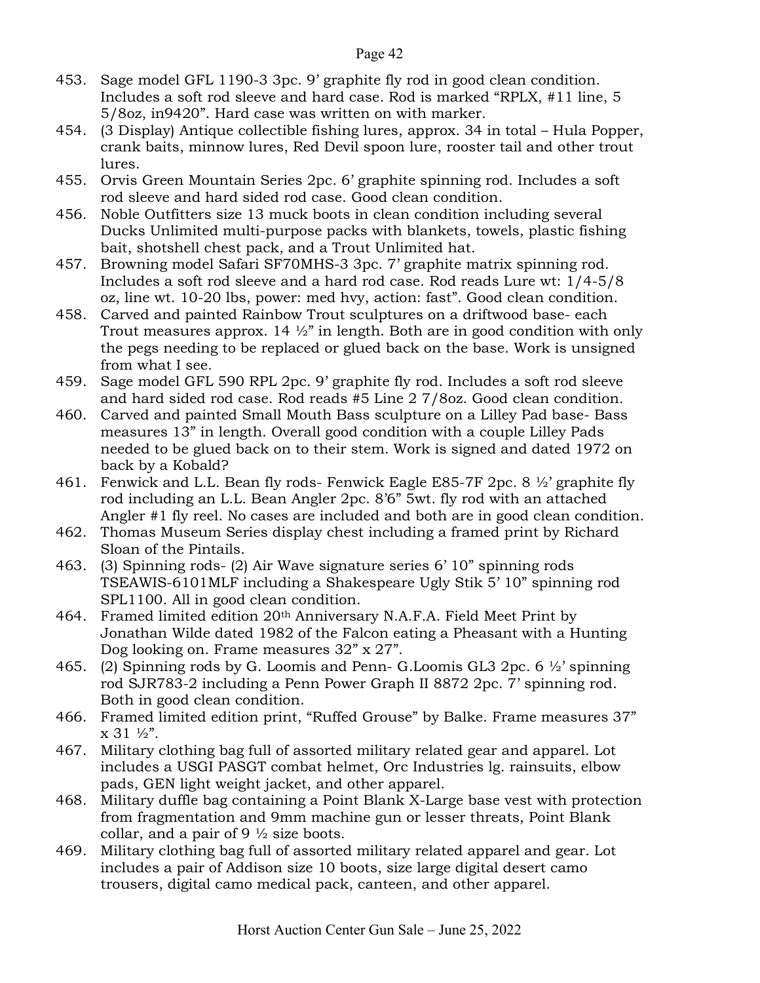- 453. Sage model GFL 1190-3 3pc. 9' graphite fly rod in good clean condition. Includes a soft rod sleeve and hard case. Rod is marked "RPLX, #11 line, 5 5/8oz, in9420". Hard case was written on with marker.
- 454. (3 Display) Antique collectible fishing lures, approx. 34 in total Hula Popper, crank baits, minnow lures, Red Devil spoon lure, rooster tail and other trout lures.
- 455. Orvis Green Mountain Series 2pc. 6' graphite spinning rod. Includes a soft rod sleeve and hard sided rod case. Good clean condition.
- 456. Noble Outfitters size 13 muck boots in clean condition including several Ducks Unlimited multi-purpose packs with blankets, towels, plastic fishing bait, shotshell chest pack, and a Trout Unlimited hat.
- 457. Browning model Safari SF70MHS-3 3pc. 7' graphite matrix spinning rod. Includes a soft rod sleeve and a hard rod case. Rod reads Lure wt: 1/4-5/8 oz, line wt. 10-20 lbs, power: med hvy, action: fast". Good clean condition.
- 458. Carved and painted Rainbow Trout sculptures on a driftwood base- each Trout measures approx. 14  $\frac{1}{2}$ " in length. Both are in good condition with only the pegs needing to be replaced or glued back on the base. Work is unsigned from what I see.
- 459. Sage model GFL 590 RPL 2pc. 9' graphite fly rod. Includes a soft rod sleeve and hard sided rod case. Rod reads #5 Line 2 7/8oz. Good clean condition.
- 460. Carved and painted Small Mouth Bass sculpture on a Lilley Pad base- Bass measures 13" in length. Overall good condition with a couple Lilley Pads needed to be glued back on to their stem. Work is signed and dated 1972 on back by a Kobald?
- 461. Fenwick and L.L. Bean fly rods- Fenwick Eagle E85-7F 2pc. 8 ½' graphite fly rod including an L.L. Bean Angler 2pc. 8'6" 5wt. fly rod with an attached Angler #1 fly reel. No cases are included and both are in good clean condition.
- 462. Thomas Museum Series display chest including a framed print by Richard Sloan of the Pintails.
- 463. (3) Spinning rods- (2) Air Wave signature series 6' 10" spinning rods TSEAWIS-6101MLF including a Shakespeare Ugly Stik 5' 10" spinning rod SPL1100. All in good clean condition.
- 464. Framed limited edition 20th Anniversary N.A.F.A. Field Meet Print by Jonathan Wilde dated 1982 of the Falcon eating a Pheasant with a Hunting Dog looking on. Frame measures 32" x 27".
- 465. (2) Spinning rods by G. Loomis and Penn- G. Loomis GL3 2pc. 6  $\frac{1}{2}$  spinning rod SJR783-2 including a Penn Power Graph II 8872 2pc. 7' spinning rod. Both in good clean condition.
- 466. Framed limited edition print, "Ruffed Grouse" by Balke. Frame measures 37"  $x 31 \frac{1}{2}$ .
- 467. Military clothing bag full of assorted military related gear and apparel. Lot includes a USGI PASGT combat helmet, Orc Industries lg. rainsuits, elbow pads, GEN light weight jacket, and other apparel.
- 468. Military duffle bag containing a Point Blank X-Large base vest with protection from fragmentation and 9mm machine gun or lesser threats, Point Blank collar, and a pair of 9  $\frac{1}{2}$  size boots.
- 469. Military clothing bag full of assorted military related apparel and gear. Lot includes a pair of Addison size 10 boots, size large digital desert camo trousers, digital camo medical pack, canteen, and other apparel.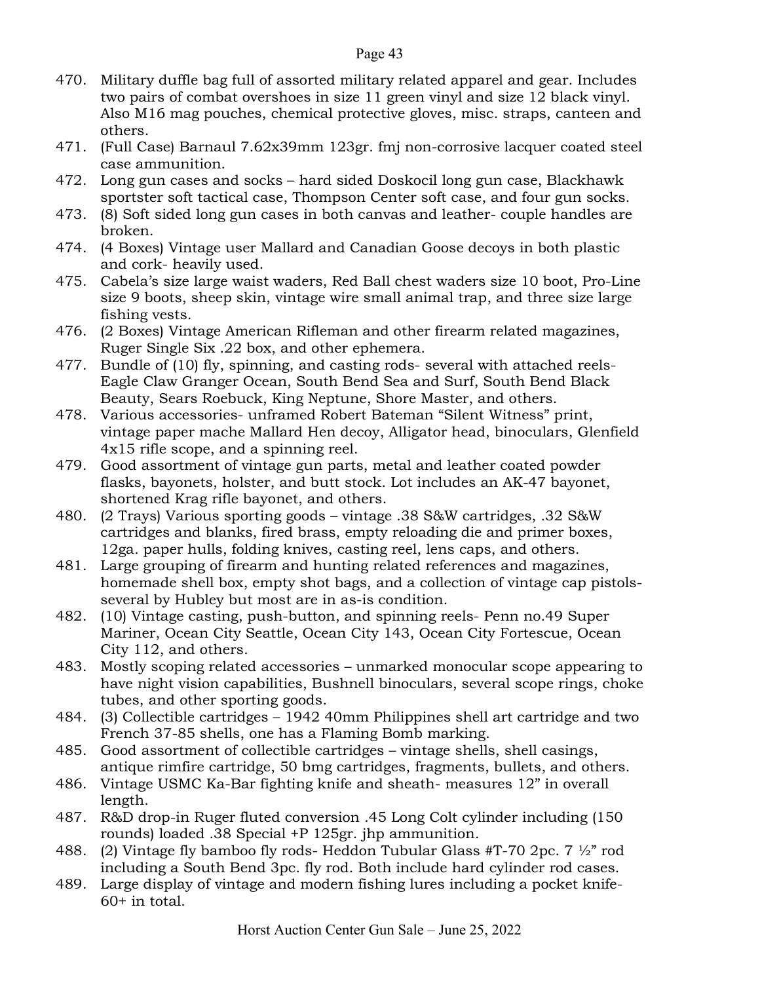- 470. Military duffle bag full of assorted military related apparel and gear. Includes two pairs of combat overshoes in size 11 green vinyl and size 12 black vinyl. Also M16 mag pouches, chemical protective gloves, misc. straps, canteen and others.
- 471. (Full Case) Barnaul 7.62x39mm 123gr. fmj non-corrosive lacquer coated steel case ammunition.
- 472. Long gun cases and socks hard sided Doskocil long gun case, Blackhawk sportster soft tactical case, Thompson Center soft case, and four gun socks.
- 473. (8) Soft sided long gun cases in both canvas and leather- couple handles are broken.
- 474. (4 Boxes) Vintage user Mallard and Canadian Goose decoys in both plastic and cork- heavily used.
- 475. Cabela's size large waist waders, Red Ball chest waders size 10 boot, Pro-Line size 9 boots, sheep skin, vintage wire small animal trap, and three size large fishing vests.
- 476. (2 Boxes) Vintage American Rifleman and other firearm related magazines, Ruger Single Six .22 box, and other ephemera.
- 477. Bundle of (10) fly, spinning, and casting rods- several with attached reels-Eagle Claw Granger Ocean, South Bend Sea and Surf, South Bend Black Beauty, Sears Roebuck, King Neptune, Shore Master, and others.
- 478. Various accessories- unframed Robert Bateman "Silent Witness" print, vintage paper mache Mallard Hen decoy, Alligator head, binoculars, Glenfield 4x15 rifle scope, and a spinning reel.
- 479. Good assortment of vintage gun parts, metal and leather coated powder flasks, bayonets, holster, and butt stock. Lot includes an AK-47 bayonet, shortened Krag rifle bayonet, and others.
- 480. (2 Trays) Various sporting goods vintage .38 S&W cartridges, .32 S&W cartridges and blanks, fired brass, empty reloading die and primer boxes, 12ga. paper hulls, folding knives, casting reel, lens caps, and others.
- 481. Large grouping of firearm and hunting related references and magazines, homemade shell box, empty shot bags, and a collection of vintage cap pistolsseveral by Hubley but most are in as-is condition.
- 482. (10) Vintage casting, push-button, and spinning reels- Penn no.49 Super Mariner, Ocean City Seattle, Ocean City 143, Ocean City Fortescue, Ocean City 112, and others.
- 483. Mostly scoping related accessories unmarked monocular scope appearing to have night vision capabilities, Bushnell binoculars, several scope rings, choke tubes, and other sporting goods.
- 484. (3) Collectible cartridges 1942 40mm Philippines shell art cartridge and two French 37-85 shells, one has a Flaming Bomb marking.
- 485. Good assortment of collectible cartridges vintage shells, shell casings, antique rimfire cartridge, 50 bmg cartridges, fragments, bullets, and others.
- 486. Vintage USMC Ka-Bar fighting knife and sheath- measures 12" in overall length.
- 487. R&D drop-in Ruger fluted conversion .45 Long Colt cylinder including (150 rounds) loaded .38 Special +P 125gr. jhp ammunition.
- 488. (2) Vintage fly bamboo fly rods- Heddon Tubular Glass #T-70 2pc. 7  $\frac{1}{2}$ " rod including a South Bend 3pc. fly rod. Both include hard cylinder rod cases.
- 489. Large display of vintage and modern fishing lures including a pocket knife-60+ in total.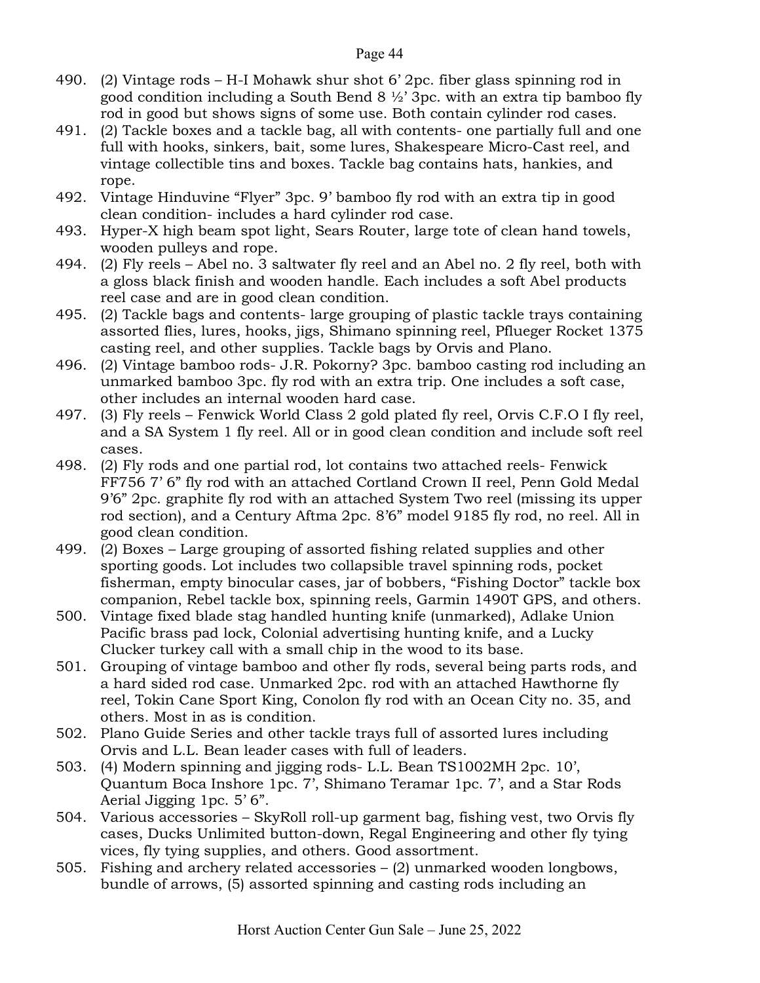- 490. (2) Vintage rods H-I Mohawk shur shot 6' 2pc. fiber glass spinning rod in good condition including a South Bend  $8\frac{1}{2}$  3pc. with an extra tip bamboo fly rod in good but shows signs of some use. Both contain cylinder rod cases.
- 491. (2) Tackle boxes and a tackle bag, all with contents- one partially full and one full with hooks, sinkers, bait, some lures, Shakespeare Micro-Cast reel, and vintage collectible tins and boxes. Tackle bag contains hats, hankies, and rope.
- 492. Vintage Hinduvine "Flyer" 3pc. 9' bamboo fly rod with an extra tip in good clean condition- includes a hard cylinder rod case.
- 493. Hyper-X high beam spot light, Sears Router, large tote of clean hand towels, wooden pulleys and rope.
- 494. (2) Fly reels Abel no. 3 saltwater fly reel and an Abel no. 2 fly reel, both with a gloss black finish and wooden handle. Each includes a soft Abel products reel case and are in good clean condition.
- 495. (2) Tackle bags and contents- large grouping of plastic tackle trays containing assorted flies, lures, hooks, jigs, Shimano spinning reel, Pflueger Rocket 1375 casting reel, and other supplies. Tackle bags by Orvis and Plano.
- 496. (2) Vintage bamboo rods- J.R. Pokorny? 3pc. bamboo casting rod including an unmarked bamboo 3pc. fly rod with an extra trip. One includes a soft case, other includes an internal wooden hard case.
- 497. (3) Fly reels Fenwick World Class 2 gold plated fly reel, Orvis C.F.O I fly reel, and a SA System 1 fly reel. All or in good clean condition and include soft reel cases.
- 498. (2) Fly rods and one partial rod, lot contains two attached reels- Fenwick FF756 7' 6" fly rod with an attached Cortland Crown II reel, Penn Gold Medal 9'6" 2pc. graphite fly rod with an attached System Two reel (missing its upper rod section), and a Century Aftma 2pc. 8'6" model 9185 fly rod, no reel. All in good clean condition.
- 499. (2) Boxes Large grouping of assorted fishing related supplies and other sporting goods. Lot includes two collapsible travel spinning rods, pocket fisherman, empty binocular cases, jar of bobbers, "Fishing Doctor" tackle box companion, Rebel tackle box, spinning reels, Garmin 1490T GPS, and others.
- 500. Vintage fixed blade stag handled hunting knife (unmarked), Adlake Union Pacific brass pad lock, Colonial advertising hunting knife, and a Lucky Clucker turkey call with a small chip in the wood to its base.
- 501. Grouping of vintage bamboo and other fly rods, several being parts rods, and a hard sided rod case. Unmarked 2pc. rod with an attached Hawthorne fly reel, Tokin Cane Sport King, Conolon fly rod with an Ocean City no. 35, and others. Most in as is condition.
- 502. Plano Guide Series and other tackle trays full of assorted lures including Orvis and L.L. Bean leader cases with full of leaders.
- 503. (4) Modern spinning and jigging rods- L.L. Bean TS1002MH 2pc. 10', Quantum Boca Inshore 1pc. 7', Shimano Teramar 1pc. 7', and a Star Rods Aerial Jigging 1pc. 5' 6".
- 504. Various accessories SkyRoll roll-up garment bag, fishing vest, two Orvis fly cases, Ducks Unlimited button-down, Regal Engineering and other fly tying vices, fly tying supplies, and others. Good assortment.
- 505. Fishing and archery related accessories (2) unmarked wooden longbows, bundle of arrows, (5) assorted spinning and casting rods including an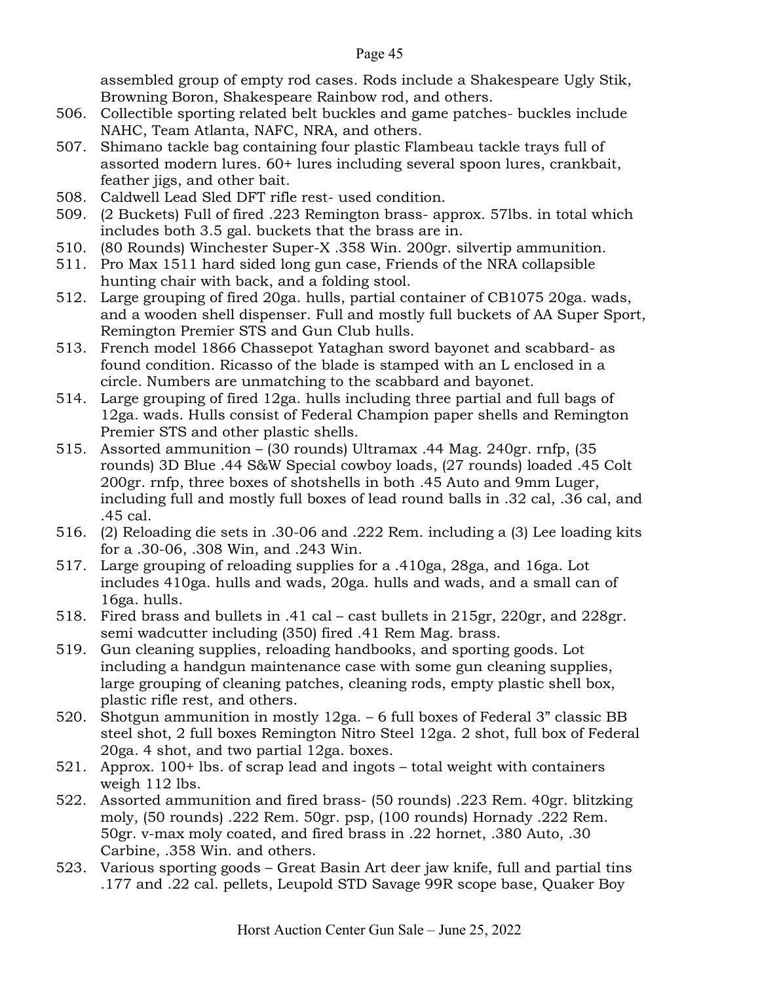assembled group of empty rod cases. Rods include a Shakespeare Ugly Stik, Browning Boron, Shakespeare Rainbow rod, and others.

- 506. Collectible sporting related belt buckles and game patches- buckles include NAHC, Team Atlanta, NAFC, NRA, and others.
- 507. Shimano tackle bag containing four plastic Flambeau tackle trays full of assorted modern lures. 60+ lures including several spoon lures, crankbait, feather jigs, and other bait.
- 508. Caldwell Lead Sled DFT rifle rest- used condition.
- 509. (2 Buckets) Full of fired .223 Remington brass- approx. 57lbs. in total which includes both 3.5 gal. buckets that the brass are in.
- 510. (80 Rounds) Winchester Super-X .358 Win. 200gr. silvertip ammunition.
- 511. Pro Max 1511 hard sided long gun case, Friends of the NRA collapsible hunting chair with back, and a folding stool.
- 512. Large grouping of fired 20ga. hulls, partial container of CB1075 20ga. wads, and a wooden shell dispenser. Full and mostly full buckets of AA Super Sport, Remington Premier STS and Gun Club hulls.
- 513. French model 1866 Chassepot Yataghan sword bayonet and scabbard- as found condition. Ricasso of the blade is stamped with an L enclosed in a circle. Numbers are unmatching to the scabbard and bayonet.
- 514. Large grouping of fired 12ga. hulls including three partial and full bags of 12ga. wads. Hulls consist of Federal Champion paper shells and Remington Premier STS and other plastic shells.
- 515. Assorted ammunition (30 rounds) Ultramax .44 Mag. 240gr. rnfp, (35 rounds) 3D Blue .44 S&W Special cowboy loads, (27 rounds) loaded .45 Colt 200gr. rnfp, three boxes of shotshells in both .45 Auto and 9mm Luger, including full and mostly full boxes of lead round balls in .32 cal, .36 cal, and .45 cal.
- 516. (2) Reloading die sets in .30-06 and .222 Rem. including a (3) Lee loading kits for a .30-06, .308 Win, and .243 Win.
- 517. Large grouping of reloading supplies for a .410ga, 28ga, and 16ga. Lot includes 410ga. hulls and wads, 20ga. hulls and wads, and a small can of 16ga. hulls.
- 518. Fired brass and bullets in .41 cal cast bullets in 215gr, 220gr, and 228gr. semi wadcutter including (350) fired .41 Rem Mag. brass.
- 519. Gun cleaning supplies, reloading handbooks, and sporting goods. Lot including a handgun maintenance case with some gun cleaning supplies, large grouping of cleaning patches, cleaning rods, empty plastic shell box, plastic rifle rest, and others.
- 520. Shotgun ammunition in mostly 12ga. 6 full boxes of Federal 3" classic BB steel shot, 2 full boxes Remington Nitro Steel 12ga. 2 shot, full box of Federal 20ga. 4 shot, and two partial 12ga. boxes.
- 521. Approx. 100+ lbs. of scrap lead and ingots total weight with containers weigh 112 lbs.
- 522. Assorted ammunition and fired brass- (50 rounds) .223 Rem. 40gr. blitzking moly, (50 rounds) .222 Rem. 50gr. psp, (100 rounds) Hornady .222 Rem. 50gr. v-max moly coated, and fired brass in .22 hornet, .380 Auto, .30 Carbine, .358 Win. and others.
- 523. Various sporting goods Great Basin Art deer jaw knife, full and partial tins .177 and .22 cal. pellets, Leupold STD Savage 99R scope base, Quaker Boy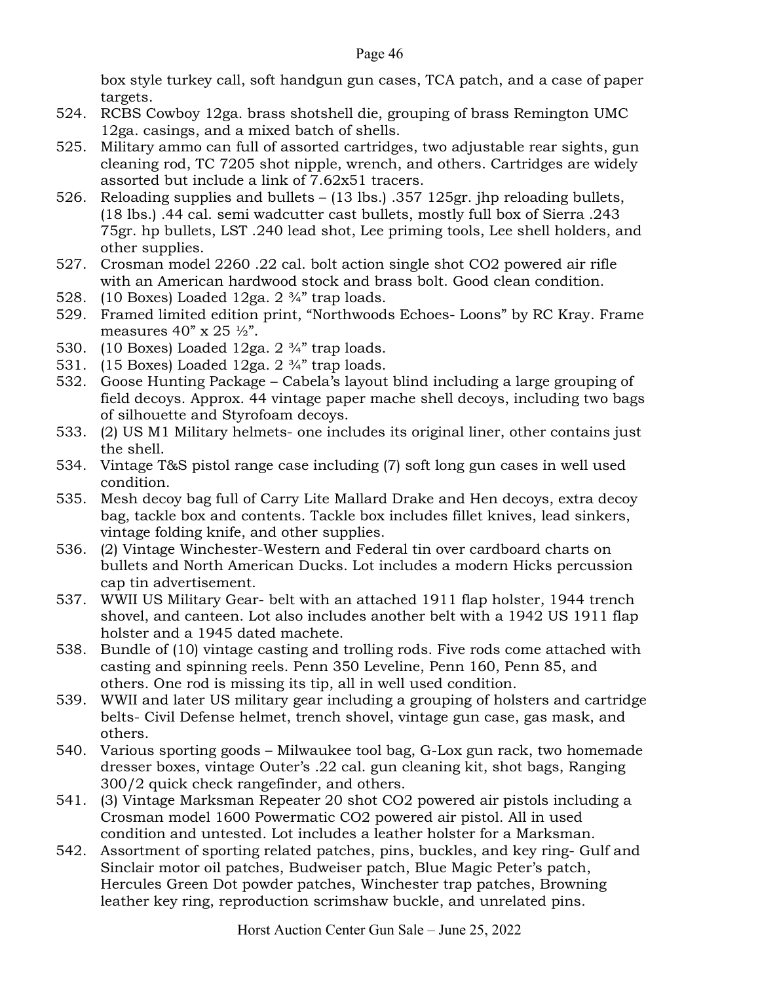box style turkey call, soft handgun gun cases, TCA patch, and a case of paper targets.

- 524. RCBS Cowboy 12ga. brass shotshell die, grouping of brass Remington UMC 12ga. casings, and a mixed batch of shells.
- 525. Military ammo can full of assorted cartridges, two adjustable rear sights, gun cleaning rod, TC 7205 shot nipple, wrench, and others. Cartridges are widely assorted but include a link of 7.62x51 tracers.
- 526. Reloading supplies and bullets (13 lbs.) .357 125gr. jhp reloading bullets, (18 lbs.) .44 cal. semi wadcutter cast bullets, mostly full box of Sierra .243 75gr. hp bullets, LST .240 lead shot, Lee priming tools, Lee shell holders, and other supplies.
- 527. Crosman model 2260 .22 cal. bolt action single shot CO2 powered air rifle with an American hardwood stock and brass bolt. Good clean condition.
- 528. (10 Boxes) Loaded  $12ga. 2 \frac{3}{4}$  trap loads.
- 529. Framed limited edition print, "Northwoods Echoes- Loons" by RC Kray. Frame measures  $40'' \times 25 \frac{1}{2}$ .
- 530. (10 Boxes) Loaded  $12ga. 2 \frac{3}{4}$  trap loads.
- 531. (15 Boxes) Loaded 12ga. 2 ¾" trap loads.
- 532. Goose Hunting Package Cabela's layout blind including a large grouping of field decoys. Approx. 44 vintage paper mache shell decoys, including two bags of silhouette and Styrofoam decoys.
- 533. (2) US M1 Military helmets- one includes its original liner, other contains just the shell.
- 534. Vintage T&S pistol range case including (7) soft long gun cases in well used condition.
- 535. Mesh decoy bag full of Carry Lite Mallard Drake and Hen decoys, extra decoy bag, tackle box and contents. Tackle box includes fillet knives, lead sinkers, vintage folding knife, and other supplies.
- 536. (2) Vintage Winchester-Western and Federal tin over cardboard charts on bullets and North American Ducks. Lot includes a modern Hicks percussion cap tin advertisement.
- 537. WWII US Military Gear- belt with an attached 1911 flap holster, 1944 trench shovel, and canteen. Lot also includes another belt with a 1942 US 1911 flap holster and a 1945 dated machete.
- 538. Bundle of (10) vintage casting and trolling rods. Five rods come attached with casting and spinning reels. Penn 350 Leveline, Penn 160, Penn 85, and others. One rod is missing its tip, all in well used condition.
- 539. WWII and later US military gear including a grouping of holsters and cartridge belts- Civil Defense helmet, trench shovel, vintage gun case, gas mask, and others.
- 540. Various sporting goods Milwaukee tool bag, G-Lox gun rack, two homemade dresser boxes, vintage Outer's .22 cal. gun cleaning kit, shot bags, Ranging 300/2 quick check rangefinder, and others.
- 541. (3) Vintage Marksman Repeater 20 shot CO2 powered air pistols including a Crosman model 1600 Powermatic CO2 powered air pistol. All in used condition and untested. Lot includes a leather holster for a Marksman.
- 542. Assortment of sporting related patches, pins, buckles, and key ring- Gulf and Sinclair motor oil patches, Budweiser patch, Blue Magic Peter's patch, Hercules Green Dot powder patches, Winchester trap patches, Browning leather key ring, reproduction scrimshaw buckle, and unrelated pins.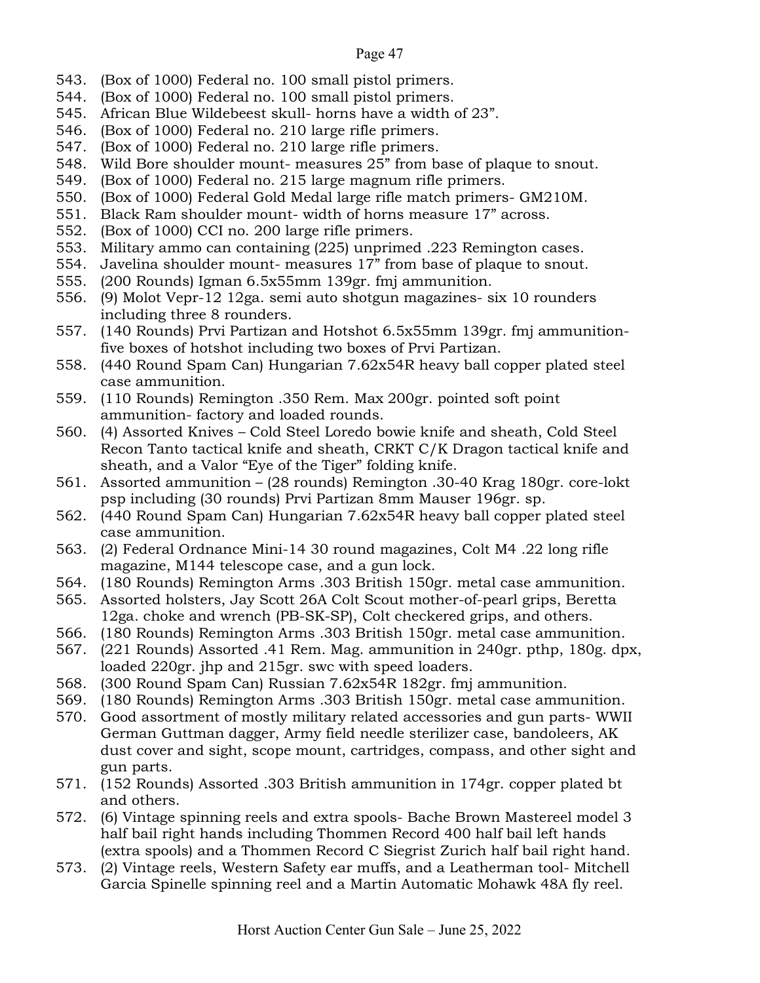- 543. (Box of 1000) Federal no. 100 small pistol primers.
- 544. (Box of 1000) Federal no. 100 small pistol primers.
- 545. African Blue Wildebeest skull- horns have a width of 23".
- 546. (Box of 1000) Federal no. 210 large rifle primers.
- 547. (Box of 1000) Federal no. 210 large rifle primers.
- 548. Wild Bore shoulder mount- measures 25" from base of plaque to snout.
- 549. (Box of 1000) Federal no. 215 large magnum rifle primers.
- 550. (Box of 1000) Federal Gold Medal large rifle match primers- GM210M.
- 551. Black Ram shoulder mount- width of horns measure 17" across.
- 552. (Box of 1000) CCI no. 200 large rifle primers.
- 553. Military ammo can containing (225) unprimed .223 Remington cases.
- 554. Javelina shoulder mount- measures 17" from base of plaque to snout.
- 555. (200 Rounds) Igman 6.5x55mm 139gr. fmj ammunition.
- 556. (9) Molot Vepr-12 12ga. semi auto shotgun magazines- six 10 rounders including three 8 rounders.
- 557. (140 Rounds) Prvi Partizan and Hotshot 6.5x55mm 139gr. fmj ammunitionfive boxes of hotshot including two boxes of Prvi Partizan.
- 558. (440 Round Spam Can) Hungarian 7.62x54R heavy ball copper plated steel case ammunition.
- 559. (110 Rounds) Remington .350 Rem. Max 200gr. pointed soft point ammunition- factory and loaded rounds.
- 560. (4) Assorted Knives Cold Steel Loredo bowie knife and sheath, Cold Steel Recon Tanto tactical knife and sheath, CRKT C/K Dragon tactical knife and sheath, and a Valor "Eye of the Tiger" folding knife.
- 561. Assorted ammunition (28 rounds) Remington .30-40 Krag 180gr. core-lokt psp including (30 rounds) Prvi Partizan 8mm Mauser 196gr. sp.
- 562. (440 Round Spam Can) Hungarian 7.62x54R heavy ball copper plated steel case ammunition.
- 563. (2) Federal Ordnance Mini-14 30 round magazines, Colt M4 .22 long rifle magazine, M144 telescope case, and a gun lock.
- 564. (180 Rounds) Remington Arms .303 British 150gr. metal case ammunition.
- 565. Assorted holsters, Jay Scott 26A Colt Scout mother-of-pearl grips, Beretta 12ga. choke and wrench (PB-SK-SP), Colt checkered grips, and others.
- 566. (180 Rounds) Remington Arms .303 British 150gr. metal case ammunition.
- 567. (221 Rounds) Assorted .41 Rem. Mag. ammunition in 240gr. pthp, 180g. dpx, loaded 220gr. jhp and 215gr. swc with speed loaders.
- 568. (300 Round Spam Can) Russian 7.62x54R 182gr. fmj ammunition.
- 569. (180 Rounds) Remington Arms .303 British 150gr. metal case ammunition.
- 570. Good assortment of mostly military related accessories and gun parts- WWII German Guttman dagger, Army field needle sterilizer case, bandoleers, AK dust cover and sight, scope mount, cartridges, compass, and other sight and gun parts.
- 571. (152 Rounds) Assorted .303 British ammunition in 174gr. copper plated bt and others.
- 572. (6) Vintage spinning reels and extra spools- Bache Brown Mastereel model 3 half bail right hands including Thommen Record 400 half bail left hands (extra spools) and a Thommen Record C Siegrist Zurich half bail right hand.
- 573. (2) Vintage reels, Western Safety ear muffs, and a Leatherman tool- Mitchell Garcia Spinelle spinning reel and a Martin Automatic Mohawk 48A fly reel.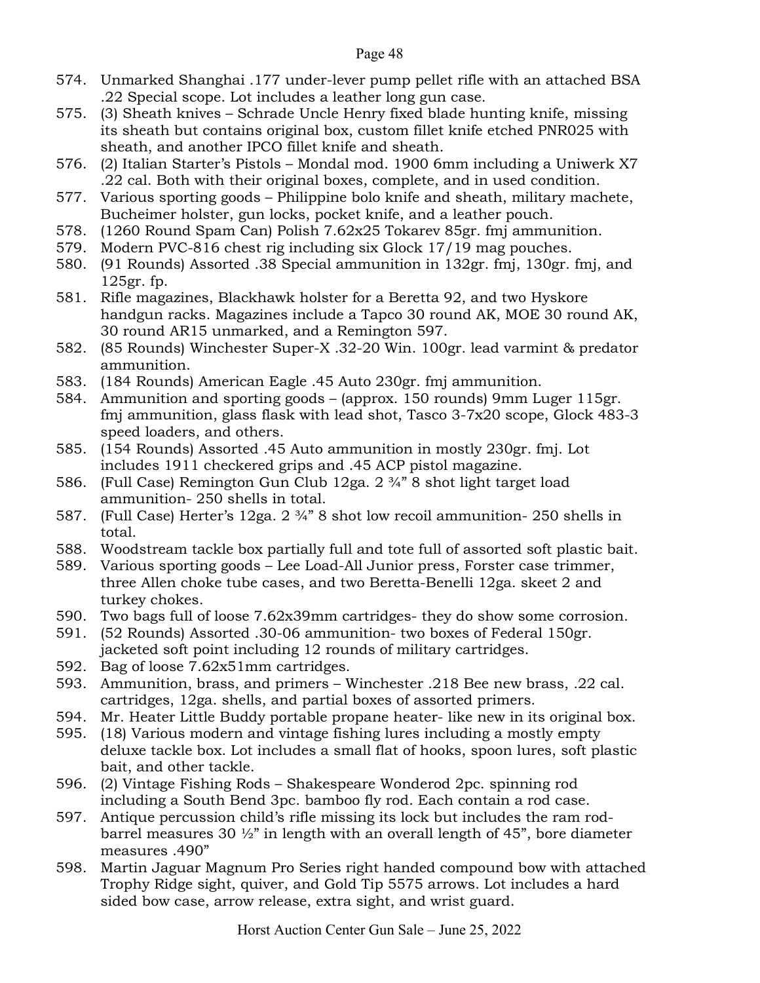- 574. Unmarked Shanghai .177 under-lever pump pellet rifle with an attached BSA .22 Special scope. Lot includes a leather long gun case.
- 575. (3) Sheath knives Schrade Uncle Henry fixed blade hunting knife, missing its sheath but contains original box, custom fillet knife etched PNR025 with sheath, and another IPCO fillet knife and sheath.
- 576. (2) Italian Starter's Pistols Mondal mod. 1900 6mm including a Uniwerk X7 .22 cal. Both with their original boxes, complete, and in used condition.
- 577. Various sporting goods Philippine bolo knife and sheath, military machete, Bucheimer holster, gun locks, pocket knife, and a leather pouch.
- 578. (1260 Round Spam Can) Polish 7.62x25 Tokarev 85gr. fmj ammunition.
- 579. Modern PVC-816 chest rig including six Glock 17/19 mag pouches.
- 580. (91 Rounds) Assorted .38 Special ammunition in 132gr. fmj, 130gr. fmj, and 125gr. fp.
- 581. Rifle magazines, Blackhawk holster for a Beretta 92, and two Hyskore handgun racks. Magazines include a Tapco 30 round AK, MOE 30 round AK, 30 round AR15 unmarked, and a Remington 597.
- 582. (85 Rounds) Winchester Super-X .32-20 Win. 100gr. lead varmint & predator ammunition.
- 583. (184 Rounds) American Eagle .45 Auto 230gr. fmj ammunition.
- 584. Ammunition and sporting goods (approx. 150 rounds) 9mm Luger 115gr. fmj ammunition, glass flask with lead shot, Tasco 3-7x20 scope, Glock 483-3 speed loaders, and others.
- 585. (154 Rounds) Assorted .45 Auto ammunition in mostly 230gr. fmj. Lot includes 1911 checkered grips and .45 ACP pistol magazine.
- 586. (Full Case) Remington Gun Club 12ga. 2 ¾" 8 shot light target load ammunition- 250 shells in total.
- 587. (Full Case) Herter's 12ga. 2 ¾" 8 shot low recoil ammunition- 250 shells in total.
- 588. Woodstream tackle box partially full and tote full of assorted soft plastic bait.
- 589. Various sporting goods Lee Load-All Junior press, Forster case trimmer, three Allen choke tube cases, and two Beretta-Benelli 12ga. skeet 2 and turkey chokes.
- 590. Two bags full of loose 7.62x39mm cartridges- they do show some corrosion.
- 591. (52 Rounds) Assorted .30-06 ammunition- two boxes of Federal 150gr. jacketed soft point including 12 rounds of military cartridges.
- 592. Bag of loose 7.62x51mm cartridges.
- 593. Ammunition, brass, and primers Winchester .218 Bee new brass, .22 cal. cartridges, 12ga. shells, and partial boxes of assorted primers.
- 594. Mr. Heater Little Buddy portable propane heater- like new in its original box.
- 595. (18) Various modern and vintage fishing lures including a mostly empty deluxe tackle box. Lot includes a small flat of hooks, spoon lures, soft plastic bait, and other tackle.
- 596. (2) Vintage Fishing Rods Shakespeare Wonderod 2pc. spinning rod including a South Bend 3pc. bamboo fly rod. Each contain a rod case.
- 597. Antique percussion child's rifle missing its lock but includes the ram rodbarrel measures 30 ½" in length with an overall length of 45", bore diameter measures .490"
- 598. Martin Jaguar Magnum Pro Series right handed compound bow with attached Trophy Ridge sight, quiver, and Gold Tip 5575 arrows. Lot includes a hard sided bow case, arrow release, extra sight, and wrist guard.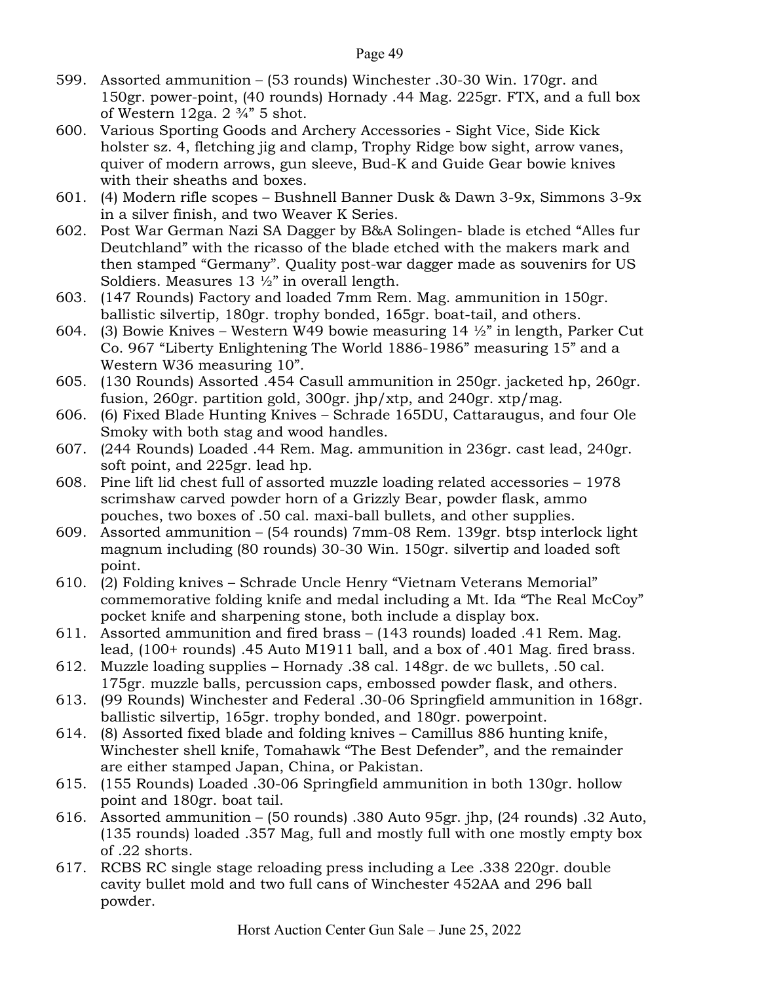- 599. Assorted ammunition (53 rounds) Winchester .30-30 Win. 170gr. and 150gr. power-point, (40 rounds) Hornady .44 Mag. 225gr. FTX, and a full box of Western 12ga.  $2 \frac{3}{4}$  5 shot.
- 600. Various Sporting Goods and Archery Accessories Sight Vice, Side Kick holster sz. 4, fletching jig and clamp, Trophy Ridge bow sight, arrow vanes, quiver of modern arrows, gun sleeve, Bud-K and Guide Gear bowie knives with their sheaths and boxes.
- 601. (4) Modern rifle scopes Bushnell Banner Dusk & Dawn 3-9x, Simmons 3-9x in a silver finish, and two Weaver K Series.
- 602. Post War German Nazi SA Dagger by B&A Solingen- blade is etched "Alles fur Deutchland" with the ricasso of the blade etched with the makers mark and then stamped "Germany". Quality post-war dagger made as souvenirs for US Soldiers. Measures 13 ½" in overall length.
- 603. (147 Rounds) Factory and loaded 7mm Rem. Mag. ammunition in 150gr. ballistic silvertip, 180gr. trophy bonded, 165gr. boat-tail, and others.
- 604. (3) Bowie Knives Western W49 bowie measuring 14 ½" in length, Parker Cut Co. 967 "Liberty Enlightening The World 1886-1986" measuring 15" and a Western W36 measuring 10".
- 605. (130 Rounds) Assorted .454 Casull ammunition in 250gr. jacketed hp, 260gr. fusion, 260gr. partition gold, 300gr. jhp/xtp, and 240gr. xtp/mag.
- 606. (6) Fixed Blade Hunting Knives Schrade 165DU, Cattaraugus, and four Ole Smoky with both stag and wood handles.
- 607. (244 Rounds) Loaded .44 Rem. Mag. ammunition in 236gr. cast lead, 240gr. soft point, and 225gr. lead hp.
- 608. Pine lift lid chest full of assorted muzzle loading related accessories 1978 scrimshaw carved powder horn of a Grizzly Bear, powder flask, ammo pouches, two boxes of .50 cal. maxi-ball bullets, and other supplies.
- 609. Assorted ammunition (54 rounds) 7mm-08 Rem. 139gr. btsp interlock light magnum including (80 rounds) 30-30 Win. 150gr. silvertip and loaded soft point.
- 610. (2) Folding knives Schrade Uncle Henry "Vietnam Veterans Memorial" commemorative folding knife and medal including a Mt. Ida "The Real McCoy" pocket knife and sharpening stone, both include a display box.
- 611. Assorted ammunition and fired brass (143 rounds) loaded .41 Rem. Mag. lead, (100+ rounds) .45 Auto M1911 ball, and a box of .401 Mag. fired brass.
- 612. Muzzle loading supplies Hornady .38 cal. 148gr. de wc bullets, .50 cal. 175gr. muzzle balls, percussion caps, embossed powder flask, and others.
- 613. (99 Rounds) Winchester and Federal .30-06 Springfield ammunition in 168gr. ballistic silvertip, 165gr. trophy bonded, and 180gr. powerpoint.
- 614. (8) Assorted fixed blade and folding knives Camillus 886 hunting knife, Winchester shell knife, Tomahawk "The Best Defender", and the remainder are either stamped Japan, China, or Pakistan.
- 615. (155 Rounds) Loaded .30-06 Springfield ammunition in both 130gr. hollow point and 180gr. boat tail.
- 616. Assorted ammunition (50 rounds) .380 Auto 95gr. jhp, (24 rounds) .32 Auto, (135 rounds) loaded .357 Mag, full and mostly full with one mostly empty box of .22 shorts.
- 617. RCBS RC single stage reloading press including a Lee .338 220gr. double cavity bullet mold and two full cans of Winchester 452AA and 296 ball powder.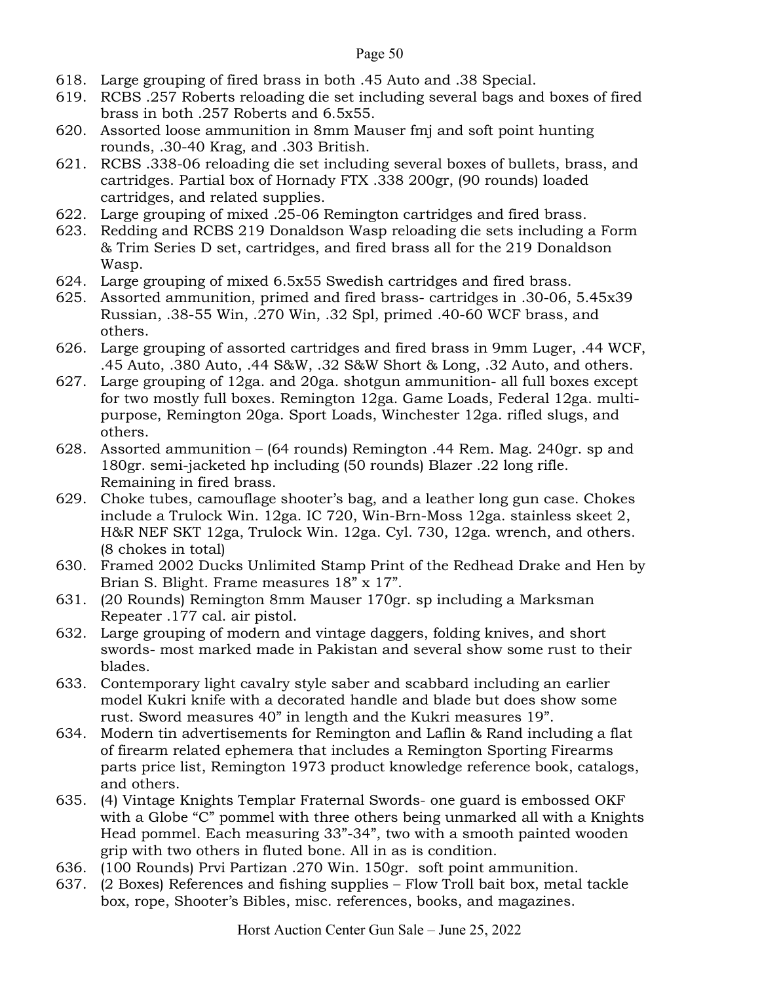- 618. Large grouping of fired brass in both .45 Auto and .38 Special.
- 619. RCBS .257 Roberts reloading die set including several bags and boxes of fired brass in both .257 Roberts and 6.5x55.
- 620. Assorted loose ammunition in 8mm Mauser fmj and soft point hunting rounds, .30-40 Krag, and .303 British.
- 621. RCBS .338-06 reloading die set including several boxes of bullets, brass, and cartridges. Partial box of Hornady FTX .338 200gr, (90 rounds) loaded cartridges, and related supplies.
- 622. Large grouping of mixed .25-06 Remington cartridges and fired brass.
- 623. Redding and RCBS 219 Donaldson Wasp reloading die sets including a Form & Trim Series D set, cartridges, and fired brass all for the 219 Donaldson Wasp.
- 624. Large grouping of mixed 6.5x55 Swedish cartridges and fired brass.
- 625. Assorted ammunition, primed and fired brass- cartridges in .30-06, 5.45x39 Russian, .38-55 Win, .270 Win, .32 Spl, primed .40-60 WCF brass, and others.
- 626. Large grouping of assorted cartridges and fired brass in 9mm Luger, .44 WCF, .45 Auto, .380 Auto, .44 S&W, .32 S&W Short & Long, .32 Auto, and others.
- 627. Large grouping of 12ga. and 20ga. shotgun ammunition- all full boxes except for two mostly full boxes. Remington 12ga. Game Loads, Federal 12ga. multipurpose, Remington 20ga. Sport Loads, Winchester 12ga. rifled slugs, and others.
- 628. Assorted ammunition (64 rounds) Remington .44 Rem. Mag. 240gr. sp and 180gr. semi-jacketed hp including (50 rounds) Blazer .22 long rifle. Remaining in fired brass.
- 629. Choke tubes, camouflage shooter's bag, and a leather long gun case. Chokes include a Trulock Win. 12ga. IC 720, Win-Brn-Moss 12ga. stainless skeet 2, H&R NEF SKT 12ga, Trulock Win. 12ga. Cyl. 730, 12ga. wrench, and others. (8 chokes in total)
- 630. Framed 2002 Ducks Unlimited Stamp Print of the Redhead Drake and Hen by Brian S. Blight. Frame measures 18" x 17".
- 631. (20 Rounds) Remington 8mm Mauser 170gr. sp including a Marksman Repeater .177 cal. air pistol.
- 632. Large grouping of modern and vintage daggers, folding knives, and short swords- most marked made in Pakistan and several show some rust to their blades.
- 633. Contemporary light cavalry style saber and scabbard including an earlier model Kukri knife with a decorated handle and blade but does show some rust. Sword measures 40" in length and the Kukri measures 19".
- 634. Modern tin advertisements for Remington and Laflin & Rand including a flat of firearm related ephemera that includes a Remington Sporting Firearms parts price list, Remington 1973 product knowledge reference book, catalogs, and others.
- 635. (4) Vintage Knights Templar Fraternal Swords- one guard is embossed OKF with a Globe "C" pommel with three others being unmarked all with a Knights Head pommel. Each measuring 33"-34", two with a smooth painted wooden grip with two others in fluted bone. All in as is condition.
- 636. (100 Rounds) Prvi Partizan .270 Win. 150gr. soft point ammunition.
- 637. (2 Boxes) References and fishing supplies Flow Troll bait box, metal tackle box, rope, Shooter's Bibles, misc. references, books, and magazines.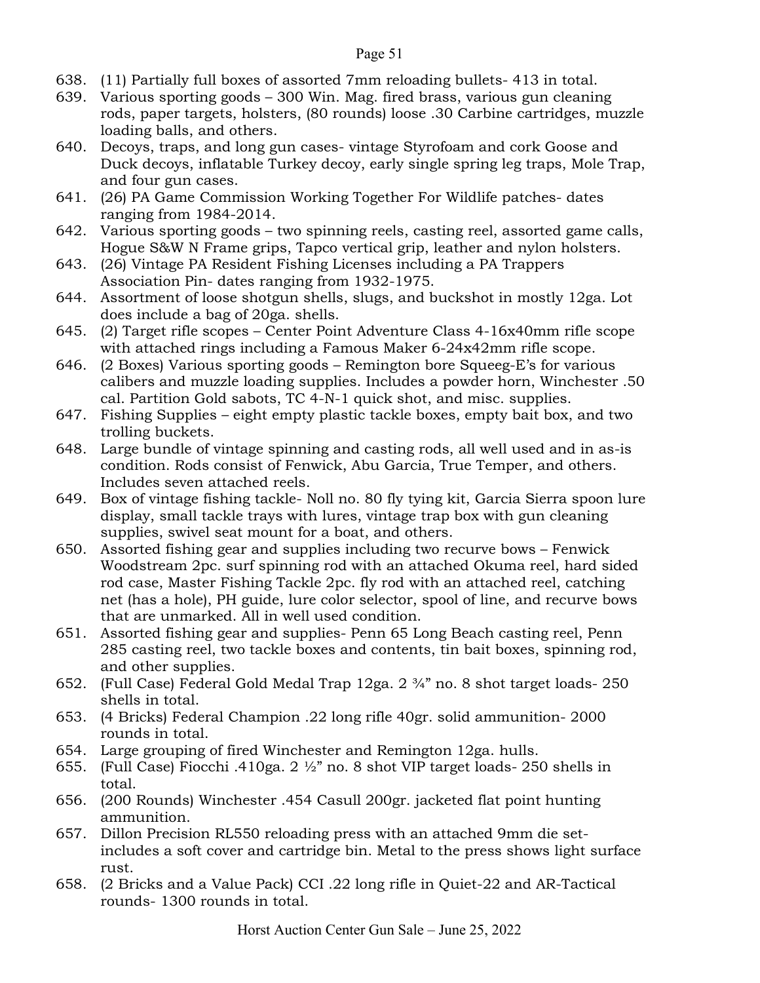- 638. (11) Partially full boxes of assorted 7mm reloading bullets- 413 in total.
- 639. Various sporting goods 300 Win. Mag. fired brass, various gun cleaning rods, paper targets, holsters, (80 rounds) loose .30 Carbine cartridges, muzzle loading balls, and others.
- 640. Decoys, traps, and long gun cases- vintage Styrofoam and cork Goose and Duck decoys, inflatable Turkey decoy, early single spring leg traps, Mole Trap, and four gun cases.
- 641. (26) PA Game Commission Working Together For Wildlife patches- dates ranging from 1984-2014.
- 642. Various sporting goods two spinning reels, casting reel, assorted game calls, Hogue S&W N Frame grips, Tapco vertical grip, leather and nylon holsters.
- 643. (26) Vintage PA Resident Fishing Licenses including a PA Trappers Association Pin- dates ranging from 1932-1975.
- 644. Assortment of loose shotgun shells, slugs, and buckshot in mostly 12ga. Lot does include a bag of 20ga. shells.
- 645. (2) Target rifle scopes Center Point Adventure Class 4-16x40mm rifle scope with attached rings including a Famous Maker 6-24x42mm rifle scope.
- 646. (2 Boxes) Various sporting goods Remington bore Squeeg-E's for various calibers and muzzle loading supplies. Includes a powder horn, Winchester .50 cal. Partition Gold sabots, TC 4-N-1 quick shot, and misc. supplies.
- 647. Fishing Supplies eight empty plastic tackle boxes, empty bait box, and two trolling buckets.
- 648. Large bundle of vintage spinning and casting rods, all well used and in as-is condition. Rods consist of Fenwick, Abu Garcia, True Temper, and others. Includes seven attached reels.
- 649. Box of vintage fishing tackle- Noll no. 80 fly tying kit, Garcia Sierra spoon lure display, small tackle trays with lures, vintage trap box with gun cleaning supplies, swivel seat mount for a boat, and others.
- 650. Assorted fishing gear and supplies including two recurve bows Fenwick Woodstream 2pc. surf spinning rod with an attached Okuma reel, hard sided rod case, Master Fishing Tackle 2pc. fly rod with an attached reel, catching net (has a hole), PH guide, lure color selector, spool of line, and recurve bows that are unmarked. All in well used condition.
- 651. Assorted fishing gear and supplies- Penn 65 Long Beach casting reel, Penn 285 casting reel, two tackle boxes and contents, tin bait boxes, spinning rod, and other supplies.
- 652. (Full Case) Federal Gold Medal Trap 12ga. 2 ¾" no. 8 shot target loads- 250 shells in total.
- 653. (4 Bricks) Federal Champion .22 long rifle 40gr. solid ammunition- 2000 rounds in total.
- 654. Large grouping of fired Winchester and Remington 12ga. hulls.
- 655. (Full Case) Fiocchi .410ga. 2 ½" no. 8 shot VIP target loads- 250 shells in total.
- 656. (200 Rounds) Winchester .454 Casull 200gr. jacketed flat point hunting ammunition.
- 657. Dillon Precision RL550 reloading press with an attached 9mm die setincludes a soft cover and cartridge bin. Metal to the press shows light surface rust.
- 658. (2 Bricks and a Value Pack) CCI .22 long rifle in Quiet-22 and AR-Tactical rounds- 1300 rounds in total.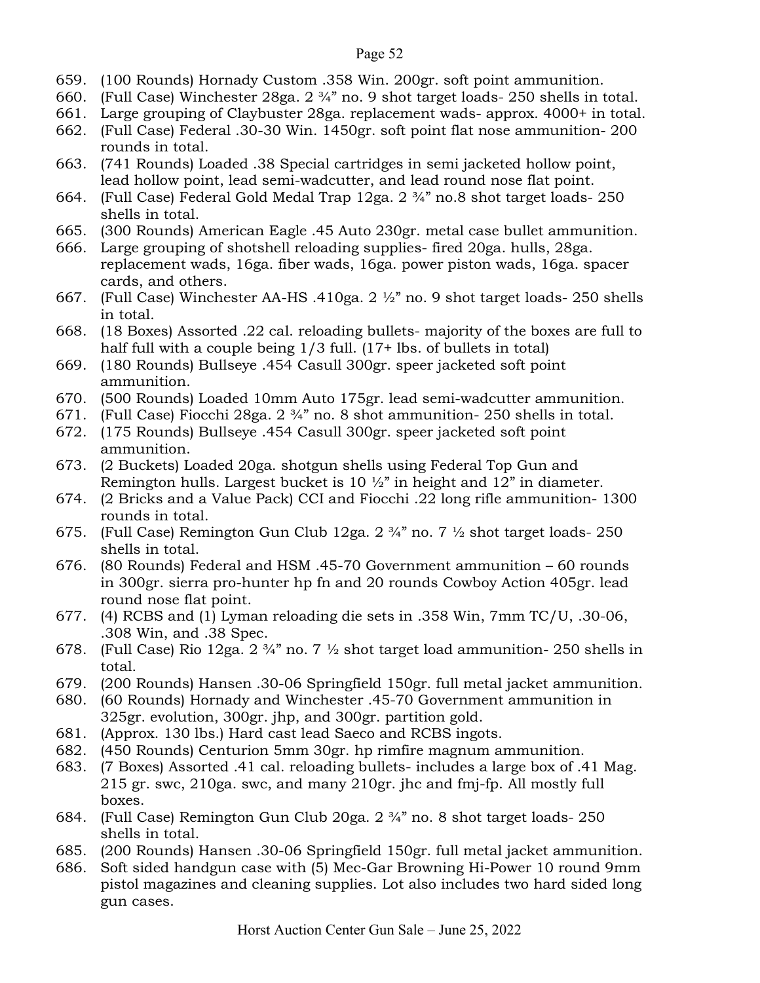- 659. (100 Rounds) Hornady Custom .358 Win. 200gr. soft point ammunition.
- 660. (Full Case) Winchester 28ga. 2 ¾" no. 9 shot target loads- 250 shells in total.
- 661. Large grouping of Claybuster 28ga. replacement wads- approx. 4000+ in total.
- 662. (Full Case) Federal .30-30 Win. 1450gr. soft point flat nose ammunition- 200 rounds in total.
- 663. (741 Rounds) Loaded .38 Special cartridges in semi jacketed hollow point, lead hollow point, lead semi-wadcutter, and lead round nose flat point.
- 664. (Full Case) Federal Gold Medal Trap 12ga. 2 ¾" no.8 shot target loads- 250 shells in total.
- 665. (300 Rounds) American Eagle .45 Auto 230gr. metal case bullet ammunition.
- 666. Large grouping of shotshell reloading supplies- fired 20ga. hulls, 28ga. replacement wads, 16ga. fiber wads, 16ga. power piston wads, 16ga. spacer cards, and others.
- 667. (Full Case) Winchester AA-HS .410ga. 2 ½" no. 9 shot target loads- 250 shells in total.
- 668. (18 Boxes) Assorted .22 cal. reloading bullets- majority of the boxes are full to half full with a couple being  $1/3$  full. (17+ lbs. of bullets in total)
- 669. (180 Rounds) Bullseye .454 Casull 300gr. speer jacketed soft point ammunition.
- 670. (500 Rounds) Loaded 10mm Auto 175gr. lead semi-wadcutter ammunition.
- 671. (Full Case) Fiocchi 28ga.  $2\frac{3}{4}$ " no. 8 shot ammunition- 250 shells in total.
- 672. (175 Rounds) Bullseye .454 Casull 300gr. speer jacketed soft point ammunition.
- 673. (2 Buckets) Loaded 20ga. shotgun shells using Federal Top Gun and Remington hulls. Largest bucket is 10 ½" in height and 12" in diameter.
- 674. (2 Bricks and a Value Pack) CCI and Fiocchi .22 long rifle ammunition- 1300 rounds in total.
- 675. (Full Case) Remington Gun Club 12ga. 2 ¾" no. 7 ½ shot target loads- 250 shells in total.
- 676. (80 Rounds) Federal and HSM .45-70 Government ammunition 60 rounds in 300gr. sierra pro-hunter hp fn and 20 rounds Cowboy Action 405gr. lead round nose flat point.
- 677. (4) RCBS and (1) Lyman reloading die sets in .358 Win, 7mm TC/U, .30-06, .308 Win, and .38 Spec.
- 678. (Full Case) Rio 12ga.  $2 \frac{3}{4}$ " no. 7  $\frac{1}{2}$  shot target load ammunition- 250 shells in total.
- 679. (200 Rounds) Hansen .30-06 Springfield 150gr. full metal jacket ammunition.
- 680. (60 Rounds) Hornady and Winchester .45-70 Government ammunition in 325gr. evolution, 300gr. jhp, and 300gr. partition gold.
- 681. (Approx. 130 lbs.) Hard cast lead Saeco and RCBS ingots.
- 682. (450 Rounds) Centurion 5mm 30gr. hp rimfire magnum ammunition.
- 683. (7 Boxes) Assorted .41 cal. reloading bullets- includes a large box of .41 Mag. 215 gr. swc, 210ga. swc, and many 210gr. jhc and fmj-fp. All mostly full boxes.
- 684. (Full Case) Remington Gun Club 20ga. 2 ¾" no. 8 shot target loads- 250 shells in total.
- 685. (200 Rounds) Hansen .30-06 Springfield 150gr. full metal jacket ammunition.
- 686. Soft sided handgun case with (5) Mec-Gar Browning Hi-Power 10 round 9mm pistol magazines and cleaning supplies. Lot also includes two hard sided long gun cases.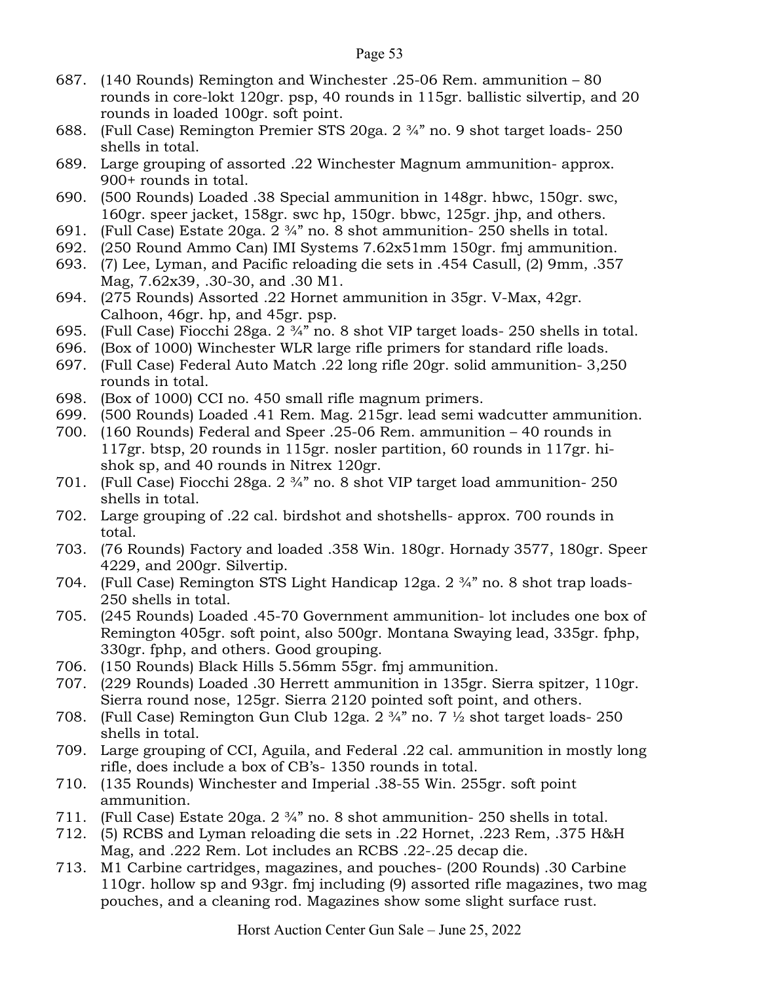- 687. (140 Rounds) Remington and Winchester .25-06 Rem. ammunition 80 rounds in core-lokt 120gr. psp, 40 rounds in 115gr. ballistic silvertip, and 20 rounds in loaded 100gr. soft point.
- 688. (Full Case) Remington Premier STS 20ga. 2 ¾" no. 9 shot target loads- 250 shells in total.
- 689. Large grouping of assorted .22 Winchester Magnum ammunition- approx. 900+ rounds in total.
- 690. (500 Rounds) Loaded .38 Special ammunition in 148gr. hbwc, 150gr. swc, 160gr. speer jacket, 158gr. swc hp, 150gr. bbwc, 125gr. jhp, and others.
- 691. (Full Case) Estate 20ga. 2 ¾" no. 8 shot ammunition- 250 shells in total.
- 692. (250 Round Ammo Can) IMI Systems 7.62x51mm 150gr. fmj ammunition.
- 693. (7) Lee, Lyman, and Pacific reloading die sets in .454 Casull, (2) 9mm, .357 Mag, 7.62x39, .30-30, and .30 M1.
- 694. (275 Rounds) Assorted .22 Hornet ammunition in 35gr. V-Max, 42gr. Calhoon, 46gr. hp, and 45gr. psp.
- 695. (Full Case) Fiocchi 28ga. 2 ¾" no. 8 shot VIP target loads- 250 shells in total.
- 696. (Box of 1000) Winchester WLR large rifle primers for standard rifle loads.
- 697. (Full Case) Federal Auto Match .22 long rifle 20gr. solid ammunition- 3,250 rounds in total.
- 698. (Box of 1000) CCI no. 450 small rifle magnum primers.
- 699. (500 Rounds) Loaded .41 Rem. Mag. 215gr. lead semi wadcutter ammunition.
- 700. (160 Rounds) Federal and Speer .25-06 Rem. ammunition 40 rounds in 117gr. btsp, 20 rounds in 115gr. nosler partition, 60 rounds in 117gr. hishok sp, and 40 rounds in Nitrex 120gr.
- 701. (Full Case) Fiocchi 28ga. 2 ¾" no. 8 shot VIP target load ammunition- 250 shells in total.
- 702. Large grouping of .22 cal. birdshot and shotshells- approx. 700 rounds in total.
- 703. (76 Rounds) Factory and loaded .358 Win. 180gr. Hornady 3577, 180gr. Speer 4229, and 200gr. Silvertip.
- 704. (Full Case) Remington STS Light Handicap 12ga. 2 ¾" no. 8 shot trap loads-250 shells in total.
- 705. (245 Rounds) Loaded .45-70 Government ammunition- lot includes one box of Remington 405gr. soft point, also 500gr. Montana Swaying lead, 335gr. fphp, 330gr. fphp, and others. Good grouping.
- 706. (150 Rounds) Black Hills 5.56mm 55gr. fmj ammunition.
- 707. (229 Rounds) Loaded .30 Herrett ammunition in 135gr. Sierra spitzer, 110gr. Sierra round nose, 125gr. Sierra 2120 pointed soft point, and others.
- 708. (Full Case) Remington Gun Club 12ga. 2 ¾" no. 7 ½ shot target loads- 250 shells in total.
- 709. Large grouping of CCI, Aguila, and Federal .22 cal. ammunition in mostly long rifle, does include a box of CB's- 1350 rounds in total.
- 710. (135 Rounds) Winchester and Imperial .38-55 Win. 255gr. soft point ammunition.
- 711. (Full Case) Estate 20ga. 2 ¾" no. 8 shot ammunition- 250 shells in total.
- 712. (5) RCBS and Lyman reloading die sets in .22 Hornet, .223 Rem, .375 H&H Mag, and .222 Rem. Lot includes an RCBS .22-.25 decap die.
- 713. M1 Carbine cartridges, magazines, and pouches- (200 Rounds) .30 Carbine 110gr. hollow sp and 93gr. fmj including (9) assorted rifle magazines, two mag pouches, and a cleaning rod. Magazines show some slight surface rust.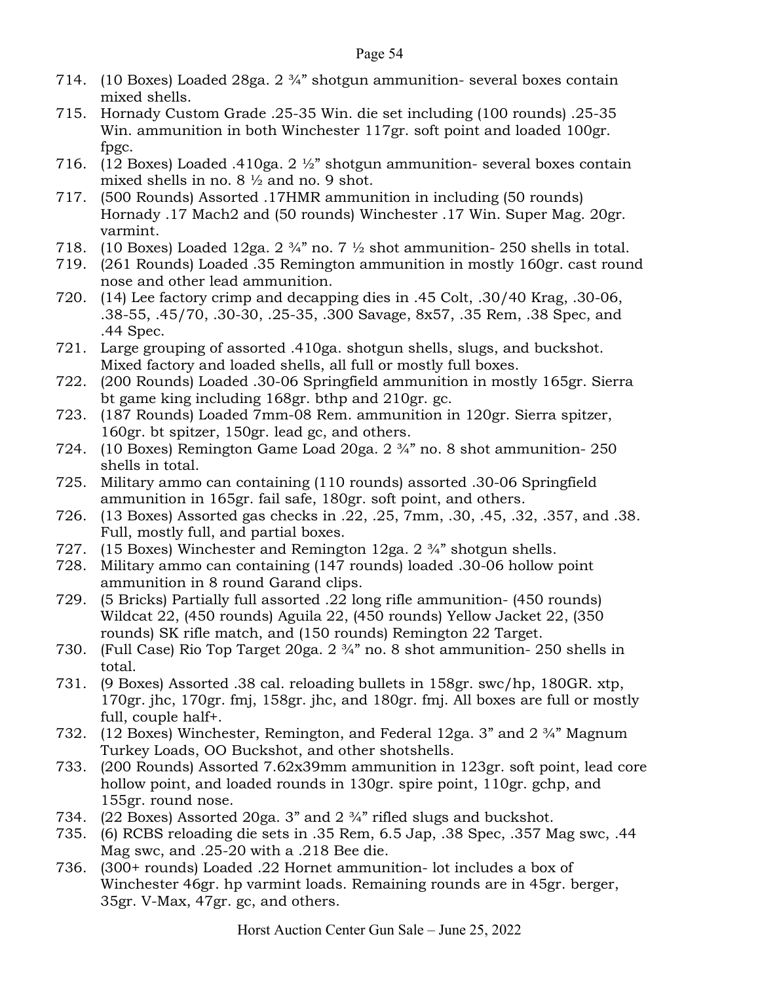- 714. (10 Boxes) Loaded 28ga. 2 ¾" shotgun ammunition- several boxes contain mixed shells.
- 715. Hornady Custom Grade .25-35 Win. die set including (100 rounds) .25-35 Win. ammunition in both Winchester 117gr. soft point and loaded 100gr. fpgc.
- 716. (12 Boxes) Loaded .410ga. 2 ½" shotgun ammunition- several boxes contain mixed shells in no. 8 ½ and no. 9 shot.
- 717. (500 Rounds) Assorted .17HMR ammunition in including (50 rounds) Hornady .17 Mach2 and (50 rounds) Winchester .17 Win. Super Mag. 20gr. varmint.
- 718. (10 Boxes) Loaded 12ga.  $2 \frac{3}{4}$ " no. 7  $\frac{1}{2}$  shot ammunition- 250 shells in total.
- 719. (261 Rounds) Loaded .35 Remington ammunition in mostly 160gr. cast round nose and other lead ammunition.
- 720. (14) Lee factory crimp and decapping dies in .45 Colt, .30/40 Krag, .30-06, .38-55, .45/70, .30-30, .25-35, .300 Savage, 8x57, .35 Rem, .38 Spec, and .44 Spec.
- 721. Large grouping of assorted .410ga. shotgun shells, slugs, and buckshot. Mixed factory and loaded shells, all full or mostly full boxes.
- 722. (200 Rounds) Loaded .30-06 Springfield ammunition in mostly 165gr. Sierra bt game king including 168gr. bthp and 210gr. gc.
- 723. (187 Rounds) Loaded 7mm-08 Rem. ammunition in 120gr. Sierra spitzer, 160gr. bt spitzer, 150gr. lead gc, and others.
- 724. (10 Boxes) Remington Game Load 20ga. 2 ¾" no. 8 shot ammunition- 250 shells in total.
- 725. Military ammo can containing (110 rounds) assorted .30-06 Springfield ammunition in 165gr. fail safe, 180gr. soft point, and others.
- 726. (13 Boxes) Assorted gas checks in .22, .25, 7mm, .30, .45, .32, .357, and .38. Full, mostly full, and partial boxes.
- 727. (15 Boxes) Winchester and Remington 12ga. 2 ¾" shotgun shells.
- 728. Military ammo can containing (147 rounds) loaded .30-06 hollow point ammunition in 8 round Garand clips.
- 729. (5 Bricks) Partially full assorted .22 long rifle ammunition- (450 rounds) Wildcat  $22$ , (450 rounds) Aguila 22, (450 rounds) Yellow Jacket 22, (350 rounds) SK rifle match, and (150 rounds) Remington 22 Target.
- 730. (Full Case) Rio Top Target 20ga. 2 ¾" no. 8 shot ammunition- 250 shells in total.
- 731. (9 Boxes) Assorted .38 cal. reloading bullets in 158gr. swc/hp, 180GR. xtp, 170gr. jhc, 170gr. fmj, 158gr. jhc, and 180gr. fmj. All boxes are full or mostly full, couple half+.
- 732. (12 Boxes) Winchester, Remington, and Federal 12ga. 3" and 2 ¾" Magnum Turkey Loads, OO Buckshot, and other shotshells.
- 733. (200 Rounds) Assorted 7.62x39mm ammunition in 123gr. soft point, lead core hollow point, and loaded rounds in 130gr. spire point, 110gr. gchp, and 155gr. round nose.
- 734. (22 Boxes) Assorted 20ga. 3" and 2 ¾" rifled slugs and buckshot.
- 735. (6) RCBS reloading die sets in .35 Rem, 6.5 Jap, .38 Spec, .357 Mag swc, .44 Mag swc, and .25-20 with a .218 Bee die.
- 736. (300+ rounds) Loaded .22 Hornet ammunition- lot includes a box of Winchester 46gr. hp varmint loads. Remaining rounds are in 45gr. berger, 35gr. V-Max, 47gr. gc, and others.